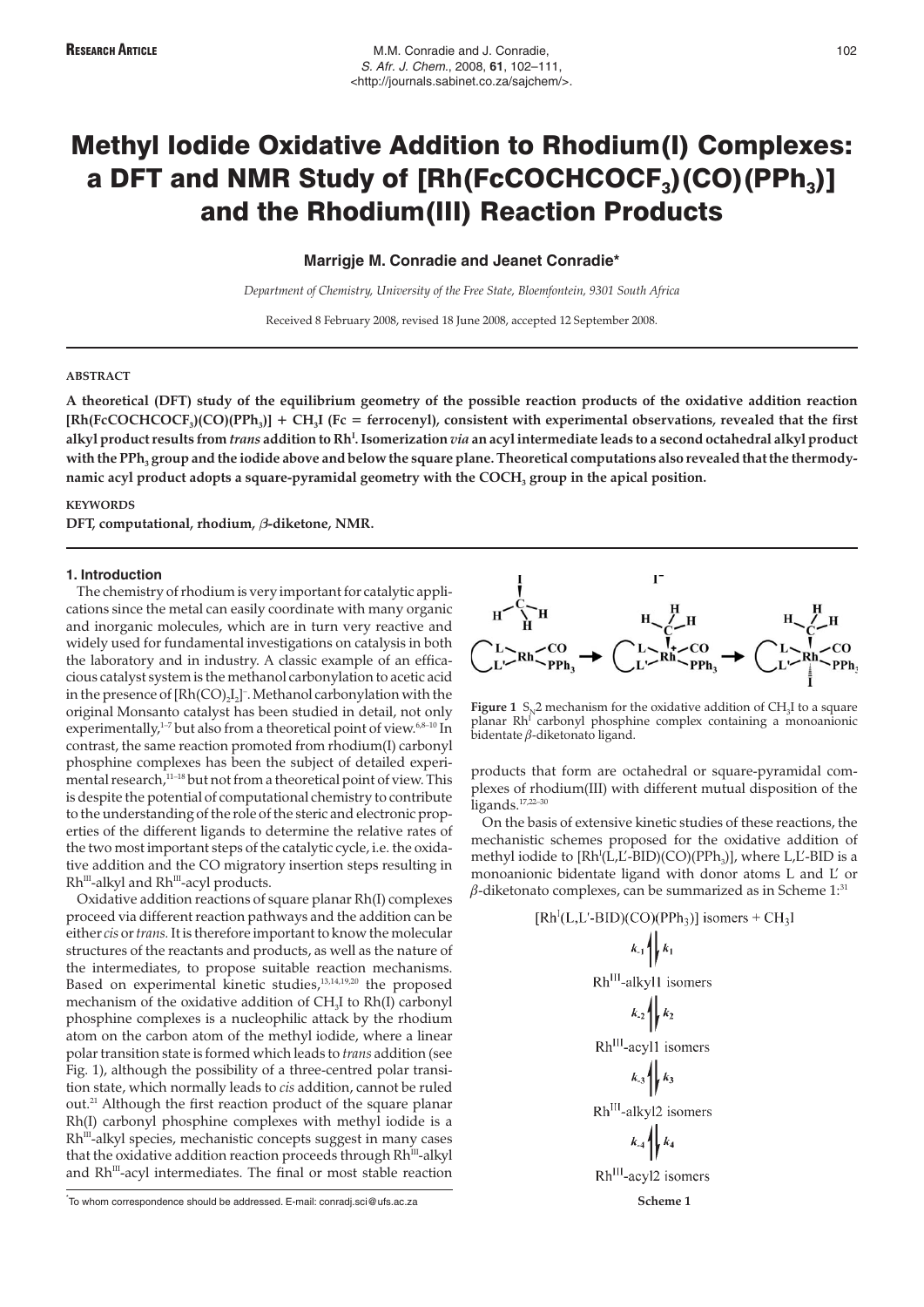# Methyl Iodide Oxidative Addition to Rhodium(I) Complexes: a DFT and NMR Study of  $[Rh(FCOCHCOCF<sub>3</sub>)(CO)(PPh<sub>3</sub>)]$ and the Rhodium(III) Reaction Products

**Marrigje M. Conradie and Jeanet Conradie\***

*Department of Chemistry, University of the Free State, Bloemfontein, 9301 South Africa*

Received 8 February 2008, revised 18 June 2008, accepted 12 September 2008.

## **ABSTRACT**

**A theoretical (DFT) study of the equilibrium geometry of the possible reaction products of the oxidative addition reaction [Rh(FcCOCHCOCF3)(CO)(PPh3)] + CH3I (Fc = ferrocenyl), consistent with experimental observations, revealed that the first alkyl product results from** *trans* **addition to Rh<sup>I</sup> . Isomerization** *via* **an acyl intermediate leads to a second octahedral alkyl product** with the PPh<sub>3</sub> group and the iodide above and below the square plane. Theoretical computations also revealed that the thermodynamic acyl product adopts a square-pyramidal geometry with the COCH<sub>3</sub> group in the apical position.

#### **KEYWORDS**

DFT, computational, rhodium,  $\beta$ -diketone, NMR.

#### **1. Introduction**

The chemistry of rhodium is very important for catalytic applications since the metal can easily coordinate with many organic and inorganic molecules, which are in turn very reactive and widely used for fundamental investigations on catalysis in both the laboratory and in industry. A classic example of an efficacious catalyst system is the methanol carbonylation to acetic acid in the presence of  $[Rh(CO)_2I_2]$ <sup>-</sup>. Methanol carbonylation with the original Monsanto catalyst has been studied in detail, not only experimentally, $1-7$  but also from a theoretical point of view. $6,8-10$  In contrast, the same reaction promoted from rhodium(I) carbonyl phosphine complexes has been the subject of detailed experimental research, $11-18}$  but not from a theoretical point of view. This is despite the potential of computational chemistry to contribute to the understanding of the role of the steric and electronic properties of the different ligands to determine the relative rates of the two most important steps of the catalytic cycle, i.e. the oxidative addition and the CO migratory insertion steps resulting in Rh<sup>III</sup>-alkyl and Rh<sup>III</sup>-acyl products.

Oxidative addition reactions of square planar Rh(I) complexes proceed via different reaction pathways and the addition can be either*cis* or*trans.*It is therefore important to know the molecular structures of the reactants and products, as well as the nature of the intermediates, to propose suitable reaction mechanisms. Based on experimental kinetic studies,<sup>13,14,19,20</sup> the proposed mechanism of the oxidative addition of CH<sub>3</sub>I to Rh(I) carbonyl phosphine complexes is a nucleophilic attack by the rhodium atom on the carbon atom of the methyl iodide, where a linear polar transition state is formed which leads to *trans* addition (see Fig. 1), although the possibility of a three-centred polar transition state, which normally leads to *cis* addition, cannot be ruled out.<sup>21</sup> Although the first reaction product of the square planar Rh(I) carbonyl phosphine complexes with methyl iodide is a Rh<sup>III</sup>-alkyl species, mechanistic concepts suggest in many cases that the oxidative addition reaction proceeds through Rh<sup>III</sup>-alkyl and Rh<sup>III</sup>-acyl intermediates. The final or most stable reaction

To whom correspondence should be addressed. E-mail: conradj.sci@ufs.ac.za **Scheme 1 Scheme 1 Scheme 1** 



**Figure 1** S<sub>N</sub>2 mechanism for the oxidative addition of CH<sub>3</sub>I to a square planar Rh<sup>1</sup> carbonyl phosphine complex containing a monoanionic bidentate β-diketonato ligand.

products that form are octahedral or square-pyramidal complexes of rhodium(III) with different mutual disposition of the ligands.17,22–30

On the basis of extensive kinetic studies of these reactions, the mechanistic schemes proposed for the oxidative addition of methyl iodide to [Rh<sup>I</sup>(L,L'-BID)(CO)(PPh<sub>3</sub>)], where L,L'-BID is a monoanionic bidentate ligand with donor atoms L and L' or  $β$ -diketonato complexes, can be summarized as in Scheme 1:31

$$
[RhI(L, LI-BID)(CO)(PPh3)]
$$
 isomers + CH<sub>3</sub>I  
\n
$$
k_{.1} \nmid k_1
$$
\n
$$
RhIII-alkyll
$$
 isomers  
\n
$$
k_{.2} \nmid k_2
$$
\n
$$
RhIII-acy11
$$
 isomers  
\n
$$
k_{.3} \nmid k_3
$$
\n
$$
RhIII-alkyl2
$$
 isomers  
\n
$$
k_{.4} \nmid k_4
$$
\n
$$
RhIII-acy12
$$
 isomers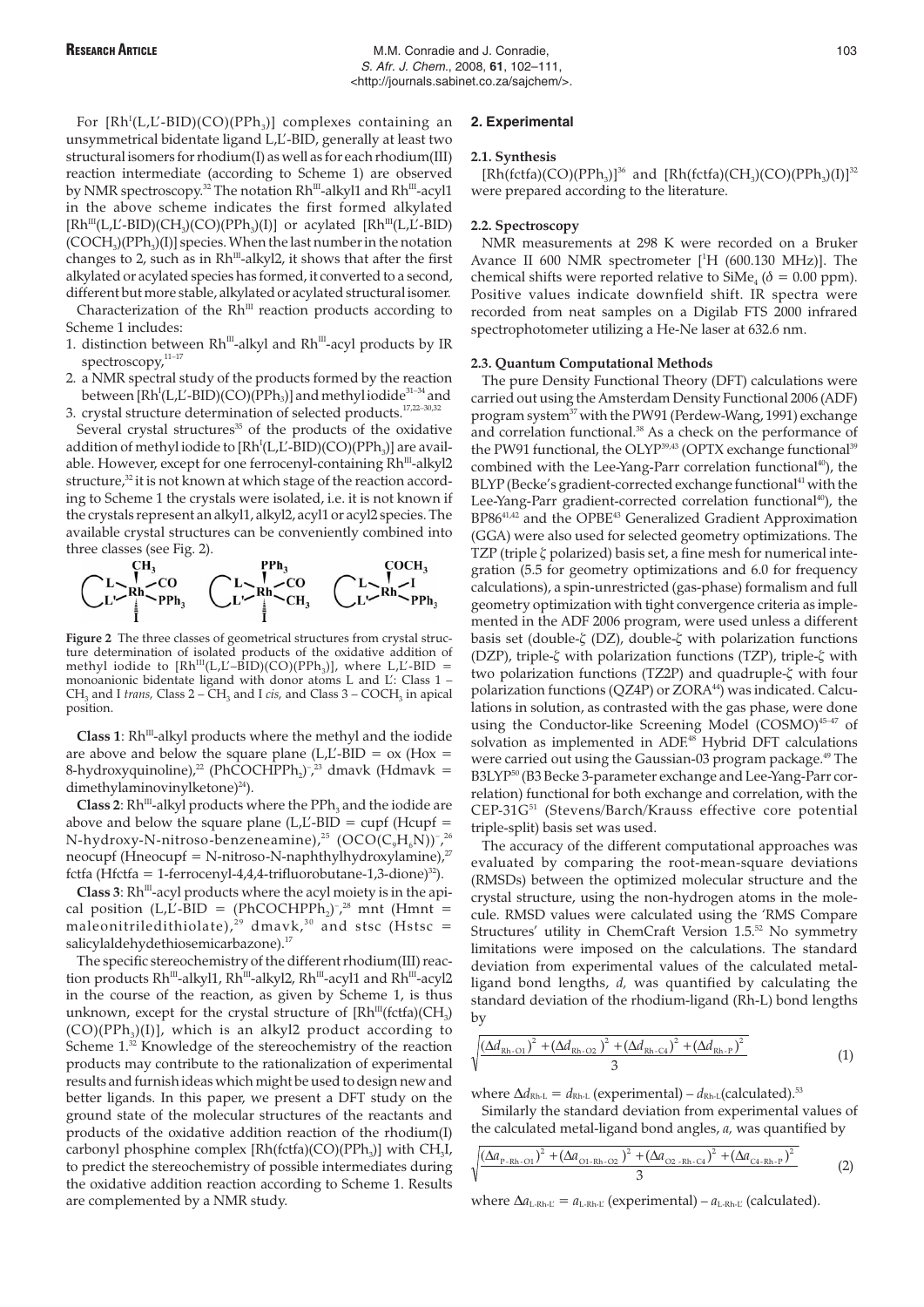For  $[Rh^{I}(L,L^{\prime}\text{-BID})(CO)(PPh_{3})]$  complexes containing an unsymmetrical bidentate ligand L,L'-BID, generally at least two structural isomers for rhodium(I) as well as for each rhodium(III) reaction intermediate (according to Scheme 1) are observed by NMR spectroscopy.<sup>32</sup> The notation Rh<sup>III</sup>-alkyl1 and Rh<sup>III</sup>-acyl1 in the above scheme indicates the first formed alkylated  $[Rh<sup>III</sup>(L,L'-BID)(CH<sub>3</sub>)(CO)(PPh<sub>3</sub>)(I)]$  or acylated  $[Rh<sup>III</sup>(L,L'-BID)$  $(COCH<sub>3</sub>)(PPh<sub>3</sub>)(I)$ ] species. When the last number in the notation changes to 2, such as in  $Rh^{III}$ -alkyl2, it shows that after the first alkylated or acylated species has formed, it converted to a second, different but more stable, alkylated or acylated structural isomer.

Characterization of the  $Rh^{III}$  reaction products according to Scheme 1 includes:

- 1. distinction between  $Rh^{III}$ -alkyl and  $Rh^{III}$ -acyl products by IR spectroscopy,<sup>11-17</sup>
- 2. a NMR spectral study of the products formed by the reaction between [Rh<sup>I</sup>(L,Ľ-BID)(CO)(PPh<sub>3</sub>)] and methyl iodide $^{31\text{--}34}$  and 3. crystal structure determination of selected products.17,22–30,32

Several crystal structures $35$  of the products of the oxidative addition of methyl iodide to [ $Rh^{I}(L,L'$ -BID)(CO)( $PPh_3$ )] are available. However, except for one ferrocenyl-containing Rh<sup>m</sup>-alkyl2 structure,<sup>32</sup> it is not known at which stage of the reaction according to Scheme 1 the crystals were isolated, i.e. it is not known if the crystals represent an alkyl1, alkyl2, acyl1 or acyl2 species. The available crystal structures can be conveniently combined into



Figure 2 The three classes of geometrical structures from crystal structure determination of isolated products of the oxidative addition of methyl iodide to  $[Rh<sup>III</sup>(L,L'-BID)(CO)(PPh<sub>3</sub>)]$ , where L,L'-BID = monoanionic bidentate ligand with donor atoms L and L': Class 1 – CH<sub>3</sub> and I *trans,* Class 2 – CH<sub>3</sub> and I *cis,* and Class 3 – COCH<sub>3</sub> in apical position.

Class 1: Rh<sup>III</sup>-alkyl products where the methyl and the iodide are above and below the square plane (L,L'-BID =  $\alpha$ ) (H $\alpha$  = 8-hydroxyquinoline),<sup>22</sup> (PhCOCHPPh<sub>2</sub>)<sup>-</sup>,<sup>23</sup> dmavk (Hdmavk = dimethylaminovinylketone)<sup>24</sup>).

**Class 2**:  $Rh^{III}$ -alkyl products where the  $PPh_3$  and the iodide are above and below the square plane (L,L'-BID = cupf (Hcupf = N-hydroxy-N-nitroso-benzeneamine), $^{25}$   $\rm (OCO(C_{9}H_{6}N))$ -, $^{26}$ neocupf (Hneocupf = N-nitroso-N-naphthylhydroxylamine), $^{27}$ fctfa (Hfctfa = 1-ferrocenyl-4,4,4-trifluorobutane-1,3-dione)<sup>32</sup>).

**Class 3**:  $Rh^{III}$ -acyl products where the acyl moiety is in the apical position (L,L'-BID =  $(PhCOCHPPh<sub>2</sub>)<sup>-</sup>,<sup>28</sup>$  mnt (Hmnt = maleonitriledithiolate),<sup>29</sup> dmavk,<sup>30</sup> and stsc (Hstsc = salicylaldehydethiosemicarbazone).<sup>17</sup>

The specific stereochemistry of the different rhodium(III) reaction products Rh<sup>m</sup>-alkyl1, Rh<sup>m</sup>-alkyl2, Rh<sup>m</sup>-acyl1 and Rh<sup>m</sup>-acyl2 in the course of the reaction, as given by Scheme 1, is thus unknown, except for the crystal structure of  $[Rh^{\text{III}}(fctfa)(CH_3)]$  $(CO)(PPh<sub>3</sub>)(I)$ , which is an alkyl2 product according to Scheme 1.32 Knowledge of the stereochemistry of the reaction products may contribute to the rationalization of experimental results and furnish ideas which might be used to design new and better ligands. In this paper, we present a DFT study on the ground state of the molecular structures of the reactants and products of the oxidative addition reaction of the rhodium(I) carbonyl phosphine complex  $[Rh(fctfa)(CO)(PPh<sub>3</sub>)]$  with CH<sub>3</sub>I, to predict the stereochemistry of possible intermediates during the oxidative addition reaction according to Scheme 1. Results are complemented by a NMR study.

#### **2. Experimental**

#### **2.1. Synthesis**

[Rh(fctfa)(CO)(PPh<sub>3</sub>)]<sup>36</sup> and [Rh(fctfa)(CH<sub>3</sub>)(CO)(PPh<sub>3</sub>)(I)]<sup>32</sup> were prepared according to the literature.

### **2.2. Spectroscopy**

NMR measurements at 298 K were recorded on a Bruker Avance II 600 NMR spectrometer [1 H (600.130 MHz)]. The chemical shifts were reported relative to  $\text{SiMe}_{4}$  ( $\delta = 0.00$  ppm). Positive values indicate downfield shift. IR spectra were recorded from neat samples on a Digilab FTS 2000 infrared spectrophotometer utilizing a He-Ne laser at 632.6 nm.

#### **2.3. Quantum Computational Methods**

The pure Density Functional Theory (DFT) calculations were carried out using the Amsterdam Density Functional 2006 (ADF) program system<sup>37</sup> with the PW91 (Perdew-Wang, 1991) exchange and correlation functional.<sup>38</sup> As a check on the performance of the PW91 functional, the OLYP<sup>39,43</sup> (OPTX exchange functional<sup>39</sup> combined with the Lee-Yang-Parr correlation functional<sup>40</sup>), the BLYP (Becke's gradient-corrected exchange functional<sup>41</sup> with the Lee-Yang-Parr gradient-corrected correlation functional<sup>40</sup>), the BP8641,42 and the OPBE43 Generalized Gradient Approximation (GGA) were also used for selected geometry optimizations. The TZP (triple ζ polarized) basis set, a fine mesh for numerical integration (5.5 for geometry optimizations and 6.0 for frequency calculations), a spin-unrestricted (gas-phase) formalism and full geometry optimization with tight convergence criteria as implemented in the ADF 2006 program, were used unless a different basis set (double-ζ (DZ), double-ζ with polarization functions (DZP), triple-ζ with polarization functions (TZP), triple-ζ with two polarization functions (TZ2P) and quadruple-ζ with four polarization functions ( $QZ4P$ ) or  $ZORA^{44}$ ) was indicated. Calculations in solution, as contrasted with the gas phase, were done using the Conductor-like Screening Model (COSMO)<sup>45-47</sup> of solvation as implemented in ADF.<sup>48</sup> Hybrid DFT calculations were carried out using the Gaussian-03 program package.<sup>49</sup> The B3LYP<sup>50</sup> (B3 Becke 3-parameter exchange and Lee-Yang-Parr correlation) functional for both exchange and correlation, with the CEP-31G51 (Stevens/Barch/Krauss effective core potential triple-split) basis set was used.

The accuracy of the different computational approaches was evaluated by comparing the root-mean-square deviations (RMSDs) between the optimized molecular structure and the crystal structure, using the non-hydrogen atoms in the molecule. RMSD values were calculated using the 'RMS Compare Structures' utility in ChemCraft Version 1.5.<sup>52</sup> No symmetry limitations were imposed on the calculations. The standard deviation from experimental values of the calculated metalligand bond lengths, *d,* was quantified by calculating the standard deviation of the rhodium-ligand (Rh-L) bond lengths by

$$
\frac{\left(\Delta d_{\text{Rh-O1}}\right)^2 + \left(\Delta d_{\text{Rh-O2}}\right)^2 + \left(\Delta d_{\text{Rh-C4}}\right)^2 + \left(\Delta d_{\text{Rh-P}}\right)^2}{3}
$$
\n(1)

where  $\Delta d_{\text{Rh-L}} = d_{\text{Rh-L}}$  (experimental) –  $d_{\text{Rh-L}}$ (calculated).<sup>53</sup>

Similarly the standard deviation from experimental values of the calculated metal-ligand bond angles, *a,* was quantified by

$$
\frac{\left| (\Delta a_{\text{P-Rh-O1}})^2 + (\Delta a_{\text{O1-Rh-O2}})^2 + (\Delta a_{\text{O2-Rh-C4}})^2 + (\Delta a_{\text{C4-Rh-P}})^2 \right|}{3}
$$
 (2)

where  $\Delta a_{\text{L-Rh-L'}} = a_{\text{L-Rh-L}}$  (experimental) –  $a_{\text{L-Rh-L}}$  (calculated).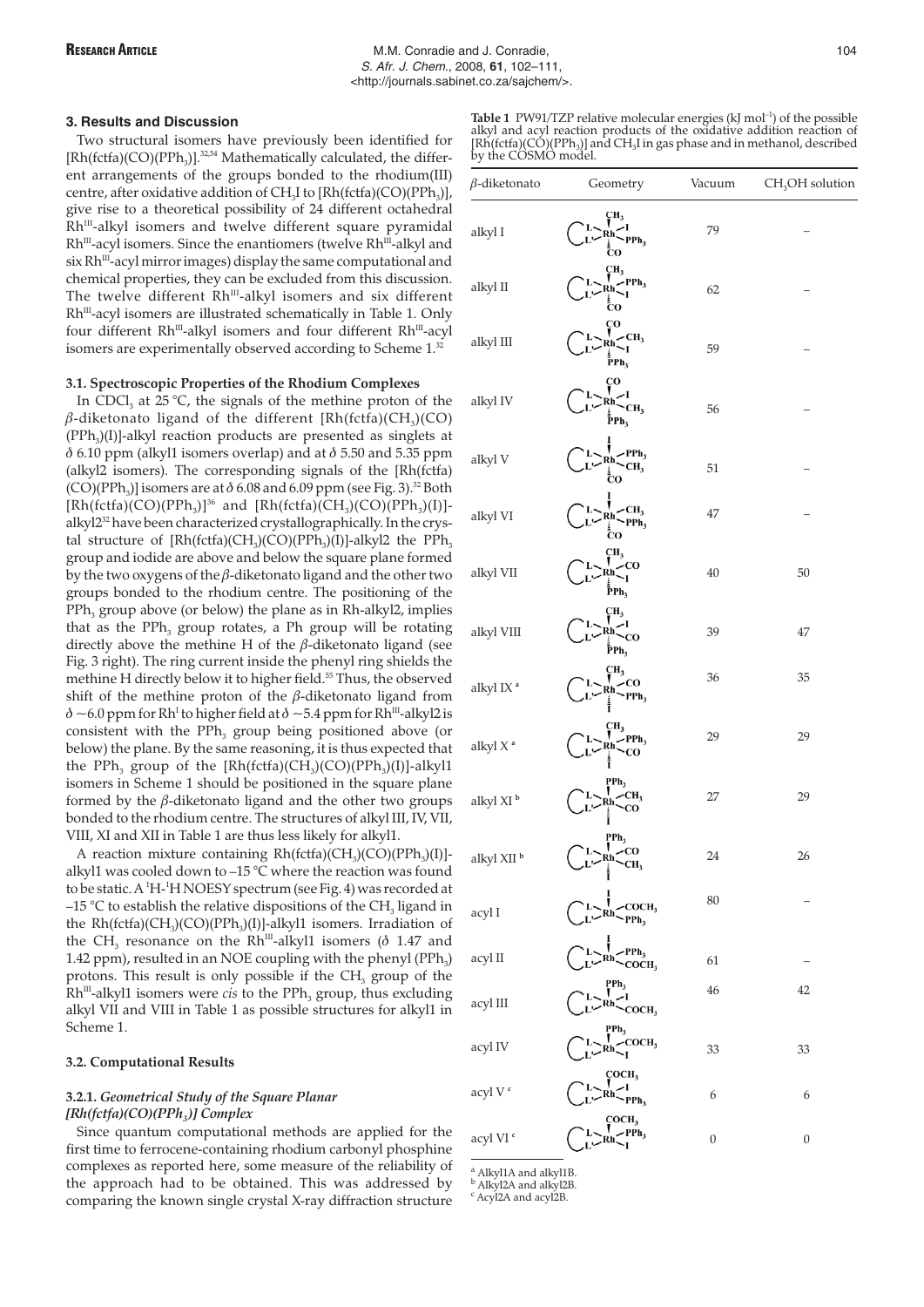# **3. Results and Discussion**

Two structural isomers have previously been identified for  $[Rh(fctfa)(CO)(PPh_3)]$ .<sup>32,54</sup> Mathematically calculated, the different arrangements of the groups bonded to the rhodium(III) centre, after oxidative addition of CH<sub>3</sub>I to  $[Rh(fctfa)(CO)(PPh<sub>3</sub>)]$ , give rise to a theoretical possibility of 24 different octahedral Rh<sup>III</sup>-alkyl isomers and twelve different square pyramidal Rh<sup>III</sup>-acyl isomers. Since the enantiomers (twelve Rh<sup>III</sup>-alkyl and six Rh<sup>III</sup>-acyl mirror images) display the same computational and chemical properties, they can be excluded from this discussion. The twelve different Rh<sup>III</sup>-alkyl isomers and six different Rh<sup>III</sup>-acyl isomers are illustrated schematically in Table 1. Only four different Rh<sup>III</sup>-alkyl isomers and four different Rh<sup>III</sup>-acyl isomers are experimentally observed according to Scheme 1.32

# **3.1. Spectroscopic Properties of the Rhodium Complexes**

In CDCl<sub>3</sub> at  $25^{\circ}$ C, the signals of the methine proton of the β-diketonato ligand of the different [Rh(fctfa)(CH<sub>3</sub>)(CO)  $(PPh<sub>3</sub>)(I)]$ -alkyl reaction products are presented as singlets at  $\delta$  6.10 ppm (alkyl1 isomers overlap) and at  $\delta$  5.50 and 5.35 ppm (alkyl2 isomers). The corresponding signals of the [Rh(fctfa)  $(CO)(PPh<sub>3</sub>)$ ] isomers are at  $\delta$  6.08 and 6.09 ppm (see Fig. 3).<sup>32</sup> Both [Rh(fctfa)(CO)(PPh<sub>3</sub>)]<sup>36</sup> and [Rh(fctfa)(CH<sub>3</sub>)(CO)(PPh<sub>3</sub>)(I)]alkyl232 have been characterized crystallographically. In the crystal structure of  $[Rh(fctfa)(CH<sub>3</sub>)(CO)(PPh<sub>3</sub>)(I)]-alkyl2$  the PPh<sub>3</sub> group and iodide are above and below the square plane formed by the two oxygens of the  $\beta$ -diketonato ligand and the other two groups bonded to the rhodium centre. The positioning of the  $PPh<sub>3</sub>$  group above (or below) the plane as in Rh-alkyl2, implies that as the PPh<sub>3</sub> group rotates, a Ph group will be rotating directly above the methine H of the  $\beta$ -diketonato ligand (see Fig. 3 right). The ring current inside the phenyl ring shields the methine H directly below it to higher field.<sup>55</sup> Thus, the observed shift of the methine proton of the  $\beta$ -diketonato ligand from  $\delta$  ~6.0 ppm for Rh<sup>I</sup> to higher field at  $\delta$  ~5.4 ppm for Rh<sup>III</sup>-alkyl2 is consistent with the  $PPh<sub>3</sub>$  group being positioned above (or below) the plane. By the same reasoning, it is thus expected that the PPh<sub>3</sub> group of the  $[Rh(fctfa)(CH<sub>3</sub>)(CO)(PPh<sub>3</sub>)(I)]-alkyl1$ isomers in Scheme 1 should be positioned in the square plane formed by the  $\beta$ -diketonato ligand and the other two groups bonded to the rhodium centre. The structures of alkyl III, IV, VII, VIII, XI and XII in Table 1 are thus less likely for alkyl1.

A reaction mixture containing  $Rh(fctfa)(CH<sub>3</sub>)(CO)(PPh<sub>3</sub>)(I)$ ]alkyl1 was cooled down to –15 °C where the reaction was found to be static. A <sup>1</sup>H-<sup>1</sup>HNOESY spectrum (see Fig. 4) was recorded at –15 °C to establish the relative dispositions of the CH<sub>3</sub> ligand in the  $Rh(fctfa)(CH<sub>3</sub>)(CO)(PPh<sub>3</sub>)(I)]-alkyl1$  isomers. Irradiation of the CH<sub>3</sub> resonance on the Rh<sup>III</sup>-alkyl1 isomers ( $\delta$  1.47 and 1.42 ppm), resulted in an NOE coupling with the phenyl  $(PPh<sub>3</sub>)$ protons. This result is only possible if the  $CH<sub>3</sub>$  group of the  $Rh^{III}$ -alkyl1 isomers were *cis* to the PPh<sub>3</sub> group, thus excluding alkyl VII and VIII in Table 1 as possible structures for alkyl1 in Scheme 1.

# **3.2. Computational Results**

# **3.2.1.** *Geometrical Study of the Square Planar [Rh(fctfa)(CO)(PPh3 )] Complex*

Since quantum computational methods are applied for the first time to ferrocene-containing rhodium carbonyl phosphine complexes as reported here, some measure of the reliability of the approach had to be obtained. This was addressed by comparing the known single crystal X-ray diffraction structure

**Table 1** PW91/TZP relative molecular energies  $(kI \text{ mol}^{-1})$  of the possible alkyl and acyl reaction products of the oxidative addition reaction of  $[Rh(fctfa)(CÓ)(PPh<sub>3</sub>)]$  and  $CH<sub>3</sub>I$  in gas phase and in methanol, described by the COSMO model.

| $\beta$ -diketonato        | Geometry                                                                                                                                       | Vacuum           | $CH3OH$ solution |
|----------------------------|------------------------------------------------------------------------------------------------------------------------------------------------|------------------|------------------|
| alkyl I                    | ÇН3<br>$Rh$ <sup>I</sup><br>$PPh_3$<br>ĈΟ                                                                                                      | 79               |                  |
| alkyl II                   | ÇН <sub>3</sub><br>$\sum_{\substack{Rh\\I}}^{\mathbf{Ln}_3}$ PPh <sub>3</sub><br>cо                                                            | 62               |                  |
| alkyl III                  | çο<br>$R_h$ $K_I$ $CH_3$<br>РPh <sub>3</sub>                                                                                                   | 59               |                  |
| alkyl IV                   | CО<br>CH,<br>$\bar{P}Ph_3$                                                                                                                     | 56               |                  |
| alkyl V                    | $\mathcal{L}PPh_3$<br>Rh,<br>.<br>co                                                                                                           | 51               |                  |
| alkyl VI                   | $\leq_{\text{PPh}_3}^{\text{CH}_3}$<br>$Rh$<br>$\frac{1}{2}$<br>$\frac{1}{2}$                                                                  | 47               |                  |
| alkyl VII                  | CН <sub>3</sub><br>-co<br>Rh,<br>₽ <sup>в</sup> рь <sub>з</sub>                                                                                | 40               | 50               |
| alkyl VIII                 | CН3<br>Rh,<br>-co<br>₽Ph3                                                                                                                      | 39               | 47               |
| alkyl IX <sup>a</sup>      | ÇН3<br>Rh∶<br>∫<br>$\mathbf{PPh}_3$                                                                                                            | 36               | 35               |
| alkyl X <sup>a</sup>       | CH <sub>3</sub><br>$Rh$<br>$\sim$ PPh <sub>3</sub><br>$\sim$ CO                                                                                | 29               | 29               |
| alkyl XI <sup>b</sup>      | $PPh_3$<br>$R_h$ $\sim$ $CR_3$                                                                                                                 | 27               | 29               |
| alkyl $\rm XII$ $^{\rm b}$ | $\begin{array}{c}\n\text{PPh}_3 \\ L \searrow \text{Rh} \searrow \text{CO} \\ L \searrow \text{Ph} \searrow \text{CH}_3\n\end{array}$<br>سمنار | 24               | 26               |
| acyl I                     | L > R h <sub>PPh<sub>3</sub></sub>                                                                                                             | 80               |                  |
| acyl II                    | $\frac{1}{Rh}$ PPh <sub>3</sub>                                                                                                                | 61               |                  |
| acyl III                   | $\sum_{Rh}^{PPh_3} \sim 1$ <sub>COCH<sub>3</sub></sub>                                                                                         | 46               | 42               |
| acyl IV                    | $\sum_{\substack{I \ \mathbf{R}h \ \mathbf{R}\mathbf{h}\ \mathbf{I}}}^{\mathbf{PPh}_3}$                                                        | 33               | 33               |
| acyl V $^{\rm c}$          | $L > N_{\rm R}$<br>$L > R h > I$<br>$L > R h$<br>$P_{\rm Ph_3}$                                                                                | 6                | 6                |
| acyl VI $^{\rm c}$         | $\sum_{\text{Rh}\sim\text{PPh}_3}^{\text{COCH}_3}$                                                                                             | $\boldsymbol{0}$ | $\boldsymbol{0}$ |

$$
^{\text{a}}\text{ Alkvl1A and alkvl1B}
$$

<sup>a</sup> Alkyl1A and alkyl1B.<br><sup>b</sup> Alkyl2A and alkyl2B.

<sup>c</sup> Acyl<sub>2</sub>A and acyl<sub>2</sub>B.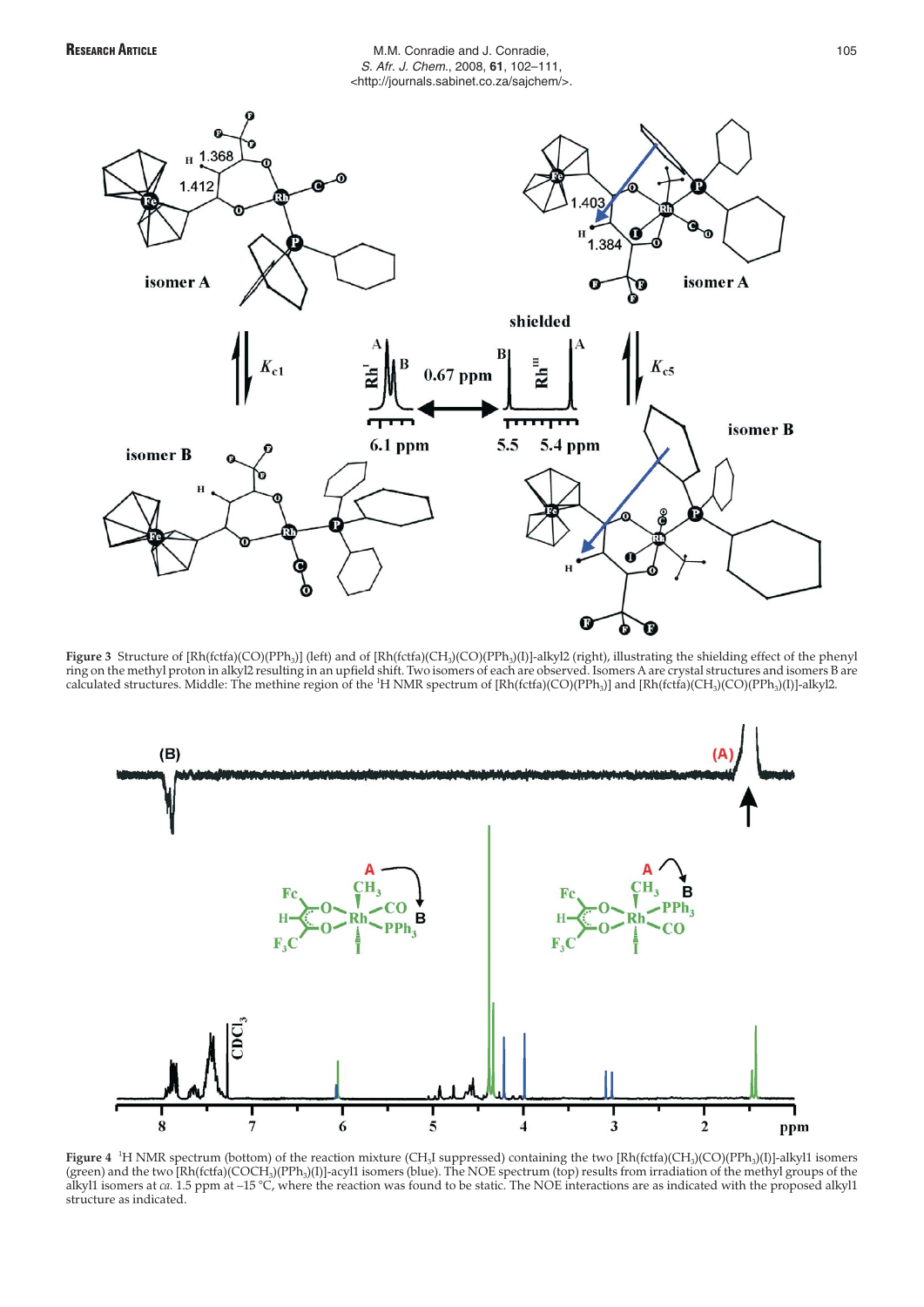# RESEARCH ARTICLE **ARTICLE M.M. Conradie and J. Conradie,** 105 S. Afr. J. Chem., 2008, **61**, 102–111, <http://journals.sabinet.co.za/sajchem/>.



Figure 3 Structure of [Rh(fctfa)(CO)(PPh<sub>3</sub>)] (left) and of [Rh(fctfa)(CH<sub>3</sub>)(CO)(PPh<sub>3</sub>)[I]-alkyl2 (right), illustrating the shielding effect of the phenyl ring on the methyl proton in alkyl2 resulting in an upfield shift. Two isomers of each are observed. Isomers A are crystal structures and isomers B are calculated structures. Middle: The methine region of the <sup>1</sup>H NMR spectrum of [Rh(fctfa)(CO)(PPh<sub>3</sub>)] and [Rh(fctfa)(CH<sub>3</sub>)(CO)(PPh<sub>3</sub>)[J]-alkyl2.



**Figure 4** <sup>1</sup>H NMR spectrum (bottom) of the reaction mixture (CH<sub>3</sub>I suppressed) containing the two [Rh(fctfa)(CH<sub>3</sub>)(CO)(PPh<sub>3</sub>)(I)]-alkyl1 isomers (green) and the two [Rh(fctfa)(COCH3)(PPh3)(I)]-acyl1 isomers (blue). The NOE spectrum (top) results from irradiation of the methyl groups of the alkyl1 isomers at *ca.* 1.5 ppm at –15 °C, where the reaction was found to be static. The NOE interactions are as indicated with the proposed alkyl1 structure as indicated.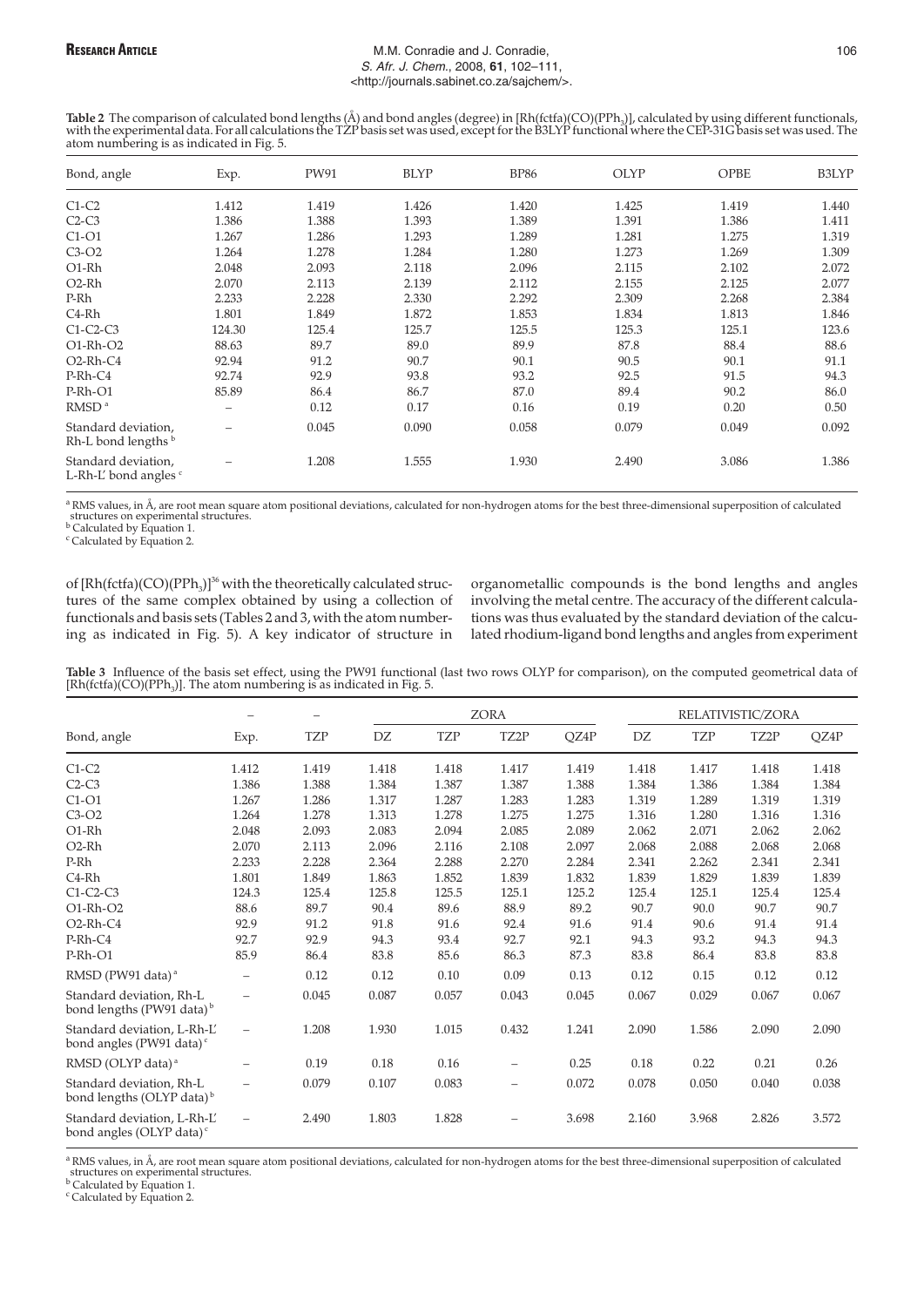# RESEARCH ARTICLE **ARTICLE M.M. Conradie and J. Conradie,** 106 S. Afr. J. Chem., 2008, **61**, 102–111, <http://journals.sabinet.co.za/sajchem/>.

Table 2 The comparison of calculated bond lengths (Å) and bond angles (degree) in [Rh(fctfa)(CO)(PPh<sub>3</sub>)], calculated by using different functionals, with the experimental data. For all calculations the TZP basis set was u atom numbering is as indicated in Fig. 5.

| Bond, angle                                  | Exp.                     | PW91  | <b>BLYP</b> | <b>BP86</b> | <b>OLYP</b> | OPBE  | B3LYP |
|----------------------------------------------|--------------------------|-------|-------------|-------------|-------------|-------|-------|
| $C1-C2$                                      | 1.412                    | 1.419 | 1.426       | 1.420       | 1.425       | 1.419 | 1.440 |
| $C2-C3$                                      | 1.386                    | 1.388 | 1.393       | 1.389       | 1.391       | 1.386 | 1.411 |
| $C1-O1$                                      | 1.267                    | 1.286 | 1.293       | 1.289       | 1.281       | 1.275 | 1.319 |
| $C3-O2$                                      | 1.264                    | 1.278 | 1.284       | 1.280       | 1.273       | 1.269 | 1.309 |
| O1-Rh                                        | 2.048                    | 2.093 | 2.118       | 2.096       | 2.115       | 2.102 | 2.072 |
| O2-Rh                                        | 2.070                    | 2.113 | 2.139       | 2.112       | 2.155       | 2.125 | 2.077 |
| P-Rh                                         | 2.233                    | 2.228 | 2.330       | 2.292       | 2.309       | 2.268 | 2.384 |
| C4-Rh                                        | 1.801                    | 1.849 | 1.872       | 1.853       | 1.834       | 1.813 | 1.846 |
| $C1-C2-C3$                                   | 124.30                   | 125.4 | 125.7       | 125.5       | 125.3       | 125.1 | 123.6 |
| O1-Rh-O2                                     | 88.63                    | 89.7  | 89.0        | 89.9        | 87.8        | 88.4  | 88.6  |
| O <sub>2</sub> -Rh-C <sub>4</sub>            | 92.94                    | 91.2  | 90.7        | 90.1        | 90.5        | 90.1  | 91.1  |
| $P-Rh-C4$                                    | 92.74                    | 92.9  | 93.8        | 93.2        | 92.5        | 91.5  | 94.3  |
| P-Rh-O1                                      | 85.89                    | 86.4  | 86.7        | 87.0        | 89.4        | 90.2  | 86.0  |
| RMSD <sup>a</sup>                            | $\overline{\phantom{0}}$ | 0.12  | 0.17        | 0.16        | 0.19        | 0.20  | 0.50  |
| Standard deviation,<br>Rh-L bond lengths b   | $\overline{\phantom{0}}$ | 0.045 | 0.090       | 0.058       | 0.079       | 0.049 | 0.092 |
| Standard deviation,<br>L-Rh-L' bond angles c |                          | 1.208 | 1.555       | 1.930       | 2.490       | 3.086 | 1.386 |

<sup>a</sup> RMS values, in Å, are root mean square atom positional deviations, calculated for non-hydrogen atoms for the best three-dimensional superposition of calculated b Calculated by Equation 1.

<sup>c</sup> Calculated by Equation 2.

of  $[Rh(fctfa)(CO)(PPh<sub>3</sub>)]<sup>36</sup>$  with the theoretically calculated structures of the same complex obtained by using a collection of functionals and basis sets (Tables 2 and 3, with the atom numbering as indicated in Fig. 5). A key indicator of structure in

organometallic compounds is the bond lengths and angles involving the metal centre. The accuracy of the different calculations was thus evaluated by the standard deviation of the calculated rhodium-ligand bond lengths and angles from experiment

**Table 3** Influence of the basis set effect, using the PW91 functional (last two rows OLYP for comparison), on the computed geometrical data of [Rh(fctfa)(CO)(PPh<sub>3</sub>)]. The atom numbering is as indicated in Fig. 5.

|                                                                     |                          |            |       |            | <b>ZORA</b>              |       |       |            | RELATIVISTIC/ZORA |       |
|---------------------------------------------------------------------|--------------------------|------------|-------|------------|--------------------------|-------|-------|------------|-------------------|-------|
| Bond, angle                                                         | Exp.                     | <b>TZP</b> | DZ    | <b>TZP</b> | TZ2P                     | QZ4P  | DZ    | <b>TZP</b> | TZ <sub>2</sub> P | QZ4P  |
| $C1-C2$                                                             | 1.412                    | 1.419      | 1.418 | 1.418      | 1.417                    | 1.419 | 1.418 | 1.417      | 1.418             | 1.418 |
| $C2-C3$                                                             | 1.386                    | 1.388      | 1.384 | 1.387      | 1.387                    | 1.388 | 1.384 | 1.386      | 1.384             | 1.384 |
| $C1-O1$                                                             | 1.267                    | 1.286      | 1.317 | 1.287      | 1.283                    | 1.283 | 1.319 | 1.289      | 1.319             | 1.319 |
| $C3-O2$                                                             | 1.264                    | 1.278      | 1.313 | 1.278      | 1.275                    | 1.275 | 1.316 | 1.280      | 1.316             | 1.316 |
| O1-Rh                                                               | 2.048                    | 2.093      | 2.083 | 2.094      | 2.085                    | 2.089 | 2.062 | 2.071      | 2.062             | 2.062 |
| O <sub>2</sub> -Rh                                                  | 2.070                    | 2.113      | 2.096 | 2.116      | 2.108                    | 2.097 | 2.068 | 2.088      | 2.068             | 2.068 |
| P-Rh                                                                | 2.233                    | 2.228      | 2.364 | 2.288      | 2.270                    | 2.284 | 2.341 | 2.262      | 2.341             | 2.341 |
| $C4-Rh$                                                             | 1.801                    | 1.849      | 1.863 | 1.852      | 1.839                    | 1.832 | 1.839 | 1.829      | 1.839             | 1.839 |
| $C1-C2-C3$                                                          | 124.3                    | 125.4      | 125.8 | 125.5      | 125.1                    | 125.2 | 125.4 | 125.1      | 125.4             | 125.4 |
| $O1-Rh-O2$                                                          | 88.6                     | 89.7       | 90.4  | 89.6       | 88.9                     | 89.2  | 90.7  | 90.0       | 90.7              | 90.7  |
| $O2-Rh-C4$                                                          | 92.9                     | 91.2       | 91.8  | 91.6       | 92.4                     | 91.6  | 91.4  | 90.6       | 91.4              | 91.4  |
| P-Rh-C4                                                             | 92.7                     | 92.9       | 94.3  | 93.4       | 92.7                     | 92.1  | 94.3  | 93.2       | 94.3              | 94.3  |
| P-Rh-O1                                                             | 85.9                     | 86.4       | 83.8  | 85.6       | 86.3                     | 87.3  | 83.8  | 86.4       | 83.8              | 83.8  |
| RMSD (PW91 data) <sup>a</sup>                                       | $\overline{\phantom{0}}$ | 0.12       | 0.12  | 0.10       | 0.09                     | 0.13  | 0.12  | 0.15       | 0.12              | 0.12  |
| Standard deviation, Rh-L<br>bond lengths (PW91 data) <sup>b</sup>   | $\overline{\phantom{0}}$ | 0.045      | 0.087 | 0.057      | 0.043                    | 0.045 | 0.067 | 0.029      | 0.067             | 0.067 |
| Standard deviation, L-Rh-L'<br>bond angles (PW91 data) <sup>c</sup> | $\overline{\phantom{0}}$ | 1.208      | 1.930 | 1.015      | 0.432                    | 1.241 | 2.090 | 1.586      | 2.090             | 2.090 |
| RMSD (OLYP data) <sup>a</sup>                                       | $\overline{\phantom{0}}$ | 0.19       | 0.18  | 0.16       | $\overline{\phantom{m}}$ | 0.25  | 0.18  | 0.22       | 0.21              | 0.26  |
| Standard deviation, Rh-L<br>bond lengths (OLYP data) <sup>b</sup>   | $\overline{\phantom{0}}$ | 0.079      | 0.107 | 0.083      |                          | 0.072 | 0.078 | 0.050      | 0.040             | 0.038 |
| Standard deviation, L-Rh-L'<br>bond angles (OLYP data) <sup>c</sup> | $\overline{\phantom{0}}$ | 2.490      | 1.803 | 1.828      |                          | 3.698 | 2.160 | 3.968      | 2.826             | 3.572 |

<sup>a</sup> RMS values, in Å, are root mean square atom positional deviations, calculated for non-hydrogen atoms for the best three-dimensional superposition of calculated structures on experimental structures.

b Calculated by Equation 1.

<sup>c</sup> Calculated by Equation 2.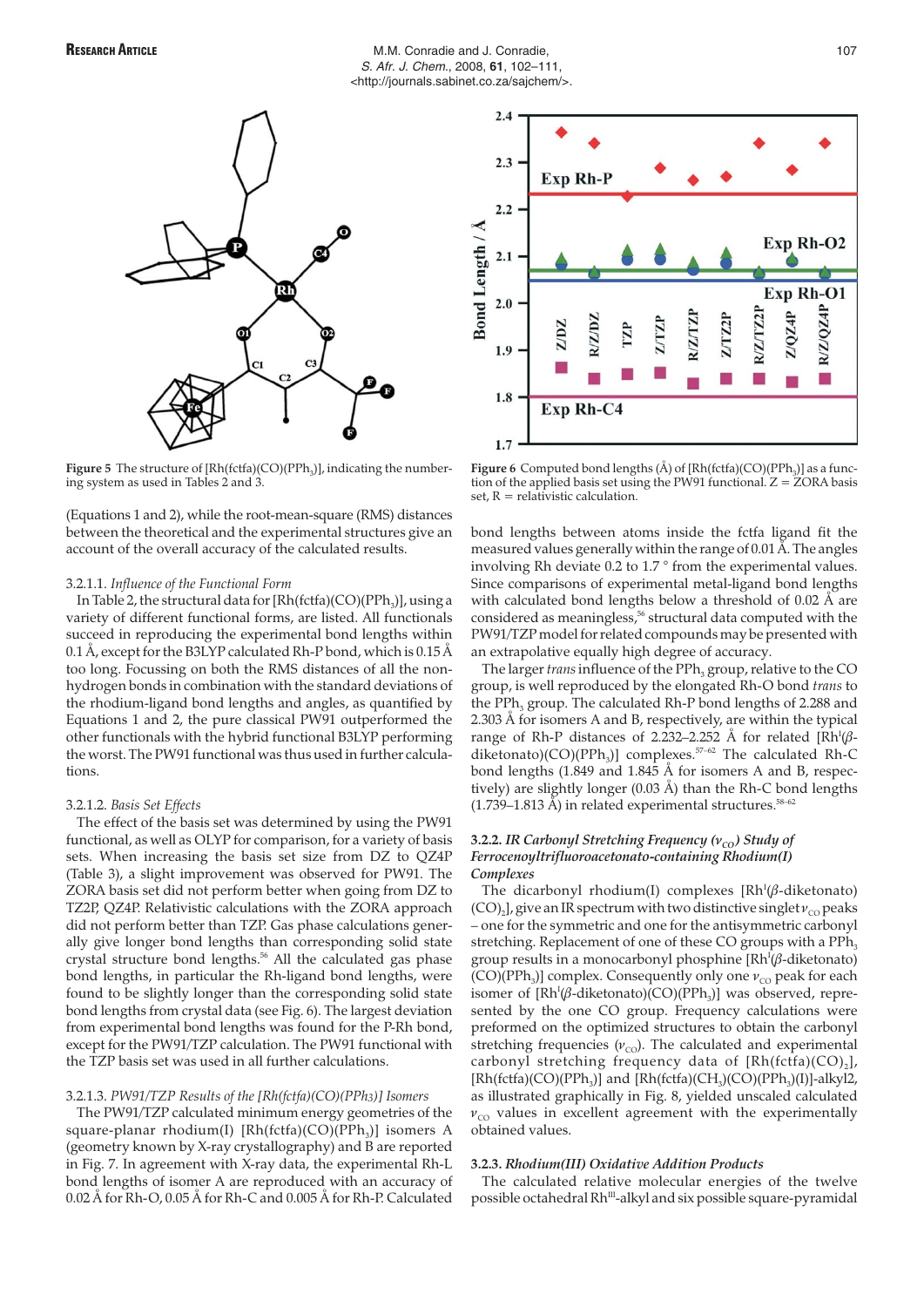

**Figure 5** The structure of [Rh(fctfa)(CO)(PPh<sub>3</sub>)], indicating the numbering system as used in Tables 2 and 3.

(Equations 1 and 2), while the root-mean-square (RMS) distances between the theoretical and the experimental structures give an account of the overall accuracy of the calculated results.

# 3.2.1.1. *Influence of the Functional Form*

In Table 2, the structural data for  $[Rh(fctfa)(CO)(PPh<sub>3</sub>)]$ , using a variety of different functional forms, are listed. All functionals succeed in reproducing the experimental bond lengths within 0.1 Å, except for the B3LYP calculated Rh-P bond, which is 0.15 Å too long. Focussing on both the RMS distances of all the nonhydrogen bonds in combination with the standard deviations of the rhodium-ligand bond lengths and angles, as quantified by Equations 1 and 2, the pure classical PW91 outperformed the other functionals with the hybrid functional B3LYP performing the worst. The PW91 functional was thus used in further calculations.

# 3.2.1.2. *Basis Set Effects*

The effect of the basis set was determined by using the PW91 functional, as well as OLYP for comparison, for a variety of basis sets. When increasing the basis set size from DZ to QZ4P (Table 3), a slight improvement was observed for PW91. The ZORA basis set did not perform better when going from DZ to TZ2P, QZ4P. Relativistic calculations with the ZORA approach did not perform better than TZP. Gas phase calculations generally give longer bond lengths than corresponding solid state crystal structure bond lengths.<sup>56</sup> All the calculated gas phase bond lengths, in particular the Rh-ligand bond lengths, were found to be slightly longer than the corresponding solid state bond lengths from crystal data (see Fig. 6). The largest deviation from experimental bond lengths was found for the P-Rh bond, except for the PW91/TZP calculation. The PW91 functional with the TZP basis set was used in all further calculations.

# 3.2.1.3. *PW91/TZP Results of the [Rh(fctfa)(CO)(PPh3)] Isomers*

The PW91/TZP calculated minimum energy geometries of the square-planar rhodium(I)  $[Rh(fctfa)(CO)(PPh_3)]$  isomers A (geometry known by X-ray crystallography) and B are reported in Fig. 7. In agreement with X-ray data, the experimental Rh-L bond lengths of isomer A are reproduced with an accuracy of 0.02 Å for Rh-O, 0.05 Å for Rh-C and 0.005 Å for Rh-P. Calculated



**Figure 6** Computed bond lengths  $(\AA)$  of  $[Rh(fctfa)(CO)(PPh_3)]$  as a function of the applied basis set using the PW91 functional.  $Z = \overline{Z}$ ORA basis set,  $R =$  relativistic calculation.

bond lengths between atoms inside the fctfa ligand fit the measured values generally within the range of 0.01 Å. The angles involving Rh deviate 0.2 to 1.7 ° from the experimental values. Since comparisons of experimental metal-ligand bond lengths with calculated bond lengths below a threshold of 0.02 Å are considered as meaningless,<sup>56</sup> structural data computed with the PW91/TZP model for related compounds may be presented with an extrapolative equally high degree of accuracy.

The larger *trans* influence of the PPh<sub>3</sub> group, relative to the CO group, is well reproduced by the elongated Rh-O bond *trans* to the PPh<sub>3</sub> group. The calculated Rh-P bond lengths of 2.288 and 2.303 Å for isomers A and B, respectively, are within the typical range of Rh-P distances of 2.232–2.252 Å for related [Rh<sup>I</sup>(βdiketonato)(CO)(PPh<sub>3</sub>)] complexes.<sup>57-62</sup> The calculated Rh-C bond lengths (1.849 and 1.845 Å for isomers A and B, respectively) are slightly longer (0.03 Å) than the Rh-C bond lengths (1.739–1.813 Å) in related experimental structures.<sup>58–62</sup>

# **3.2.2. IR Carbonyl Stretching Frequency (** $v_{\text{co}}$ **) Study of** *Ferrocenoyltrifluoroacetonato-containing Rhodium(I) Complexes*

The dicarbonyl rhodium(I) complexes  $[Rh^{I}(\beta$ -diketonato)  $(CO)_{2}$ , give an IR spectrum with two distinctive singlet  $v_{\text{CO}}$  peaks – one for the symmetric and one for the antisymmetric carbonyl stretching. Replacement of one of these CO groups with a PPh<sub>3</sub> group results in a monocarbonyl phosphine [Rh<sup>I</sup>(β-diketonato) (CO)(PPh<sub>3</sub>)] complex. Consequently only one  $v_{\rm co}$  peak for each isomer of  $\text{[Rh}^{\text{I}}(\beta\text{-diketonato})(\text{CO})(\text{PPh}_3)$ ] was observed, represented by the one CO group. Frequency calculations were preformed on the optimized structures to obtain the carbonyl stretching frequencies  $(v_{\text{co}})$ . The calculated and experimental carbonyl stretching frequency data of  $[Rh(fctfa)(CO),]$ ,  $[Rh(fctfa)(CO)(PPh_3)]$  and  $[Rh(fctfa)(CH_3)(CO)(PPh_3)(I)]-alkyl2$ , as illustrated graphically in Fig. 8, yielded unscaled calculated  $v_{\rm CO}$  values in excellent agreement with the experimentally obtained values.

# **3.2.3.** *Rhodium(III) Oxidative Addition Products*

The calculated relative molecular energies of the twelve possible octahedral Rh<sup>III</sup>-alkyl and six possible square-pyramidal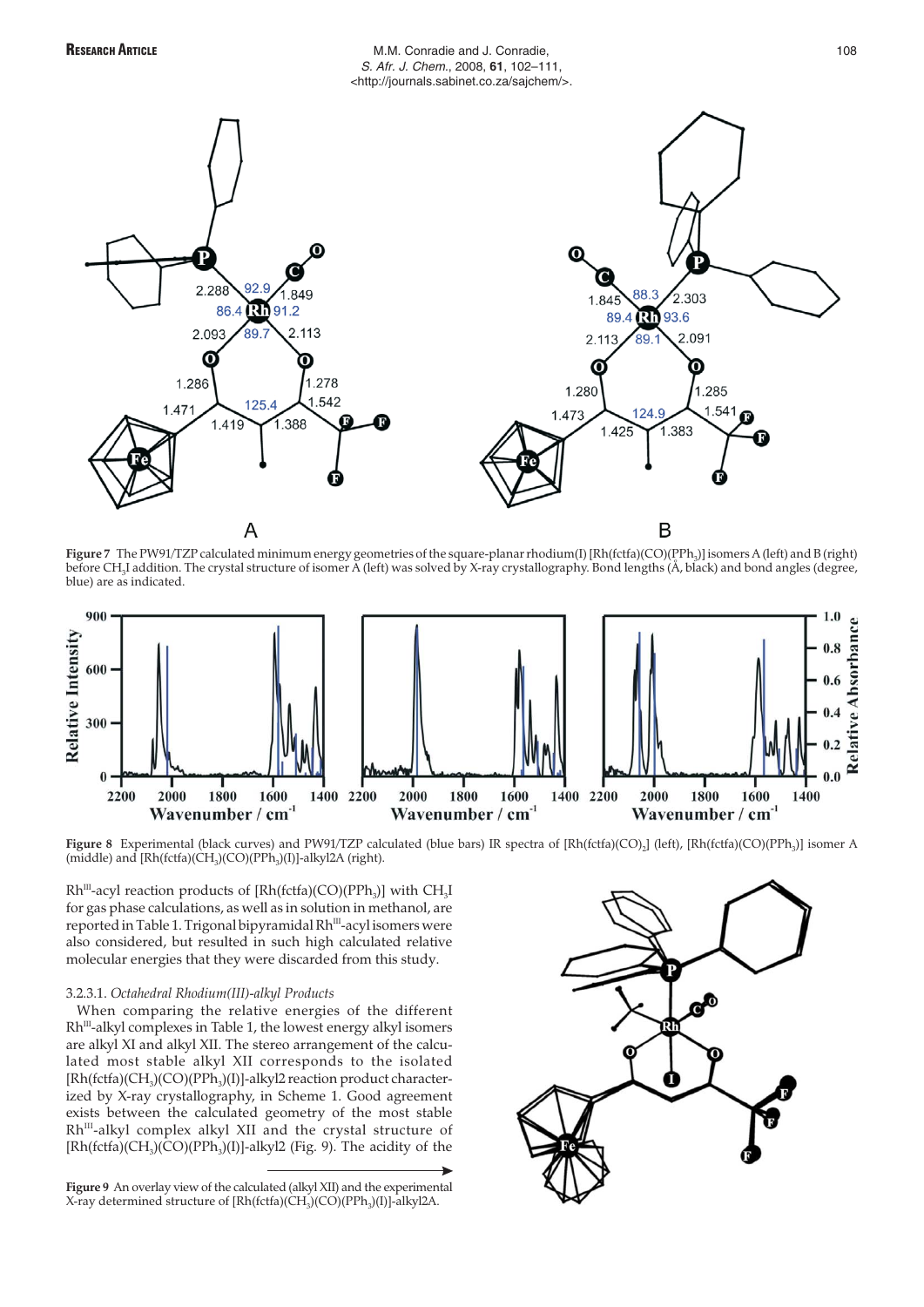

# RESEARCH ARTICLE **ARTICLE M.M. Conradie and J. Conradie,** 108 S. Afr. J. Chem., 2008, **61**, 102–111, <http://journals.sabinet.co.za/sajchem/>.



**Figure 7** The PW91/TZP calculated minimum energy geometries of the square-planar rhodium(I) [Rh(fctfa)(CO)(PPh<sub>3</sub>)] isomers A (left) and B (right) before CH<sub>3</sub>I addition. The crystal structure of isomer A (left) was solved by X-ray crystallography. Bond lengths (Å, black) and bond angles (degree, blue) are as indicated.



Figure 8 Experimental (black curves) and PW91/TZP calculated (blue bars) IR spectra of [Rh(fctfa)(CO)<sub>2</sub>] (left), [Rh(fctfa)(CO)(PPh<sub>3</sub>)] isomer A (middle) and  $[Rh(fctfa)(CH<sub>3</sub>)(CO)(PPh<sub>3</sub>)(I)]-alkyl2A$  (right).

 $Rh^{III}$ -acyl reaction products of  $[Rh(fctfa)(CO)(PPh_3)]$  with  $CH_3I$ for gas phase calculations, as well as in solution in methanol, are reported in Table 1. Trigonal bipyramidal Rh<sup>III</sup>-acyl isomers were also considered, but resulted in such high calculated relative molecular energies that they were discarded from this study.

## 3.2.3.1. *Octahedral Rhodium(III)-alkyl Products*

When comparing the relative energies of the different  $Rh^{III}$ -alkyl complexes in Table 1, the lowest energy alkyl isomers are alkyl XI and alkyl XII. The stereo arrangement of the calculated most stable alkyl XII corresponds to the isolated  $[Rh(fctfa)(CH<sub>3</sub>)(CO)(PPh<sub>3</sub>)(I)]-alkyl2 reaction product character$ ized by X-ray crystallography, in Scheme 1. Good agreement exists between the calculated geometry of the most stable Rh<sup>III</sup>-alkyl complex alkyl XII and the crystal structure of  $[Rh(fctfa)(CH<sub>3</sub>)(CO)(PPh<sub>3</sub>)(I)]-alkyl2$  (Fig. 9). The acidity of the

**Figure 9** An overlay view of the calculated (alkyl XII) and the experimental X-ray determined structure of  $[Rh(fctfa)(CH<sub>3</sub>)(CO)(PPh<sub>3</sub>)(I)]-alkyl2A$ .

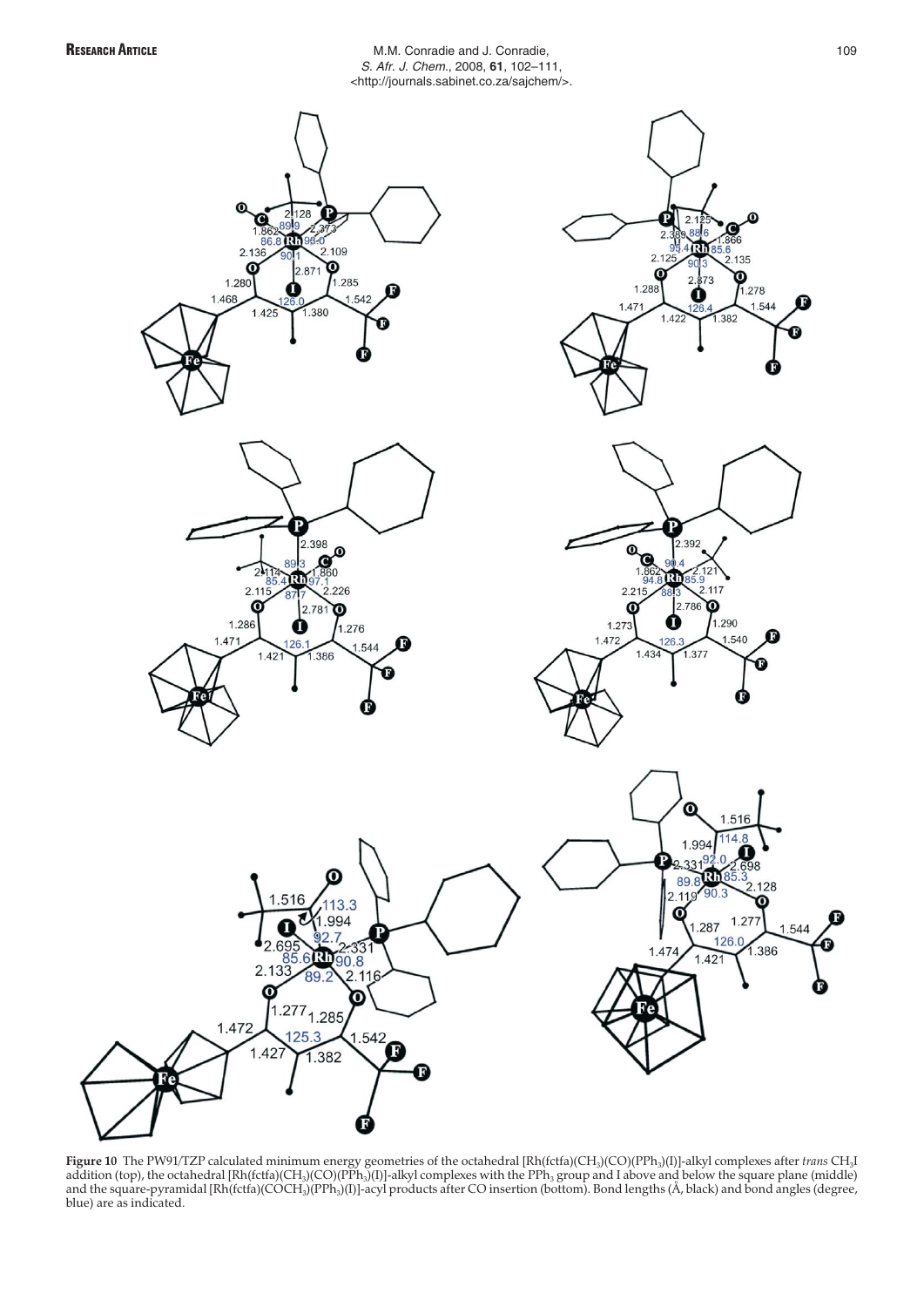RESEARCH ARTICLE **ARTICLE M.M. Conradie and J. Conradie,** 109 S. Afr. J. Chem., 2008, **61**, 102–111, <http://journals.sabinet.co.za/sajchem/>.



**Figure 10** The PW91/TZP calculated minimum energy geometries of the octahedral [Rh(fctfa)(CH3)(CO)(PPh3)(I)]-alkyl complexes after *trans* CH3I addition (top), the octahedral [Rh(fctfa)(CH $_3$ )(CO)(PPh $_3$ )(I)]-alkyl complexes with the PPh $_3$  group and I above and below the square plane (middle) and the square-pyramidal [Rh(fctfa)(COCH<sub>3</sub>)(PPh<sub>3</sub>)(I)]-acyl products after CO insertion (bottom). Bond lengths (A, black) and bond angles (degree, blue) are as indicated.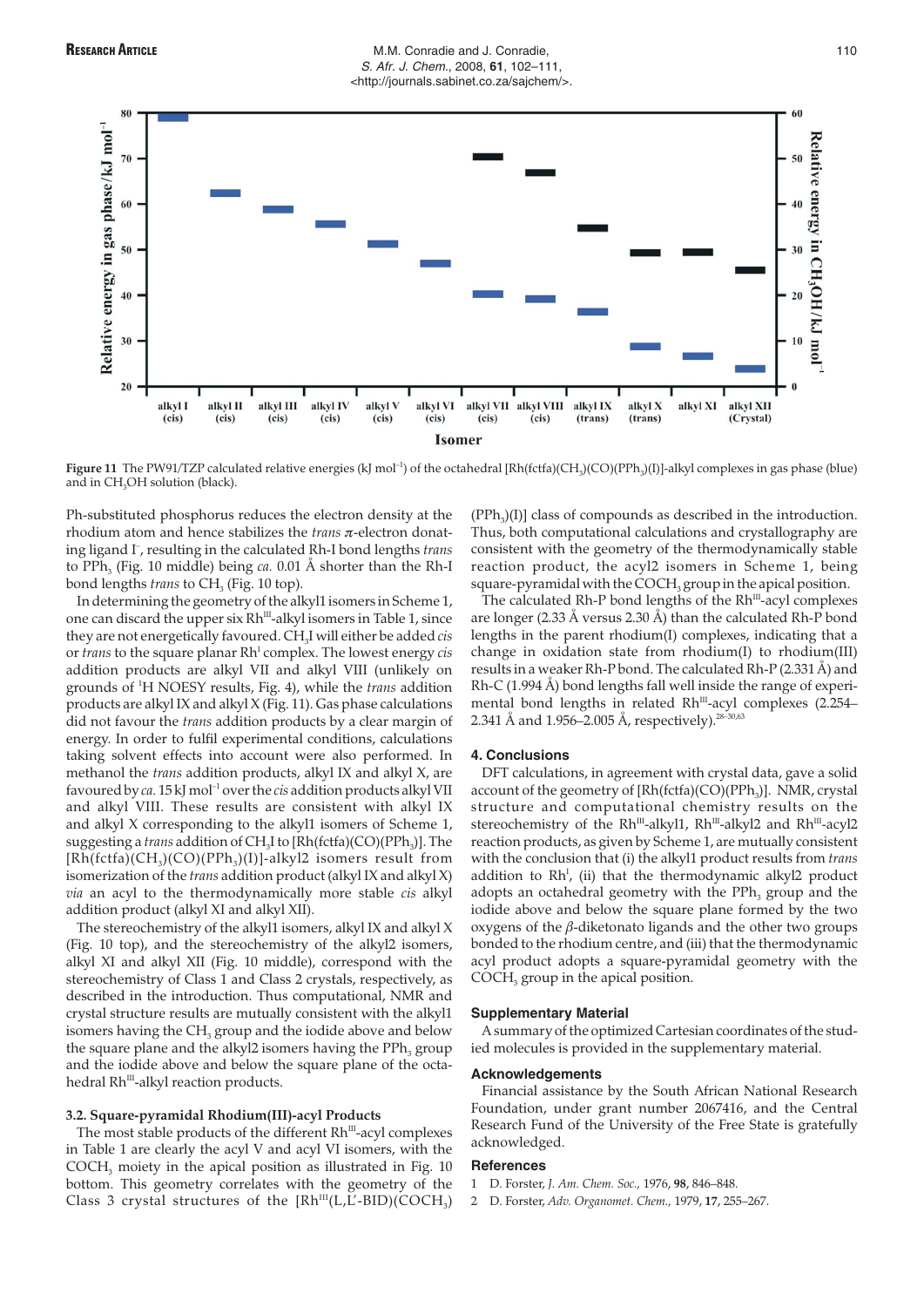# **RESEARCH ARTICLE** THE M.M. Conradie and J. Conradie, **RESEARCH ARTICLE** 110 S. Afr. J. Chem., 2008, **61**, 102–111, <http://journals.sabinet.co.za/sajchem/>.



**Figure 11** The PW91/TZP calculated relative energies (kJ mol<sup>-1</sup>) of the octahedral [Rh(fctfa)(CH<sub>3</sub>)(CO)(PPh<sub>3</sub>)(I)]-alkyl complexes in gas phase (blue) and in  $CH<sub>3</sub>OH$  solution (black).

Ph-substituted phosphorus reduces the electron density at the rhodium atom and hence stabilizes the *trans* π-electron donating ligand I– , resulting in the calculated Rh-I bond lengths *trans* to PPh<sub>3</sub> (Fig. 10 middle) being *ca.* 0.01 Å shorter than the Rh-I bond lengths *trans* to CH<sub>3</sub> (Fig. 10 top).

In determining the geometry of the alkyl1 isomers in Scheme 1, one can discard the upper six Rh<sup>III</sup>-alkyl isomers in Table 1, since they are not energetically favoured. CH3I will either be added *cis* or *trans* to the square planar Rh<sup>1</sup> complex. The lowest energy *cis* addition products are alkyl VII and alkyl VIII (unlikely on grounds of <sup>1</sup> H NOESY results, Fig. 4), while the *trans* addition products are alkyl IX and alkyl X (Fig. 11). Gas phase calculations did not favour the *trans* addition products by a clear margin of energy. In order to fulfil experimental conditions, calculations taking solvent effects into account were also performed. In methanol the *trans* addition products, alkyl IX and alkyl X, are favoured by *ca.* 15 kJ mol–1 over the *cis* addition products alkyl VII and alkyl VIII. These results are consistent with alkyl IX and alkyl X corresponding to the alkyl1 isomers of Scheme 1, suggesting a *trans* addition of CH<sub>3</sub>I to [Rh(fctfa)(CO)(PPh<sub>3</sub>)]. The  $[Rh(fctfa)(CH<sub>3</sub>)(CO)(PPh<sub>3</sub>)(I)]-alkyl2$  isomers result from isomerization of the *trans* addition product (alkyl IX and alkyl X) *via* an acyl to the thermodynamically more stable *cis* alkyl addition product (alkyl XI and alkyl XII).

The stereochemistry of the alkyl1 isomers, alkyl IX and alkyl X (Fig. 10 top), and the stereochemistry of the alkyl2 isomers, alkyl XI and alkyl XII (Fig. 10 middle), correspond with the stereochemistry of Class 1 and Class 2 crystals, respectively, as described in the introduction. Thus computational, NMR and crystal structure results are mutually consistent with the alkyl1 isomers having the  $CH<sub>3</sub>$  group and the iodide above and below the square plane and the alkyl2 isomers having the  $PPh<sub>3</sub>$  group and the iodide above and below the square plane of the octahedral Rh<sup>III</sup>-alkyl reaction products.

# **3.2. Square-pyramidal Rhodium(III)-acyl Products**

The most stable products of the different  $Rh^{III}$ -acyl complexes in Table 1 are clearly the acyl V and acyl VI isomers, with the COCH<sub>3</sub> moiety in the apical position as illustrated in Fig. 10 bottom. This geometry correlates with the geometry of the Class 3 crystal structures of the  $[Rh<sup>III</sup>(L,<sub>L</sub>-BID)(COCH<sub>3</sub>)$ 

 $(PPh<sub>3</sub>)(I)$ ] class of compounds as described in the introduction. Thus, both computational calculations and crystallography are consistent with the geometry of the thermodynamically stable reaction product, the acyl2 isomers in Scheme 1, being square-pyramidal with the  $COCH<sub>3</sub>$  group in the apical position.

The calculated Rh-P bond lengths of the  $Rh<sup>III</sup>$ -acyl complexes are longer (2.33 Å versus 2.30 Å) than the calculated Rh-P bond lengths in the parent rhodium(I) complexes, indicating that a change in oxidation state from rhodium(I) to rhodium(III) results in a weaker Rh-P bond. The calculated Rh-P (2.331 Å) and Rh-C (1.994 Å) bond lengths fall well inside the range of experimental bond lengths in related  $Rh^{III}$ -acyl complexes (2.254– 2.341 Å and 1.956–2.005 Å, respectively).<sup>28–30,63</sup>

#### **4. Conclusions**

DFT calculations, in agreement with crystal data, gave a solid account of the geometry of  $[Rh(fctfa)(CO)(PPh<sub>3</sub>)]$ . NMR, crystal structure and computational chemistry results on the stereochemistry of the Rh<sup>III</sup>-alkyl1, Rh<sup>III</sup>-alkyl2 and Rh<sup>III</sup>-acyl2 reaction products, as given by Scheme 1, are mutually consistent with the conclusion that (i) the alkyl1 product results from *trans* addition to  $Rh^{I}$ , (ii) that the thermodynamic alkyl2 product adopts an octahedral geometry with the PPh<sub>2</sub> group and the iodide above and below the square plane formed by the two oxygens of the  $\beta$ -diketonato ligands and the other two groups bonded to the rhodium centre, and (iii) that the thermodynamic acyl product adopts a square-pyramidal geometry with the COCH<sub>3</sub> group in the apical position.

#### **Supplementary Material**

A summary of the optimized Cartesian coordinates of the studied molecules is provided in the supplementary material.

#### **Acknowledgements**

Financial assistance by the South African National Research Foundation, under grant number 2067416, and the Central Research Fund of the University of the Free State is gratefully acknowledged.

#### **References**

- 1 D. Forster, *J. Am. Chem. Soc.,* 1976, **98**, 846–848.
- 2 D. Forster, *Adv. Organomet. Chem.,* 1979, **17**, 255–267.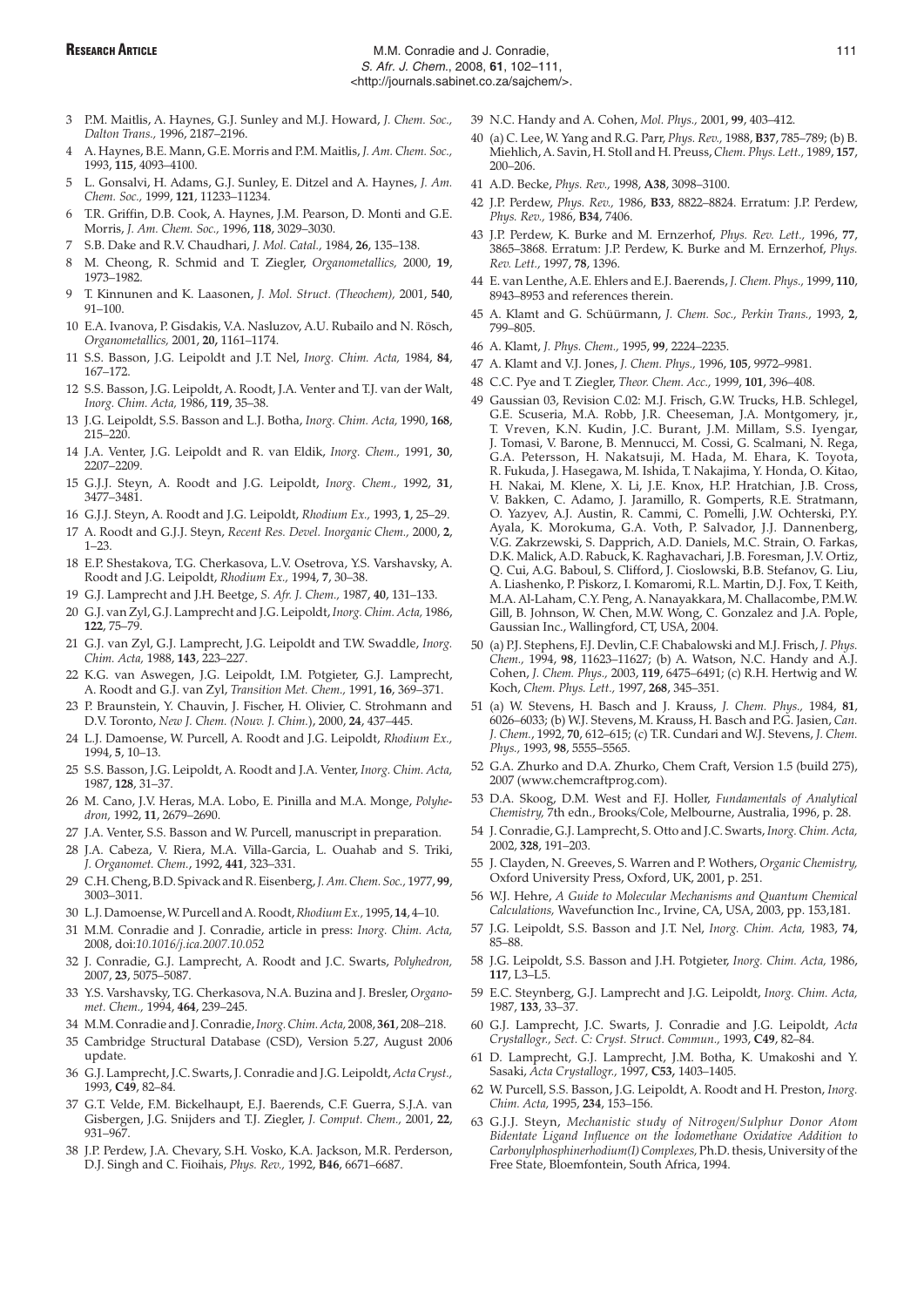- 3 P.M. Maitlis, A. Haynes, G.J. Sunley and M.J. Howard, *J. Chem. Soc., Dalton Trans.,* 1996, 2187–2196.
- 4 A. Haynes, B.E. Mann, G.E. Morris and P.M. Maitlis, *J. Am. Chem. Soc.,* 1993, **115**, 4093–4100.
- 5 L. Gonsalvi, H. Adams, G.J. Sunley, E. Ditzel and A. Haynes, *J. Am. Chem. Soc.,* 1999, **121**, 11233–11234.
- 6 T.R. Griffin, D.B. Cook, A. Haynes, J.M. Pearson, D. Monti and G.E. Morris, *J. Am. Chem. Soc.,* 1996, **118**, 3029–3030.
- 7 S.B. Dake and R.V. Chaudhari, *J. Mol. Catal.,* 1984, **26**, 135–138.
- 8 M. Cheong, R. Schmid and T. Ziegler, *Organometallics,* 2000, **19**, 1973–1982.
- 9 T. Kinnunen and K. Laasonen, *J. Mol. Struct. (Theochem),* 2001, **540**, 91–100.
- 10 E.A. Ivanova, P. Gisdakis, V.A. Nasluzov, A.U. Rubailo and N. Rösch, *Organometallics,* 2001, **20,** 1161–1174.
- 11 S.S. Basson, J.G. Leipoldt and J.T. Nel, *Inorg. Chim. Acta,* 1984, **84**, 167–172.
- 12 S.S. Basson, J.G. Leipoldt, A. Roodt, J.A. Venter and T.J. van der Walt, *Inorg. Chim. Acta,* 1986, **119**, 35–38.
- 13 J.G. Leipoldt, S.S. Basson and L.J. Botha, *Inorg. Chim. Acta,* 1990, **168**, 215–220.
- 14 J.A. Venter, J.G. Leipoldt and R. van Eldik, *Inorg. Chem.,* 1991, **30**, 2207–2209.
- 15 G.J.J. Steyn, A. Roodt and J.G. Leipoldt, *Inorg. Chem.,* 1992, **31**, 3477–3481.
- 16 G.J.J. Steyn, A. Roodt and J.G. Leipoldt, *Rhodium Ex.,* 1993, **1**, 25–29.
- 17 A. Roodt and G.J.J. Steyn, *Recent Res. Devel. Inorganic Chem.,* 2000, **2**, 1–23.
- 18 E.P. Shestakova, T.G. Cherkasova, L.V. Osetrova, Y.S. Varshavsky, A. Roodt and J.G. Leipoldt, *Rhodium Ex.,* 1994, **7**, 30–38.
- 19 G.J. Lamprecht and J.H. Beetge, *S. Afr. J. Chem.,* 1987, **40**, 131–133.
- 20 G.J. van Zyl, G.J. Lamprecht and J.G. Leipoldt, *Inorg. Chim. Acta,* 1986, **122**, 75–79.
- 21 G.J. van Zyl, G.J. Lamprecht, J.G. Leipoldt and T.W. Swaddle, *Inorg. Chim. Acta,* 1988, **143**, 223–227.
- 22 K.G. van Aswegen, J.G. Leipoldt, I.M. Potgieter, G.J. Lamprecht, A. Roodt and G.J. van Zyl, *Transition Met. Chem.,* 1991, **16**, 369–371.
- 23 P. Braunstein, Y. Chauvin, J. Fischer, H. Olivier, C. Strohmann and D.V. Toronto, *New J. Chem. (Nouv. J. Chim.*), 2000, **24**, 437–445.
- 24 L.J. Damoense, W. Purcell, A. Roodt and J.G. Leipoldt, *Rhodium Ex.,* 1994, **5**, 10–13.
- 25 S.S. Basson, J.G. Leipoldt, A. Roodt and J.A. Venter, *Inorg. Chim. Acta,* 1987, **128**, 31–37.
- 26 M. Cano, J.V. Heras, M.A. Lobo, E. Pinilla and M.A. Monge, *Polyhedron,* 1992, **11**, 2679–2690.
- 27 J.A. Venter, S.S. Basson and W. Purcell, manuscript in preparation.
- 28 J.A. Cabeza, V. Riera, M.A. Villa-Garcia, L. Ouahab and S. Triki, *J. Organomet. Chem.*, 1992, **441**, 323–331.
- 29 C.H. Cheng, B.D. Spivack and R. Eisenberg,*J. Am. Chem. Soc.,* 1977, **99**, 3003–3011.
- 30 L.J. Damoense, W. Purcell and A. Roodt,*Rhodium Ex.,* 1995, **14**, 4–10.
- 31 M.M. Conradie and J. Conradie, article in press: *Inorg. Chim. Acta,* 2008, doi:*10.1016/j.ica.2007.10.052*
- 32 J. Conradie, G.J. Lamprecht, A. Roodt and J.C. Swarts, *Polyhedron,* 2007, **23**, 5075–5087.
- 33 Y.S. Varshavsky, T.G. Cherkasova, N.A. Buzina and J. Bresler, *Organomet. Chem.,* 1994, **464**, 239–245.
- 34 M.M. Conradie and J. Conradie,*Inorg. Chim. Acta,* 2008, **361**, 208–218.
- 35 Cambridge Structural Database (CSD), Version 5.27, August 2006 update.
- 36 G.J. Lamprecht, J.C. Swarts, J. Conradie and J.G. Leipoldt, *Acta Cryst.,* 1993, **C49**, 82–84.
- 37 G.T. Velde, F.M. Bickelhaupt, E.J. Baerends, C.F. Guerra, S.J.A. van Gisbergen, J.G. Snijders and T.J. Ziegler, *J. Comput. Chem.,* 2001, **22**, 931–967.
- 38 J.P. Perdew, J.A. Chevary, S.H. Vosko, K.A. Jackson, M.R. Perderson, D.J. Singh and C. Fioihais, *Phys. Rev.,* 1992, **B46**, 6671–6687.
- 39 N.C. Handy and A. Cohen, *Mol. Phys.,* 2001, **99**, 403–412.
- 40 (a) C. Lee, W. Yang and R.G. Parr, *Phys. Rev.,* 1988, **B37**, 785–789; (b) B. Miehlich, A. Savin, H. Stoll and H. Preuss, *Chem. Phys. Lett.,* 1989, **157**, 200–206.
- 41 A.D. Becke, *Phys. Rev.,* 1998, **A38**, 3098–3100.
- 42 J.P. Perdew, *Phys. Rev.,* 1986, **B33**, 8822–8824. Erratum: J.P. Perdew, *Phys. Rev.,* 1986, **B34**, 7406.
- 43 J.P. Perdew, K. Burke and M. Ernzerhof, *Phys. Rev. Lett.,* 1996, **77**, 3865–3868. Erratum: J.P. Perdew, K. Burke and M. Ernzerhof, *Phys. Rev. Lett.,* 1997, **78**, 1396.
- 44 E. van Lenthe, A.E. Ehlers and E.J. Baerends, *J. Chem. Phys.,* 1999, **110**, 8943–8953 and references therein.
- 45 A. Klamt and G. Schüürmann, *J. Chem. Soc., Perkin Trans.,* 1993, **2**, 799–805.
- 46 A. Klamt, *J. Phys. Chem.,* 1995, **99**, 2224–2235.
- 47 A. Klamt and V.J. Jones, *J. Chem. Phys.,* 1996, **105**, 9972–9981.
- 48 C.C. Pye and T. Ziegler, *Theor. Chem. Acc.,* 1999, **101**, 396–408.
- 49 Gaussian 03, Revision C.02: M.J. Frisch, G.W. Trucks, H.B. Schlegel, G.E. Scuseria, M.A. Robb, J.R. Cheeseman, J.A. Montgomery, jr., T. Vreven, K.N. Kudin, J.C. Burant, J.M. Millam, S.S. Iyengar, J. Tomasi, V. Barone, B. Mennucci, M. Cossi, G. Scalmani, N. Rega, G.A. Petersson, H. Nakatsuji, M. Hada, M. Ehara, K. Toyota, R. Fukuda, J. Hasegawa, M. Ishida, T. Nakajima, Y. Honda, O. Kitao, H. Nakai, M. Klene, X. Li, J.E. Knox, H.P. Hratchian, J.B. Cross, V. Bakken, C. Adamo, J. Jaramillo, R. Gomperts, R.E. Stratmann, O. Yazyev, A.J. Austin, R. Cammi, C. Pomelli, J.W. Ochterski, P.Y. Ayala, K. Morokuma, G.A. Voth, P. Salvador, J.J. Dannenberg, V.G. Zakrzewski, S. Dapprich, A.D. Daniels, M.C. Strain, O. Farkas, D.K. Malick, A.D. Rabuck, K. Raghavachari, J.B. Foresman, J.V. Ortiz, Q. Cui, A.G. Baboul, S. Clifford, J. Cioslowski, B.B. Stefanov, G. Liu, A. Liashenko, P. Piskorz, I. Komaromi, R.L. Martin, D.J. Fox, T. Keith, M.A. Al-Laham, C.Y. Peng, A. Nanayakkara, M. Challacombe, P.M.W. Gill, B. Johnson, W. Chen, M.W. Wong, C. Gonzalez and J.A. Pople, Gaussian Inc., Wallingford, CT, USA, 2004.
- 50 (a) P.J. Stephens, F.J. Devlin, C.F. Chabalowski and M.J. Frisch, *J. Phys. Chem.,* 1994, **98**, 11623–11627; (b) A. Watson, N.C. Handy and A.J. Cohen, *J. Chem. Phys.,* 2003, **119**, 6475–6491; (c) R.H. Hertwig and W. Koch, *Chem. Phys. Lett.,* 1997, **268**, 345–351.
- 51 (a) W. Stevens, H. Basch and J. Krauss, *J. Chem. Phys.,* 1984, **81**, 6026–6033; (b) W.J. Stevens, M. Krauss, H. Basch and P.G. Jasien, *Can. J. Chem.*, 1992, **70**, 612–615; (c) T.R. Cundari and W.J. Stevens, *J. Chem. Phys.,* 1993, **98**, 5555–5565.
- 52 G.A. Zhurko and D.A. Zhurko, Chem Craft, Version 1.5 (build 275), 2007 (www.chemcraftprog.com).
- 53 D.A. Skoog, D.M. West and F.J. Holler, *Fundamentals of Analytical Chemistry,* 7th edn., Brooks/Cole, Melbourne, Australia, 1996, p. 28.
- 54 J. Conradie, G.J. Lamprecht, S. Otto and J.C. Swarts, *Inorg. Chim. Acta,* 2002, **328**, 191–203.
- 55 J. Clayden, N. Greeves, S. Warren and P. Wothers, *Organic Chemistry,* Oxford University Press, Oxford, UK, 2001, p. 251.
- 56 W.J. Hehre, *A Guide to Molecular Mechanisms and Quantum Chemical Calculations,* Wavefunction Inc., Irvine, CA, USA, 2003, pp. 153,181.
- 57 J.G. Leipoldt, S.S. Basson and J.T. Nel, *Inorg. Chim. Acta,* 1983, **74**, 85–88.
- 58 J.G. Leipoldt, S.S. Basson and J.H. Potgieter, *Inorg. Chim. Acta,* 1986, **117**, L3–L5.
- 59 E.C. Steynberg, G.J. Lamprecht and J.G. Leipoldt, *Inorg. Chim. Acta,* 1987, **133**, 33–37.
- 60 G.J. Lamprecht, J.C. Swarts, J. Conradie and J.G. Leipoldt, *Acta Crystallogr., Sect. C: Cryst. Struct. Commun.,* 1993, **C49**, 82–84.
- 61 D. Lamprecht, G.J. Lamprecht, J.M. Botha, K. Umakoshi and Y. Sasaki, *Acta Crystallogr.,* 1997, **C53,** 1403–1405.
- 62 W. Purcell, S.S. Basson, J.G. Leipoldt, A. Roodt and H. Preston, *Inorg. Chim. Acta,* 1995, **234**, 153–156.
- 63 G.J.J. Steyn, *Mechanistic study of Nitrogen/Sulphur Donor Atom Bidentate Ligand Influence on the Iodomethane Oxidative Addition to Carbonylphosphinerhodium(I) Complexes,* Ph.D. thesis, University of the Free State, Bloemfontein, South Africa, 1994.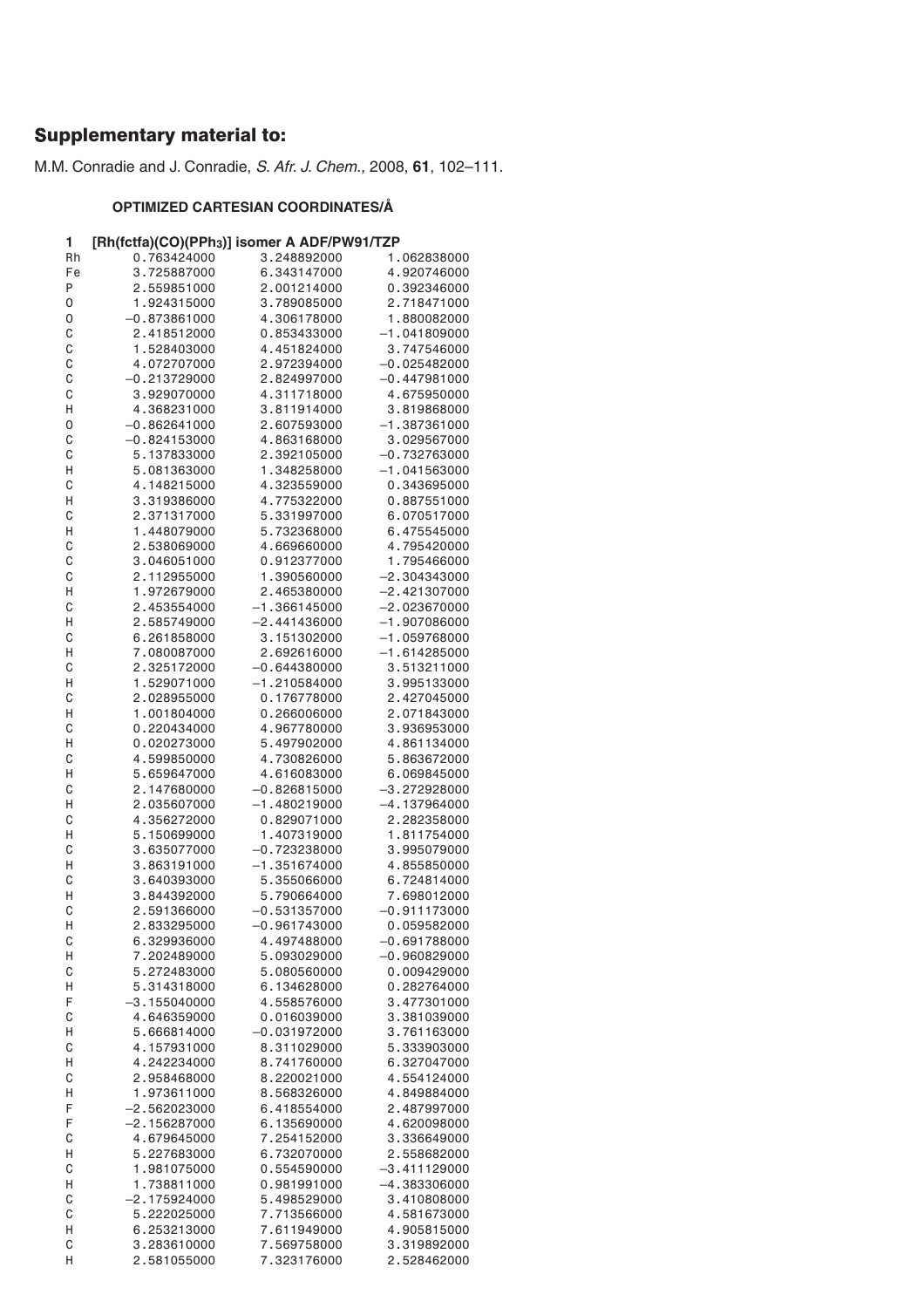# Supplementary material to:

M.M. Conradie and J. Conradie, S. Afr. J. Chem., 2008, **61**, 102–111.

# **OPTIMIZED CARTESIAN COORDINATES/Å**

# **1 [Rh(fctfa)(CO)(PPh3)] isomer A ADF/PW91/TZP**

| Rh | -- , , -<br>- , , -<br>0.763424000 | 3.248892000    | 1.062838000    |
|----|------------------------------------|----------------|----------------|
|    |                                    |                |                |
| Fe | 3.725887000                        | 6.343147000    | 4.920746000    |
| P  | 2.559851000                        | 2.001214000    | 0.392346000    |
| 0  | 1.924315000                        | 3.789085000    | 2.718471000    |
| 0  | $-0.873861000$                     | 4.306178000    | 1.880082000    |
|    |                                    |                |                |
| C  | 2.418512000                        | 0.853433000    | $-1.041809000$ |
| C  | 1.528403000                        | 4.451824000    | 3.747546000    |
| C  | 4.072707000                        | 2.972394000    | $-0.025482000$ |
| C  | $-0.213729000$                     | 2.824997000    | $-0.447981000$ |
|    |                                    |                |                |
| C  | 3.929070000                        | 4.311718000    | 4.675950000    |
| Η  | 4.368231000                        | 3.811914000    | 3.819868000    |
| 0  | $-0.862641000$                     | 2.607593000    | $-1.387361000$ |
|    |                                    |                |                |
| C  | $-0.824153000$                     | 4.863168000    | 3.029567000    |
| C  | 5.137833000                        | 2.392105000    | $-0.732763000$ |
| Η  | 5.081363000                        | 1.348258000    | $-1.041563000$ |
| C  | 4.148215000                        | 4.323559000    | 0.343695000    |
|    |                                    |                |                |
| Η  | 3.319386000                        | 4.775322000    | 0.887551000    |
| С  | 2.371317000                        | 5.331997000    | 6.070517000    |
| Η  | 1.448079000                        | 5.732368000    | 6.475545000    |
|    |                                    |                |                |
| C  | 2.538069000                        | 4.669660000    | 4.795420000    |
| C  | 3.046051000                        | 0.912377000    | 1.795466000    |
| C  | 2.112955000                        | 1.390560000    | $-2.304343000$ |
| Η  | 1.972679000                        | 2.465380000    | $-2.421307000$ |
|    |                                    |                |                |
| C  | 2.453554000                        | $-1.366145000$ | $-2.023670000$ |
| Η  | 2.585749000                        | $-2.441436000$ | $-1.907086000$ |
| С  | 6.261858000                        | 3.151302000    | $-1.059768000$ |
|    |                                    |                |                |
| Н  | 7.080087000                        | 2.692616000    | $-1.614285000$ |
| С  | 2.325172000                        | $-0.644380000$ | 3.513211000    |
| Η  | 1.529071000                        | $-1.210584000$ | 3.995133000    |
| C  | 2.028955000                        |                | 2.427045000    |
|    |                                    | 0.176778000    |                |
| Η  | 1.001804000                        | 0.266006000    | 2.071843000    |
| C  | 0.220434000                        | 4.967780000    | 3.936953000    |
| Η  | 0.020273000                        | 5.497902000    | 4.861134000    |
|    |                                    |                |                |
| C  | 4.599850000                        | 4.730826000    | 5.863672000    |
| Η  | 5.659647000                        | 4.616083000    | 6.069845000    |
| C  | 2.147680000                        | $-0.826815000$ | $-3.272928000$ |
| Η  | 2.035607000                        | $-1.480219000$ | $-4.137964000$ |
|    |                                    |                |                |
| C  | 4.356272000                        | 0.829071000    | 2.282358000    |
| Η  | 5.150699000                        | 1.407319000    | 1.811754000    |
| C  | 3.635077000                        | $-0.723238000$ | 3.995079000    |
|    | 3.863191000                        |                |                |
| Η  |                                    | $-1.351674000$ | 4.855850000    |
| С  | 3.640393000                        | 5.355066000    | 6.724814000    |
| н  | 3.844392000                        | 5.790664000    | 7.698012000    |
| С  | 2.591366000                        | $-0.531357000$ | $-0.911173000$ |
|    |                                    |                |                |
| Η  | 2.833295000                        | $-0.961743000$ | 0.059582000    |
| C  | 6.329936000                        | 4.497488000    | $-0.691788000$ |
| Η  | 7.202489000                        | 5.093029000    | $-0.960829000$ |
| C  | 5.272483000                        | 5.080560000    | 0.009429000    |
|    |                                    |                |                |
| Н  | 5.314318000                        | 6.134628000    | 0.282764000    |
| F  | $-3.155040000$                     | 4.558576000    | 3.477301000    |
| C  | 4.646359000                        | 0.016039000    | 3.381039000    |
| Н  | 5.666814000                        | $-0.031972000$ | 3.761163000    |
|    |                                    |                |                |
| C  | 4.157931000                        | 8.311029000    | 5.333903000    |
| Н  | 4.242234000                        | 8.741760000    | 6.327047000    |
| C  | 2.958468000                        | 8.220021000    | 4.554124000    |
|    |                                    |                |                |
| Н  | 1.973611000                        | 8.568326000    | 4.849884000    |
| F  | $-2.562023000$                     | 6.418554000    | 2.487997000    |
| F  | $-2.156287000$                     | 6.135690000    | 4.620098000    |
| C  | 4.679645000                        | 7.254152000    | 3.336649000    |
|    |                                    |                |                |
| Н  | 5.227683000                        | 6.732070000    | 2.558682000    |
| С  | 1.981075000                        | 0.554590000    | –3.411129000   |
| Н  | 1.738811000                        | 0.981991000    | -4.383306000   |
|    |                                    |                |                |
| С  | $-2.175924000$                     | 5.498529000    | 3.410808000    |
| С  | 5.222025000                        | 7.713566000    | 4.581673000    |
| Н  | 6.253213000                        | 7.611949000    | 4.905815000    |
| C  | 3.283610000                        | 7.569758000    | 3.319892000    |
|    |                                    |                |                |
| Н  | 2.581055000                        | 7.323176000    | 2.528462000    |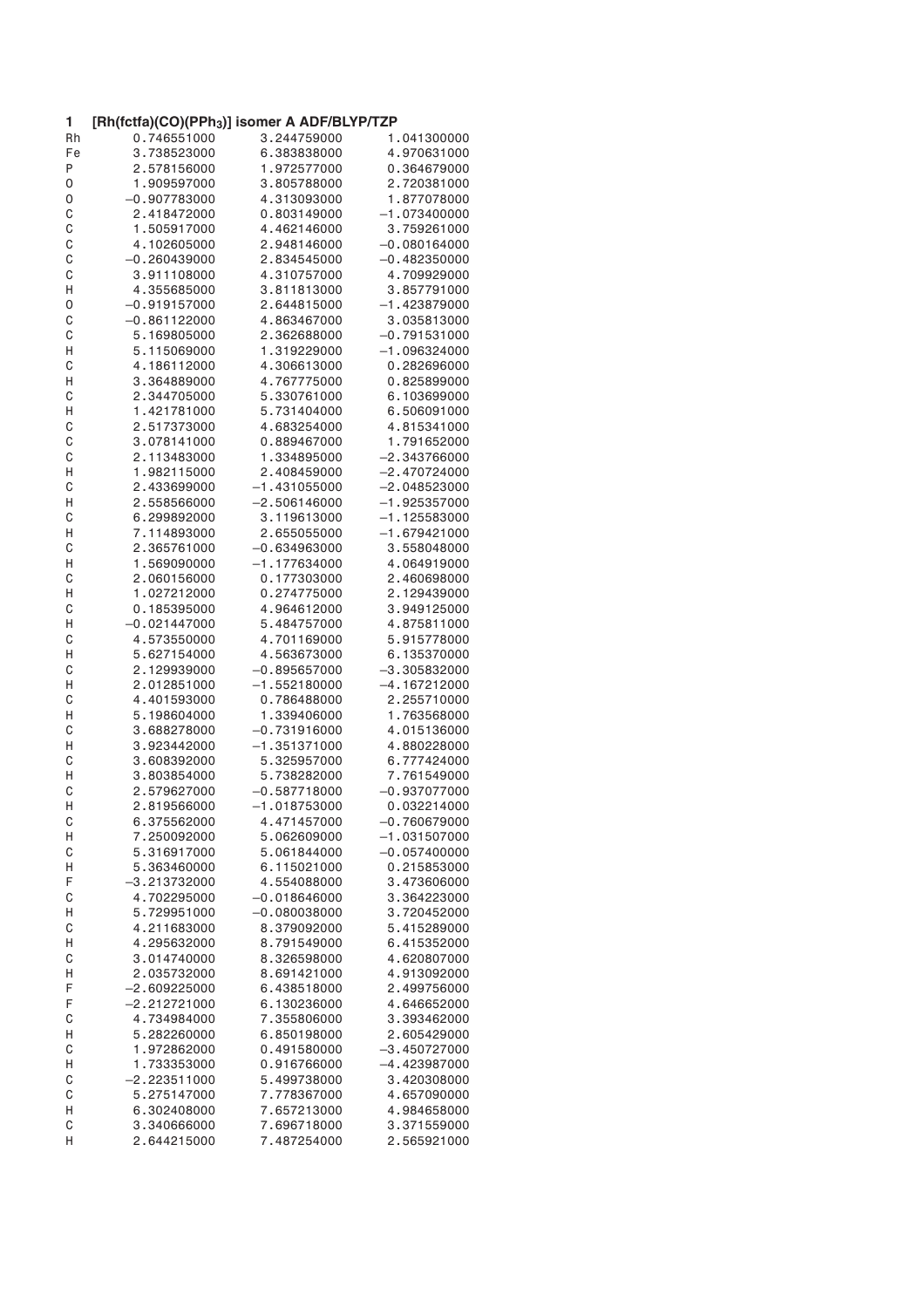| 1  | [Rh(fctfa)(CO)(PPh <sub>3</sub> )] isomer A ADF/BLYP/TZP |                |                |
|----|----------------------------------------------------------|----------------|----------------|
| Rh | 0.746551000                                              | 3.244759000    | 1.041300000    |
| Fe | 3.738523000                                              | 6.383838000    | 4.970631000    |
| Ρ  | 2.578156000                                              | 1.972577000    | 0.364679000    |
| 0  | 1.909597000                                              | 3.805788000    | 2.720381000    |
| 0  | $-0.907783000$                                           | 4.313093000    | 1.877078000    |
| C  | 2.418472000                                              | 0.803149000    | $-1.073400000$ |
| C  | 1.505917000                                              | 4.462146000    | 3.759261000    |
| C  | 4.102605000                                              | 2.948146000    | $-0.080164000$ |
| C  | $-0.260439000$                                           | 2.834545000    | $-0.482350000$ |
| C  | 3.911108000                                              | 4.310757000    | 4.709929000    |
| Η  | 4.355685000                                              | 3.811813000    | 3.857791000    |
| 0  | $-0.919157000$                                           | 2.644815000    | $-1.423879000$ |
| C  | $-0.861122000$                                           | 4.863467000    | 3.035813000    |
| C  | 5.169805000                                              | 2.362688000    | $-0.791531000$ |
| Н  | 5.115069000                                              | 1.319229000    | $-1.096324000$ |
| C  | 4.186112000                                              | 4.306613000    | 0.282696000    |
|    |                                                          |                |                |
| Н  | 3.364889000                                              | 4.767775000    | 0.825899000    |
| C  | 2.344705000                                              | 5.330761000    | 6.103699000    |
| Н  | 1.421781000                                              | 5.731404000    | 6.506091000    |
| C  | 2.517373000                                              | 4.683254000    | 4.815341000    |
| C  | 3.078141000                                              | 0.889467000    | 1.791652000    |
| C  | 2.113483000                                              | 1.334895000    | $-2.343766000$ |
| Н  | 1.982115000                                              | 2.408459000    | $-2.470724000$ |
| C  | 2.433699000                                              | $-1.431055000$ | $-2.048523000$ |
| Η  | 2.558566000                                              | $-2.506146000$ | $-1.925357000$ |
| C  | 6.299892000                                              | 3.119613000    | $-1.125583000$ |
| Η  | 7.114893000                                              | 2.655055000    | $-1.679421000$ |
| C  | 2.365761000                                              | $-0.634963000$ | 3.558048000    |
| Η  | 1.569090000                                              | $-1.177634000$ | 4.064919000    |
| C  | 2.060156000                                              | 0.177303000    | 2.460698000    |
| Η  | 1.027212000                                              | 0.274775000    | 2.129439000    |
| C  | 0.185395000                                              | 4.964612000    | 3.949125000    |
| Η  | $-0.021447000$                                           | 5.484757000    | 4.875811000    |
| C  | 4.573550000                                              | 4.701169000    | 5.915778000    |
| Η  | 5.627154000                                              | 4.563673000    | 6.135370000    |
| C  | 2.129939000                                              | $-0.895657000$ | $-3.305832000$ |
| Н  | 2.012851000                                              | $-1.552180000$ | $-4.167212000$ |
| C  | 4.401593000                                              | 0.786488000    | 2.255710000    |
| Н  | 5.198604000                                              | 1.339406000    | 1.763568000    |
| C  | 3.688278000                                              | $-0.731916000$ | 4.015136000    |
| Н  | 3.923442000                                              | $-1.351371000$ | 4.880228000    |
| C  | 3.608392000                                              | 5.325957000    | 6.777424000    |
| Н  | 3.803854000                                              | 5.738282000    | 7.761549000    |
| C  | 2.579627000                                              | $-0.587718000$ | $-0.937077000$ |
| Η  | 2.819566000                                              | $-1.018753000$ | 0.032214000    |
| C  | 6.375562000                                              | 4.471457000    | $-0.760679000$ |
| Н  | 7.250092000                                              | 5.062609000    | $-1.031507000$ |
| C  | 5.316917000                                              | 5.061844000    | $-0.057400000$ |
| Н  | 5.363460000                                              | 6.115021000    | 0.215853000    |
| F  | $-3.213732000$                                           | 4.554088000    | 3.473606000    |
| C  | 4.702295000                                              | $-0.018646000$ | 3.364223000    |
| Н  | 5.729951000                                              | $-0.080038000$ | 3.720452000    |
| C  | 4.211683000                                              | 8.379092000    | 5.415289000    |
|    |                                                          |                |                |
| Η  | 4.295632000                                              | 8.791549000    | 6.415352000    |
| C  | 3.014740000                                              | 8.326598000    | 4.620807000    |
| Н  | 2.035732000                                              | 8.691421000    | 4.913092000    |
| F  | $-2.609225000$                                           | 6.438518000    | 2.499756000    |
| F  | $-2.212721000$                                           | 6.130236000    | 4.646652000    |
| C  | 4.734984000                                              | 7.355806000    | 3.393462000    |
| Н  | 5.282260000                                              | 6.850198000    | 2.605429000    |
| C  | 1.972862000                                              | 0.491580000    | $-3.450727000$ |
| Н  | 1.733353000                                              | 0.916766000    | $-4.423987000$ |
| C  | $-2.223511000$                                           | 5.499738000    | 3.420308000    |
| C  | 5.275147000                                              | 7.778367000    | 4.657090000    |
| Η  | 6.302408000                                              | 7.657213000    | 4.984658000    |
| C  | 3.340666000                                              | 7.696718000    | 3.371559000    |
| Η  | 2.644215000                                              | 7.487254000    | 2.565921000    |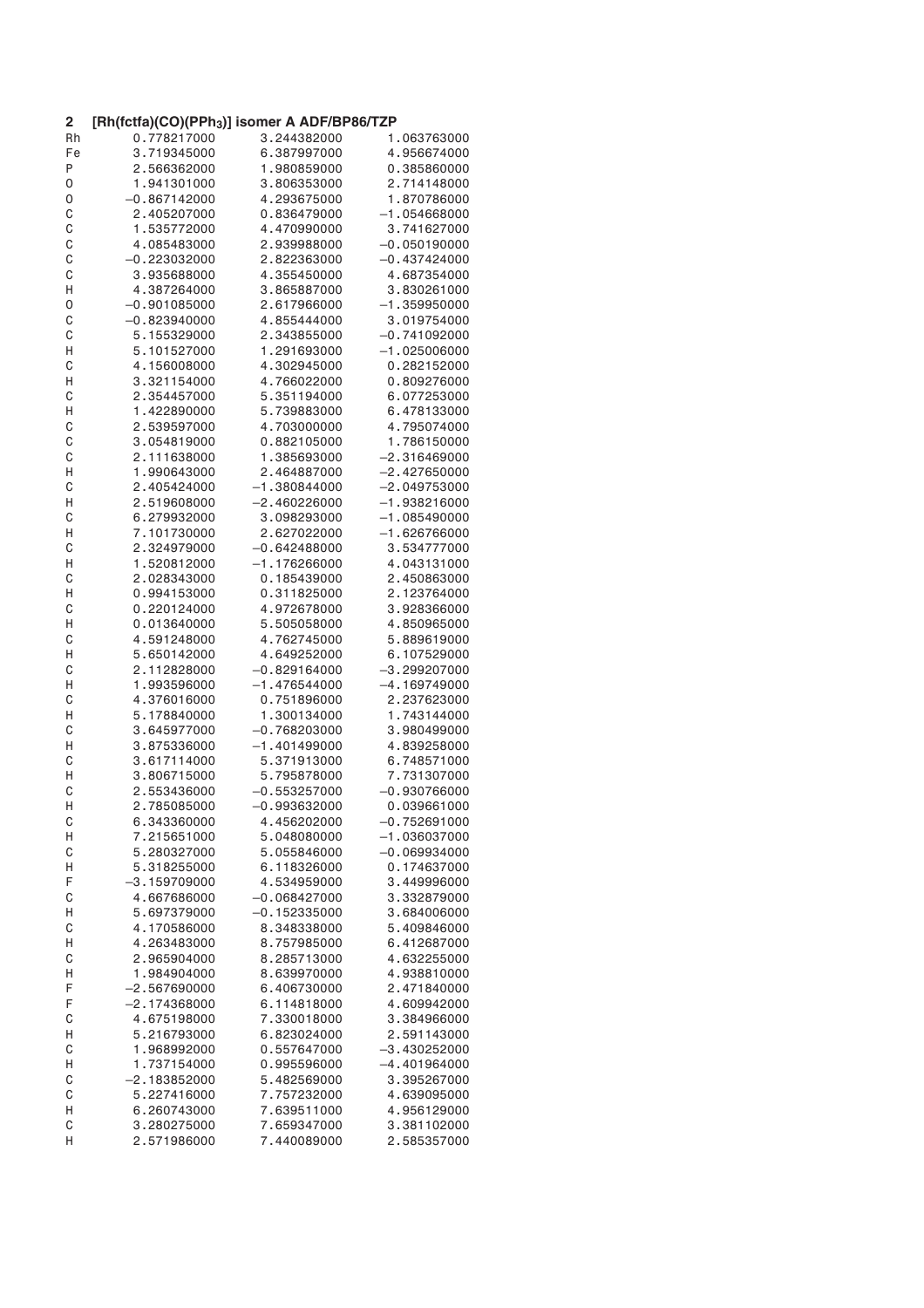| $\mathbf{2}$ | [Rh(fctfa)(CO)(PPh <sub>3</sub> )] isomer A ADF/BP86/TZP |                |                |
|--------------|----------------------------------------------------------|----------------|----------------|
| Rh           | 0.778217000                                              | 3.244382000    | 1.063763000    |
| Fe           | 3.719345000                                              | 6.387997000    | 4.956674000    |
| P            | 2.566362000                                              | 1.980859000    | 0.385860000    |
| 0            | 1.941301000                                              | 3.806353000    | 2.714148000    |
| 0            | $-0.867142000$                                           | 4.293675000    | 1.870786000    |
| C            | 2.405207000                                              | 0.836479000    | $-1.054668000$ |
| C            | 1.535772000                                              | 4.470990000    | 3.741627000    |
| C            | 4.085483000                                              | 2.939988000    | $-0.050190000$ |
| C            | $-0.223032000$                                           | 2.822363000    | $-0.437424000$ |
| C            | 3.935688000                                              | 4.355450000    | 4.687354000    |
| Η            | 4.387264000                                              | 3.865887000    | 3.830261000    |
| 0            | $-0.901085000$                                           | 2.617966000    | $-1.359950000$ |
| C            | $-0.823940000$                                           | 4.855444000    | 3.019754000    |
| C            | 5.155329000                                              | 2.343855000    | $-0.741092000$ |
| Η            | 5.101527000                                              | 1.291693000    | $-1.025006000$ |
| C            | 4.156008000                                              | 4.302945000    | 0.282152000    |
| Η            | 3.321154000                                              | 4.766022000    | 0.809276000    |
| C            | 2.354457000                                              | 5.351194000    | 6.077253000    |
| Η            | 1.422890000                                              | 5.739883000    | 6.478133000    |
|              | 2.539597000                                              | 4.703000000    | 4.795074000    |
| C<br>C       | 3.054819000                                              | 0.882105000    | 1.786150000    |
|              | 2.111638000                                              |                | $-2.316469000$ |
| C            |                                                          | 1.385693000    |                |
| Η            | 1.990643000                                              | 2.464887000    | $-2.427650000$ |
| C            | 2.405424000                                              | $-1.380844000$ | $-2.049753000$ |
| Η            | 2.519608000                                              | $-2.460226000$ | $-1.938216000$ |
| C            | 6.279932000                                              | 3.098293000    | $-1.085490000$ |
| Η            | 7.101730000                                              | 2.627022000    | $-1.626766000$ |
| C            | 2.324979000                                              | $-0.642488000$ | 3.534777000    |
| Η            | 1.520812000                                              | $-1.176266000$ | 4.043131000    |
| C            | 2.028343000                                              | 0.185439000    | 2.450863000    |
| Η            | 0.994153000                                              | 0.311825000    | 2.123764000    |
| C            | 0.220124000                                              | 4.972678000    | 3.928366000    |
| Η            | 0.013640000                                              | 5.505058000    | 4.850965000    |
| С            | 4.591248000                                              | 4.762745000    | 5.889619000    |
| Η            | 5.650142000                                              | 4.649252000    | 6.107529000    |
| C            | 2.112828000                                              | $-0.829164000$ | $-3.299207000$ |
| Н            | 1.993596000                                              | $-1.476544000$ | $-4.169749000$ |
| С            | 4.376016000                                              | 0.751896000    | 2.237623000    |
| Н            | 5.178840000                                              | 1.300134000    | 1.743144000    |
| C            | 3.645977000                                              | $-0.768203000$ | 3.980499000    |
| Н            | 3.875336000                                              | $-1.401499000$ | 4.839258000    |
| C            | 3.617114000                                              | 5.371913000    | 6.748571000    |
| Η            | 3.806715000                                              | 5.795878000    | 7.731307000    |
| C            | 2.553436000                                              | $-0.553257000$ | $-0.930766000$ |
| Н            | 2.785085000                                              | $-0.993632000$ | 0.039661000    |
| C            | 6.343360000                                              | 4.456202000    | $-0.752691000$ |
| Н            | 7.215651000                                              | 5.048080000    | $-1.036037000$ |
| C            | 5.280327000                                              | 5.055846000    | $-0.069934000$ |
| Н            | 5.318255000                                              | 6.118326000    | 0.174637000    |
| F            | $-3.159709000$                                           | 4.534959000    | 3.449996000    |
| C            | 4.667686000                                              | $-0.068427000$ | 3.332879000    |
| Н            | 5.697379000                                              | $-0.152335000$ | 3.684006000    |
| C            | 4.170586000                                              | 8.348338000    | 5.409846000    |
| Η            | 4.263483000                                              | 8.757985000    | 6.412687000    |
| C            | 2.965904000                                              | 8.285713000    | 4.632255000    |
| Н            | 1.984904000                                              | 8.639970000    | 4.938810000    |
| F            | $-2.567690000$                                           | 6.406730000    | 2.471840000    |
| F            | $-2.174368000$                                           | 6.114818000    | 4.609942000    |
| С            | 4.675198000                                              | 7.330018000    | 3.384966000    |
| Н            | 5.216793000                                              | 6.823024000    | 2.591143000    |
| C            | 1.968992000                                              | 0.557647000    | $-3.430252000$ |
| Н            | 1.737154000                                              | 0.995596000    | -4.401964000   |
| C            | $-2.183852000$                                           | 5.482569000    | 3.395267000    |
| C            | 5.227416000                                              | 7.757232000    | 4.639095000    |
| Н            | 6.260743000                                              | 7.639511000    | 4.956129000    |
| C            | 3.280275000                                              | 7.659347000    | 3.381102000    |
| Н            | 2.571986000                                              | 7.440089000    | 2.585357000    |
|              |                                                          |                |                |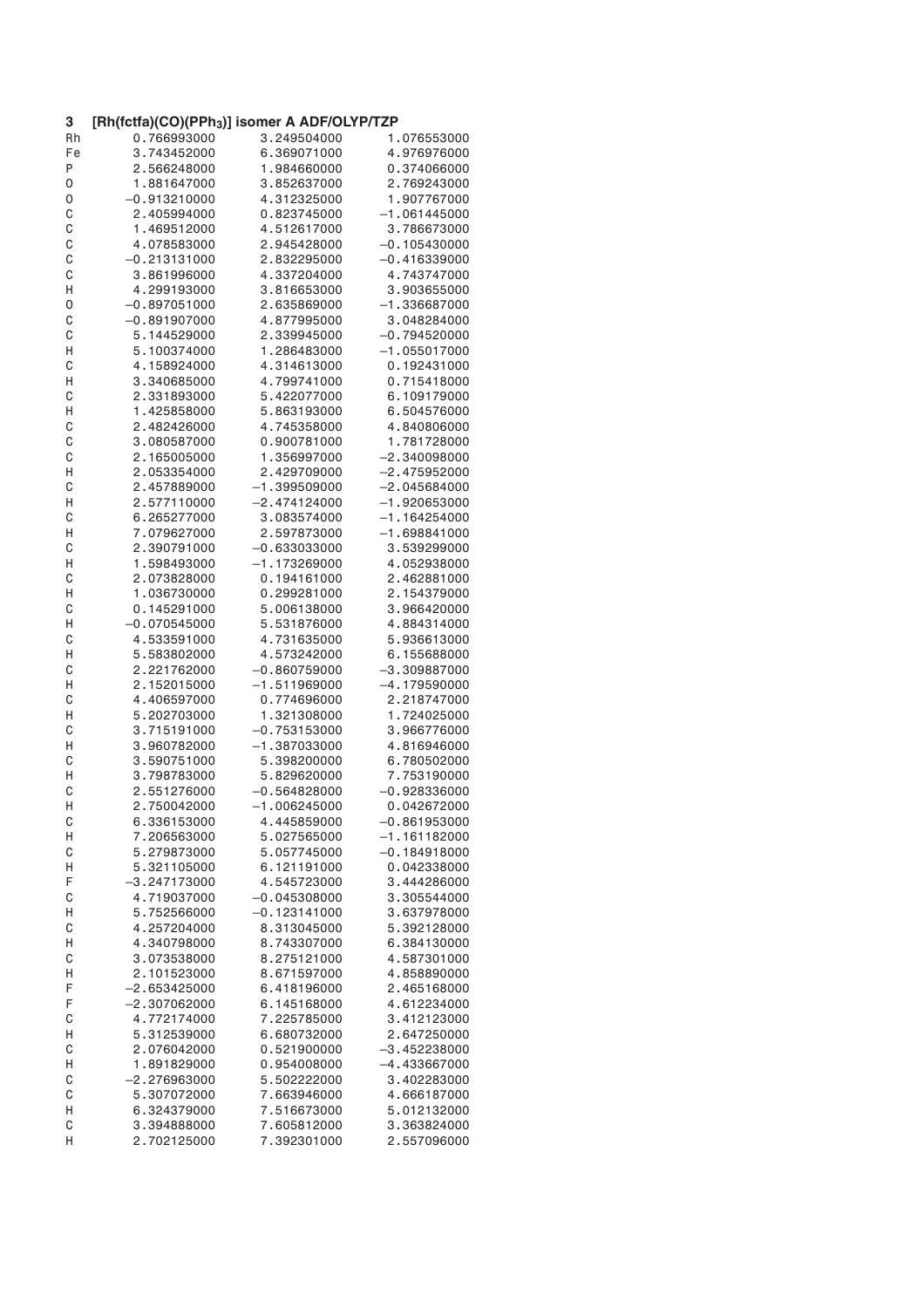| 3  | [Rh(fctfa)(CO)(PPh <sub>3</sub> )] isomer A ADF/OLYP/TZP |                |                |
|----|----------------------------------------------------------|----------------|----------------|
| Rh | 0.766993000                                              | 3.249504000    | 1.076553000    |
| Fe | 3.743452000                                              | 6.369071000    | 4.976976000    |
| Ρ  | 2.566248000                                              | 1.984660000    | 0.374066000    |
| 0  | 1.881647000                                              | 3.852637000    | 2.769243000    |
| 0  | $-0.913210000$                                           | 4.312325000    | 1.907767000    |
| C  | 2.405994000                                              | 0.823745000    | $-1.061445000$ |
| C  | 1.469512000                                              | 4.512617000    | 3.786673000    |
| C  | 4.078583000                                              | 2.945428000    | $-0.105430000$ |
| C  | $-0.213131000$                                           | 2.832295000    | $-0.416339000$ |
| C  | 3.861996000                                              | 4.337204000    | 4.743747000    |
| Н  | 4.299193000                                              | 3.816653000    | 3.903655000    |
| 0  | $-0.897051000$                                           | 2.635869000    | $-1.336687000$ |
| C  | $-0.891907000$                                           | 4.877995000    | 3.048284000    |
| C  | 5.144529000                                              | 2.339945000    | $-0.794520000$ |
| Η  | 5.100374000                                              | 1.286483000    | $-1.055017000$ |
| C  | 4.158924000                                              | 4.314613000    | 0.192431000    |
|    | 3.340685000                                              | 4.799741000    | 0.715418000    |
| Н  |                                                          |                |                |
| C  | 2.331893000                                              | 5.422077000    | 6.109179000    |
| Η  | 1.425858000                                              | 5.863193000    | 6.504576000    |
| C  | 2.482426000                                              | 4.745358000    | 4.840806000    |
| C  | 3.080587000                                              | 0.900781000    | 1.781728000    |
| C  | 2.165005000                                              | 1.356997000    | $-2.340098000$ |
| Η  | 2.053354000                                              | 2.429709000    | $-2.475952000$ |
| C  | 2.457889000                                              | $-1.399509000$ | $-2.045684000$ |
| Н  | 2.577110000                                              | $-2.474124000$ | $-1.920653000$ |
| C  | 6.265277000                                              | 3.083574000    | $-1.164254000$ |
| Н  | 7.079627000                                              | 2.597873000    | $-1.698841000$ |
| C  | 2.390791000                                              | $-0.633033000$ | 3.539299000    |
| Н  | 1.598493000                                              | $-1.173269000$ | 4.052938000    |
| C  | 2.073828000                                              | 0.194161000    | 2.462881000    |
| Н  | 1.036730000                                              | 0.299281000    | 2.154379000    |
| C  | 0.145291000                                              | 5.006138000    | 3.966420000    |
| Н  | $-0.070545000$                                           | 5.531876000    | 4.884314000    |
| C  | 4.533591000                                              | 4.731635000    | 5.936613000    |
| Н  | 5.583802000                                              | 4.573242000    | 6.155688000    |
| C  | 2.221762000                                              | $-0.860759000$ | $-3.309887000$ |
| Η  | 2.152015000                                              | $-1.511969000$ | $-4.179590000$ |
| C  | 4.406597000                                              | 0.774696000    | 2.218747000    |
| Η  | 5.202703000                                              | 1.321308000    | 1.724025000    |
| C  | 3.715191000                                              | $-0.753153000$ | 3.966776000    |
| Н  | 3.960782000                                              | $-1.387033000$ | 4.816946000    |
| C  | 3.590751000                                              | 5.398200000    | 6.780502000    |
| Η  | 3.798783000                                              | 5.829620000    | 7.753190000    |
| С  | 2.551276000                                              | $-0.564828000$ | $-0.928336000$ |
| н  | 2.750042000                                              | $-1.006245000$ | 0.042672000    |
| С  | 6.336153000                                              | 4.445859000    | $-0.861953000$ |
| Н  | 7.206563000                                              | 5.027565000    | $-1.161182000$ |
| C  | 5.279873000                                              | 5.057745000    | $-0.184918000$ |
| Н  | 5.321105000                                              | 6.121191000    | 0.042338000    |
| F  | $-3.247173000$                                           | 4.545723000    | 3.444286000    |
| C  | 4.719037000                                              | $-0.045308000$ | 3.305544000    |
|    | 5.752566000                                              | $-0.123141000$ | 3.637978000    |
| Н  | 4.257204000                                              |                |                |
| C  |                                                          | 8.313045000    | 5.392128000    |
| Η  | 4.340798000                                              | 8.743307000    | 6.384130000    |
| C  | 3.073538000                                              | 8.275121000    | 4.587301000    |
| Н  | 2.101523000                                              | 8.671597000    | 4.858890000    |
| F  | $-2.653425000$                                           | 6.418196000    | 2.465168000    |
| F  | $-2.307062000$                                           | 6.145168000    | 4.612234000    |
| C  | 4.772174000                                              | 7.225785000    | 3.412123000    |
| Н  | 5.312539000                                              | 6.680732000    | 2.647250000    |
| C  | 2.076042000                                              | 0.521900000    | $-3.452238000$ |
| Η  | 1.891829000                                              | 0.954008000    | -4.433667000   |
| C  | $-2.276963000$                                           | 5.502222000    | 3.402283000    |
| C  | 5.307072000                                              | 7.663946000    | 4.666187000    |
| Н  | 6.324379000                                              | 7.516673000    | 5.012132000    |
| C  | 3.394888000                                              | 7.605812000    | 3.363824000    |
| Н  | 2.702125000                                              | 7.392301000    | 2.557096000    |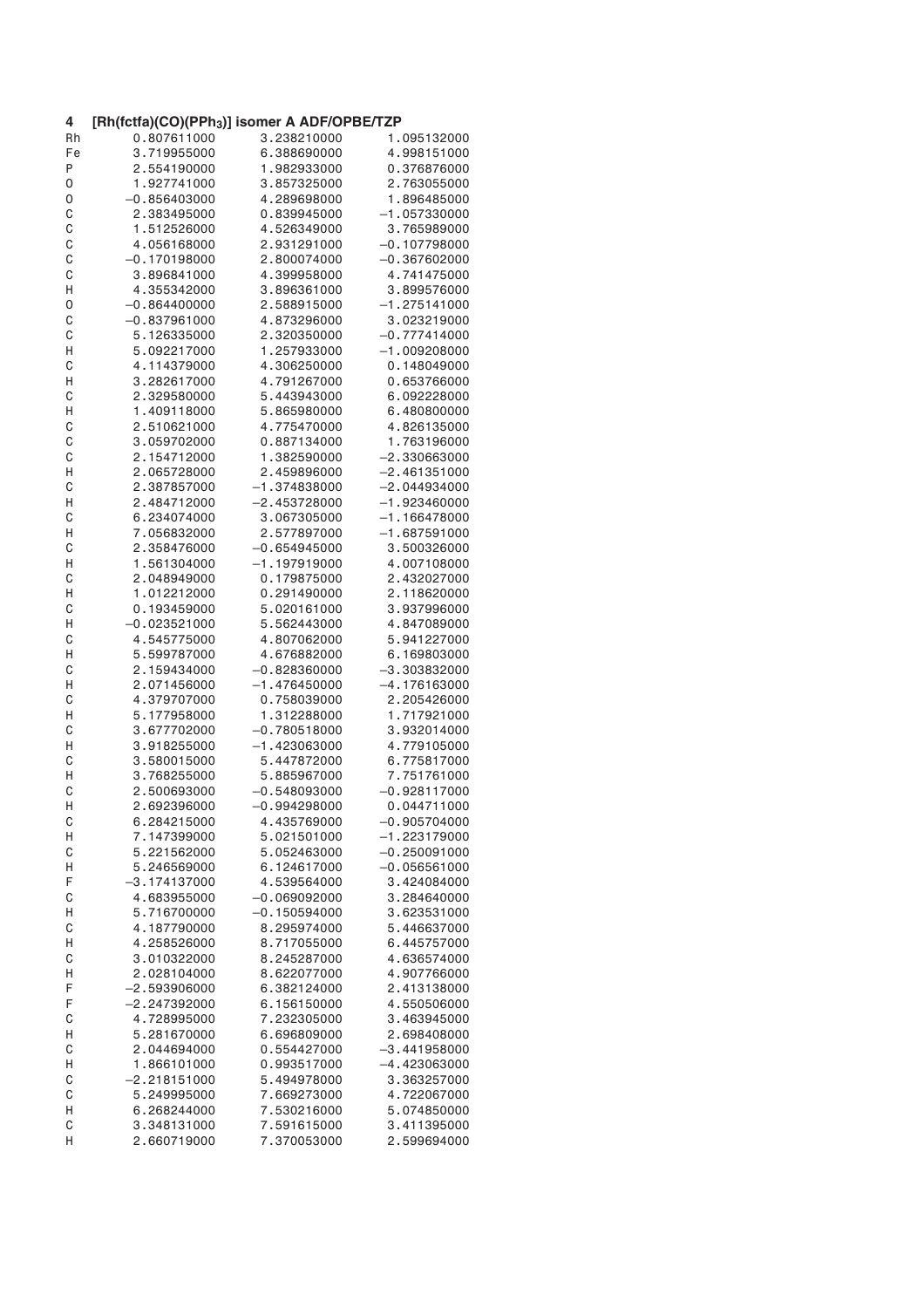| 4      | [Rh(fctfa)(CO)(PPh <sub>3</sub> )] isomer A ADF/OPBE/TZP |                            |                                |
|--------|----------------------------------------------------------|----------------------------|--------------------------------|
| Rh     | 0.807611000                                              | 3.238210000                | 1.095132000                    |
| Fe     | 3.719955000                                              | 6.388690000                | 4.998151000                    |
| Ρ      | 2.554190000                                              | 1.982933000                | 0.376876000                    |
| 0      | 1.927741000                                              | 3.857325000                | 2.763055000                    |
| 0      | $-0.856403000$                                           | 4.289698000                | 1.896485000                    |
| C      | 2.383495000                                              | 0.839945000                | $-1.057330000$                 |
| C      | 1.512526000                                              | 4.526349000                | 3.765989000                    |
| C      | 4.056168000                                              | 2.931291000                | $-0.107798000$                 |
| C      | $-0.170198000$                                           | 2.800074000                | $-0.367602000$                 |
| C      | 3.896841000                                              | 4.399958000                | 4.741475000                    |
| Н      | 4.355342000                                              | 3.896361000                | 3.899576000                    |
| 0      | $-0.864400000$                                           | 2.588915000                | $-1.275141000$                 |
| C      | $-0.837961000$                                           | 4.873296000                | 3.023219000                    |
| C      | 5.126335000                                              | 2.320350000                | $-0.777414000$                 |
| Η      | 5.092217000                                              | 1.257933000                | $-1.009208000$                 |
| C      | 4.114379000                                              | 4.306250000                | 0.148049000                    |
| Н      | 3.282617000                                              | 4.791267000                | 0.653766000                    |
| C      | 2.329580000                                              | 5.443943000                | 6.092228000                    |
| Н      | 1.409118000                                              | 5.865980000                | 6.480800000                    |
| C      | 2.510621000                                              | 4.775470000                | 4.826135000                    |
| C      | 3.059702000                                              | 0.887134000                | 1.763196000                    |
| C      | 2.154712000                                              | 1.382590000                | $-2.330663000$                 |
| Η      | 2.065728000                                              | 2.459896000                | $-2.461351000$                 |
| C      | 2.387857000                                              | $-1.374838000$             | $-2.044934000$                 |
| Н      | 2.484712000                                              | $-2.453728000$             | $-1.923460000$                 |
| C      | 6.234074000                                              | 3.067305000                | $-1.166478000$                 |
| Н      | 7.056832000                                              | 2.577897000                | $-1.687591000$                 |
| C      | 2.358476000                                              | $-0.654945000$             | 3.500326000                    |
| Н      | 1.561304000                                              | $-1.197919000$             | 4.007108000                    |
| C      | 2.048949000                                              | 0.179875000                | 2.432027000                    |
| Н      | 1.012212000                                              | 0.291490000                | 2.118620000                    |
| C      | 0.193459000                                              | 5.020161000                | 3.937996000                    |
| Н      | $-0.023521000$                                           | 5.562443000                | 4.847089000                    |
| C      | 4.545775000                                              | 4.807062000                | 5.941227000                    |
| Н      | 5.599787000                                              | 4.676882000                | 6.169803000                    |
| C      | 2.159434000                                              | $-0.828360000$             | $-3.303832000$                 |
| Η      | 2.071456000                                              | $-1.476450000$             | $-4.176163000$                 |
| C      | 4.379707000                                              | 0.758039000                | 2.205426000                    |
| Η      | 5.177958000                                              | 1.312288000                | 1.717921000                    |
| C      | 3.677702000                                              | $-0.780518000$             | 3.932014000                    |
| Н      | 3.918255000                                              | $-1.423063000$             | 4.779105000                    |
| C      | 3.580015000                                              | 5.447872000                | 6.775817000                    |
| Η      | 3.768255000                                              | 5.885967000                | 7.751761000                    |
| C      | 2.500693000                                              | $-0.548093000$             | $-0.928117000$                 |
| н      | 2.692396000                                              | $-0.994298000$             | 0.044711000                    |
| C      | 6.284215000                                              | 4.435769000                | $-0.905704000$                 |
| Н      | 7.147399000                                              | 5.021501000                | $-1.223179000$                 |
| C      | 5.221562000                                              | 5.052463000                | $-0.250091000$                 |
| Н      | 5.246569000                                              | 6.124617000                | $-0.056561000$                 |
| F      | $-3.174137000$                                           | 4.539564000                | 3.424084000                    |
| C      | 4.683955000                                              | $-0.069092000$             | 3.284640000                    |
| Н      | 5.716700000                                              | $-0.150594000$             | 3.623531000                    |
| C      | 4.187790000                                              | 8.295974000                | 5.446637000                    |
| Η      | 4.258526000                                              | 8.717055000                | 6.445757000                    |
| C      | 3.010322000                                              | 8.245287000                | 4.636574000                    |
| Н      | 2.028104000                                              | 8.622077000                | 4.907766000                    |
| F      | $-2.593906000$                                           | 6.382124000                | 2.413138000                    |
| F      | $-2.247392000$                                           | 6.156150000                | 4.550506000                    |
| C      | 4.728995000                                              | 7.232305000                | 3.463945000                    |
| Н      | 5.281670000                                              | 6.696809000                | 2.698408000                    |
| C<br>Η | 2.044694000<br>1.866101000                               | 0.554427000<br>0.993517000 | $-3.441958000$<br>-4.423063000 |
| C      | $-2.218151000$                                           | 5.494978000                | 3.363257000                    |
| C      | 5.249995000                                              | 7.669273000                | 4.722067000                    |
| Н      | 6.268244000                                              | 7.530216000                | 5.074850000                    |
| С      | 3.348131000                                              | 7.591615000                | 3.411395000                    |
| Η      | 2.660719000                                              | 7.370053000                | 2.599694000                    |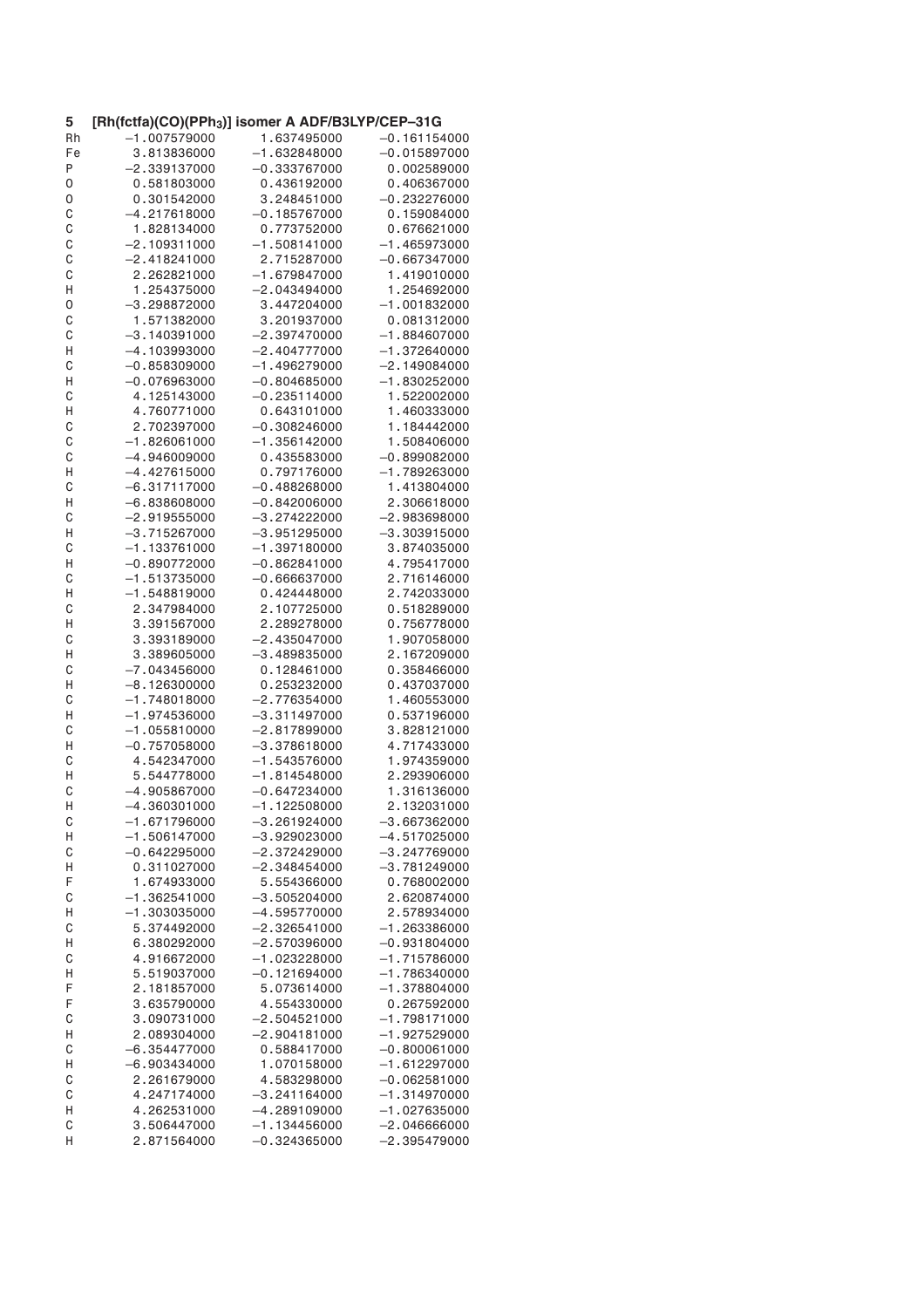| 5  | [Rh(fctfa)(CO)(PPh <sub>3</sub> )] isomer A ADF/B3LYP/CEP-31G |                                  |                                  |
|----|---------------------------------------------------------------|----------------------------------|----------------------------------|
| Rh | $-1.007579000$                                                | 1.637495000                      | $-0.161154000$                   |
| Fe | 3.813836000                                                   | $-1.632848000$                   | $-0.015897000$                   |
| Ρ  | $-2.339137000$                                                | $-0.333767000$                   | 0.002589000                      |
| 0  | 0.581803000                                                   | 0.436192000                      | 0.406367000                      |
| 0  | 0.301542000                                                   | 3.248451000                      | $-0.232276000$                   |
| C  | $-4.217618000$                                                | $-0.185767000$                   | 0.159084000                      |
| C  | 1.828134000                                                   | 0.773752000                      | 0.676621000                      |
| C  | $-2.109311000$                                                | $-1.508141000$                   | $-1.465973000$                   |
| C  | $-2.418241000$                                                | 2.715287000                      | $-0.667347000$                   |
| C  | 2.262821000                                                   | $-1.679847000$                   | 1.419010000                      |
| Η  | 1.254375000                                                   | $-2.043494000$                   | 1.254692000                      |
| 0  | $-3.298872000$                                                | 3.447204000                      | $-1.001832000$                   |
| C  | 1.571382000                                                   | 3.201937000                      | 0.081312000                      |
| C  | $-3.140391000$                                                | $-2.397470000$                   | $-1.884607000$                   |
| Н  | $-4.103993000$                                                | $-2.404777000$                   | $-1.372640000$                   |
| C  | $-0.858309000$                                                | $-1.496279000$                   | $-2.149084000$                   |
|    |                                                               |                                  |                                  |
| Н  | $-0.076963000$                                                | $-0.804685000$                   | $-1.830252000$                   |
| C  | 4.125143000                                                   | $-0.235114000$                   | 1.522002000                      |
| Η  | 4.760771000                                                   | 0.643101000                      | 1.460333000                      |
| C  | 2.702397000                                                   | $-0.308246000$                   | 1.184442000                      |
| C  | $-1.826061000$                                                | $-1.356142000$                   | 1.508406000                      |
| C  | $-4.946009000$                                                | 0.435583000                      | $-0.899082000$                   |
| Н  | $-4.427615000$                                                | 0.797176000                      | $-1.789263000$                   |
| C  | $-6.317117000$                                                | $-0.488268000$                   | 1.413804000                      |
| Η  | $-6.838608000$                                                | $-0.842006000$                   | 2.306618000                      |
| С  | $-2.919555000$                                                | $-3.274222000$                   | –2.983698000                     |
| Η  | $-3.715267000$                                                | $-3.951295000$                   | $-3.303915000$                   |
| С  | $-1.133761000$                                                | $-1.397180000$                   | 3.874035000                      |
| Η  | $-0.890772000$                                                | $-0.862841000$                   | 4.795417000                      |
| C  | $-1.513735000$                                                | $-0.666637000$                   | 2.716146000                      |
| Η  | $-1.548819000$                                                | 0.424448000                      | 2.742033000                      |
| C  | 2.347984000                                                   | 2.107725000                      | 0.518289000                      |
| Η  | 3.391567000                                                   | 2.289278000                      | 0.756778000                      |
| С  | 3.393189000                                                   | $-2.435047000$                   | 1.907058000                      |
| Η  | 3.389605000                                                   | $-3.489835000$                   | 2.167209000                      |
| C  | $-7.043456000$                                                | 0.128461000                      | 0.358466000                      |
| Η  | $-8.126300000$                                                | 0.253232000                      | 0.437037000                      |
| С  | $-1.748018000$                                                | $-2.776354000$                   | 1.460553000                      |
| Н  | $-1.974536000$                                                | $-3.311497000$                   | 0.537196000                      |
| C  | $-1.055810000$                                                | $-2.817899000$                   | 3.828121000                      |
| Н  | $-0.757058000$                                                | $-3.378618000$                   | 4.717433000                      |
| C  | 4.542347000                                                   | $-1.543576000$                   | 1.974359000                      |
| Η  | 5.544778000                                                   | $-1.814548000$                   | 2.293906000                      |
| С  | $-4.905867000$                                                | $-0.647234000$                   | 1.316136000                      |
| н  | $-4.360301000$                                                | $-1.122508000$                   | 2.132031000                      |
| C  | $-1.671796000$                                                | $-3.261924000$                   | $-3.667362000$                   |
| Н  | $-1.506147000$                                                | $-3.929023000$                   | $-4.517025000$                   |
| C  | $-0.642295000$                                                | $-2.372429000$                   | $-3.247769000$                   |
| Н  | 0.311027000                                                   | $-2.348454000$                   | $-3.781249000$                   |
| F  | 1.674933000                                                   | 5.554366000                      | 0.768002000                      |
| С  | $-1.362541000$                                                | $-3.505204000$                   | 2.620874000                      |
|    | $-1.303035000$                                                |                                  |                                  |
| Н  | 5.374492000                                                   | $-4.595770000$<br>$-2.326541000$ | 2.578934000                      |
| C  |                                                               | $-2.570396000$                   | $-1.263386000$<br>$-0.931804000$ |
| Η  | 6.380292000                                                   |                                  |                                  |
| C  | 4.916672000                                                   | $-1.023228000$                   | $-1.715786000$                   |
| Н  | 5.519037000                                                   | $-0.121694000$                   | $-1.786340000$                   |
| F  | 2.181857000                                                   | 5.073614000                      | $-1.378804000$                   |
| F  | 3.635790000                                                   | 4.554330000                      | 0.267592000                      |
| С  | 3.090731000                                                   | $-2.504521000$                   | $-1.798171000$                   |
| Н  | 2.089304000                                                   | $-2.904181000$                   | $-1.927529000$                   |
| C  | $-6.354477000$                                                | 0.588417000                      | $-0.800061000$                   |
| Н  | $-6.903434000$                                                | 1.070158000                      | $-1.612297000$                   |
| C  | 2.261679000                                                   | 4.583298000                      | $-0.062581000$                   |
| C  | 4.247174000                                                   | $-3.241164000$                   | $-1.314970000$                   |
| Н  | 4.262531000                                                   | $-4.289109000$                   | $-1.027635000$                   |
| C  | 3.506447000                                                   | $-1.134456000$                   | $-2.046666000$                   |
| Η  | 2.871564000                                                   | $-0.324365000$                   | –2.395479000                     |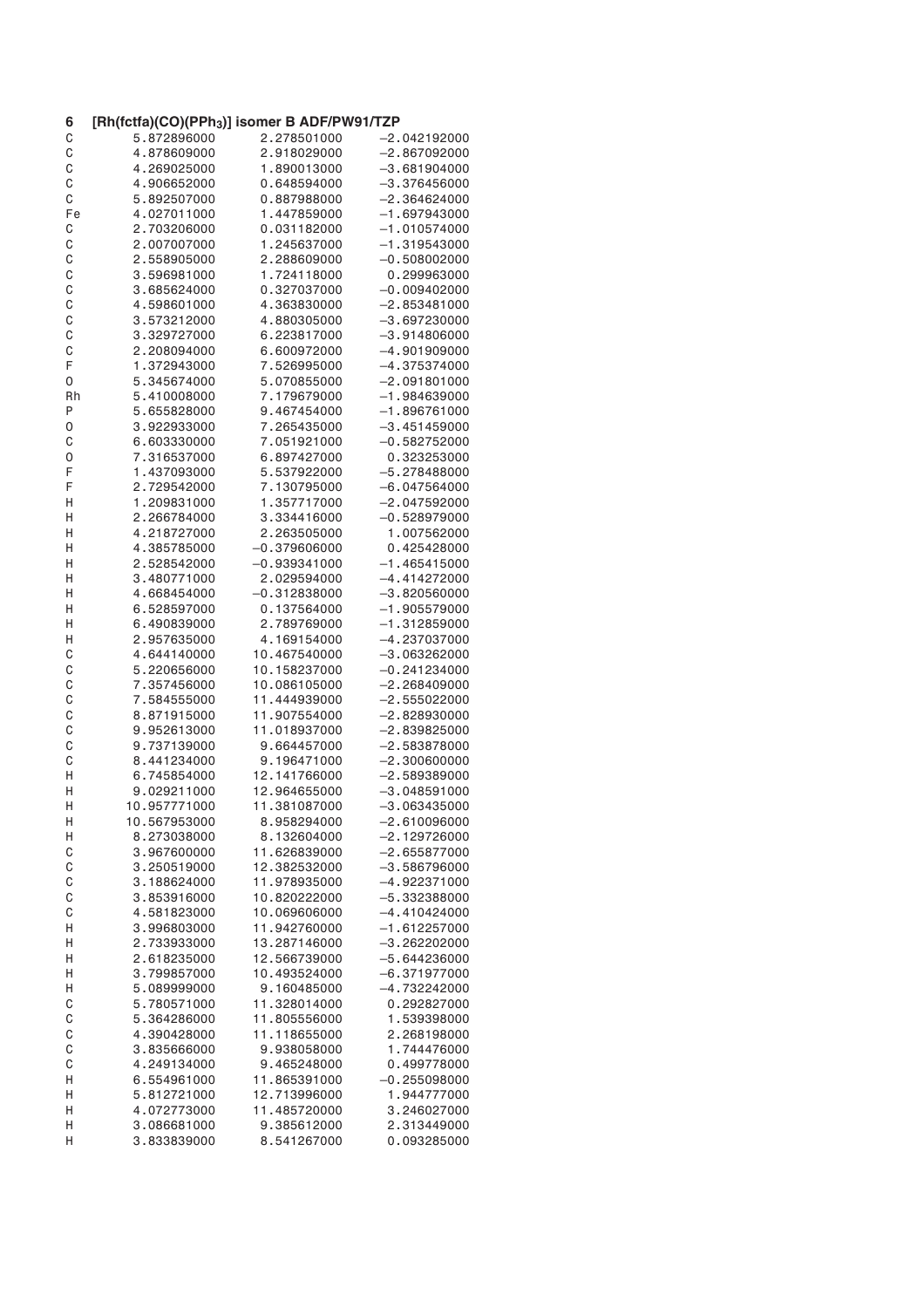| 6      | [Rh(fctfa)(CO)(PPh <sub>3</sub> )] isomer B ADF/PW91/TZP |                            |                                  |
|--------|----------------------------------------------------------|----------------------------|----------------------------------|
| C      | 5.872896000                                              | 2.278501000                | $-2.042192000$                   |
| C      | 4.878609000                                              | 2.918029000                | $-2.867092000$                   |
| C      | 4.269025000                                              | 1.890013000                | $-3.681904000$                   |
| C      | 4.906652000                                              | 0.648594000                | $-3.376456000$                   |
| C      | 5.892507000                                              | 0.887988000                | $-2.364624000$                   |
| Fe     | 4.027011000                                              | 1.447859000                | $-1.697943000$                   |
| C      | 2.703206000                                              | 0.031182000                | $-1.010574000$                   |
| C      | 2.007007000                                              | 1.245637000                | $-1.319543000$                   |
| C      | 2.558905000                                              | 2.288609000                | $-0.508002000$                   |
| C      | 3.596981000                                              | 1.724118000                | 0.299963000                      |
| C      | 3.685624000                                              | 0.327037000                | $-0.009402000$                   |
| C      | 4.598601000                                              | 4.363830000                | $-2.853481000$                   |
| C      | 3.573212000                                              | 4.880305000                | $-3.697230000$                   |
| C      | 3.329727000                                              | 6.223817000                | $-3.914806000$                   |
| C      | 2.208094000                                              | 6.600972000                | $-4.901909000$                   |
| F      | 1.372943000                                              | 7.526995000                | $-4.375374000$                   |
| 0      | 5.345674000                                              | 5.070855000                | $-2.091801000$                   |
| Rh     | 5.410008000                                              | 7.179679000                | $-1.984639000$                   |
| Ρ      | 5.655828000                                              | 9.467454000                | $-1.896761000$                   |
| 0      | 3.922933000                                              | 7.265435000                | $-3.451459000$                   |
| С      | 6.603330000                                              | 7.051921000                | $-0.582752000$                   |
| 0      | 7.316537000                                              | 6.897427000                | 0.323253000                      |
| F      | 1.437093000                                              | 5.537922000                | $-5.278488000$                   |
| F      | 2.729542000                                              | 7.130795000                | –6.047564000                     |
| Η      | 1.209831000                                              | 1.357717000                | $-2.047592000$                   |
| Η      | 2.266784000                                              | 3.334416000                | $-0.528979000$                   |
| Η      | 4.218727000                                              | 2.263505000                | 1.007562000                      |
| Η      | 4.385785000                                              | $-0.379606000$             | 0.425428000                      |
| Η      | 2.528542000                                              | $-0.939341000$             | $-1.465415000$                   |
| Η      | 3.480771000                                              | 2.029594000                | -4.414272000                     |
| Η      | 4.668454000                                              | $-0.312838000$             | $-3.820560000$                   |
| Η      | 6.528597000                                              | 0.137564000                | $-1.905579000$                   |
| Η      | 6.490839000                                              | 2.789769000                | $-1.312859000$                   |
| Η      | 2.957635000                                              | 4.169154000                | -4.237037000                     |
| C      | 4.644140000                                              | 10.467540000               | $-3.063262000$                   |
| C      | 5.220656000                                              | 10.158237000               | $-0.241234000$                   |
| C      | 7.357456000                                              | 10.086105000               | $-2.268409000$                   |
| C      | 7.584555000                                              | 11.444939000               | $-2.555022000$                   |
| C      | 8.871915000                                              | 11.907554000               | $-2.828930000$                   |
| C      | 9.952613000                                              | 11.018937000               | $-2.839825000$                   |
| C      | 9.737139000                                              | 9.664457000                | $-2.583878000$                   |
| C      | 8.441234000                                              | 9.196471000                | $-2.300600000$                   |
| Η      | 6.745854000                                              | 12.141766000               | $-2.589389000$                   |
| Η      | 9.029211000                                              | 12.964655000               | $-3.048591000$                   |
| Η      | 10.957771000                                             | 11.381087000               | $-3.063435000$                   |
| Н      | 10.567953000                                             | 8.958294000<br>8.132604000 | $-2.610096000$                   |
| Н      | 8.273038000<br>3.967600000                               | 11.626839000               | $-2.129726000$<br>$-2.655877000$ |
| C<br>C | 3.250519000                                              | 12.382532000               | $-3.586796000$                   |
| C      | 3.188624000                                              | 11.978935000               | $-4.922371000$                   |
| C      | 3.853916000                                              | 10.820222000               | $-5.332388000$                   |
| C      | 4.581823000                                              | 10.069606000               | $-4.410424000$                   |
| Η      | 3.996803000                                              | 11.942760000               | $-1.612257000$                   |
| Н      | 2.733933000                                              | 13.287146000               | $-3.262202000$                   |
| Н      | 2.618235000                                              | 12.566739000               | $-5.644236000$                   |
| Н      | 3.799857000                                              | 10.493524000               | $-6.371977000$                   |
| Н      | 5.089999000                                              | 9.160485000                | $-4.732242000$                   |
| C      | 5.780571000                                              | 11.328014000               | 0.292827000                      |
| C      | 5.364286000                                              | 11.805556000               | 1.539398000                      |
| C      | 4.390428000                                              | 11.118655000               | 2.268198000                      |
| C      | 3.835666000                                              | 9.938058000                | 1.744476000                      |
| C      | 4.249134000                                              | 9.465248000                | 0.499778000                      |
| Н      | 6.554961000                                              | 11.865391000               | $-0.255098000$                   |
| Н      | 5.812721000                                              | 12.713996000               | 1.944777000                      |
| Η      | 4.072773000                                              | 11.485720000               | 3.246027000                      |
| H      | 3.086681000                                              | 9.385612000                | 2.313449000                      |
| Н      | 3.833839000                                              | 8.541267000                | 0.093285000                      |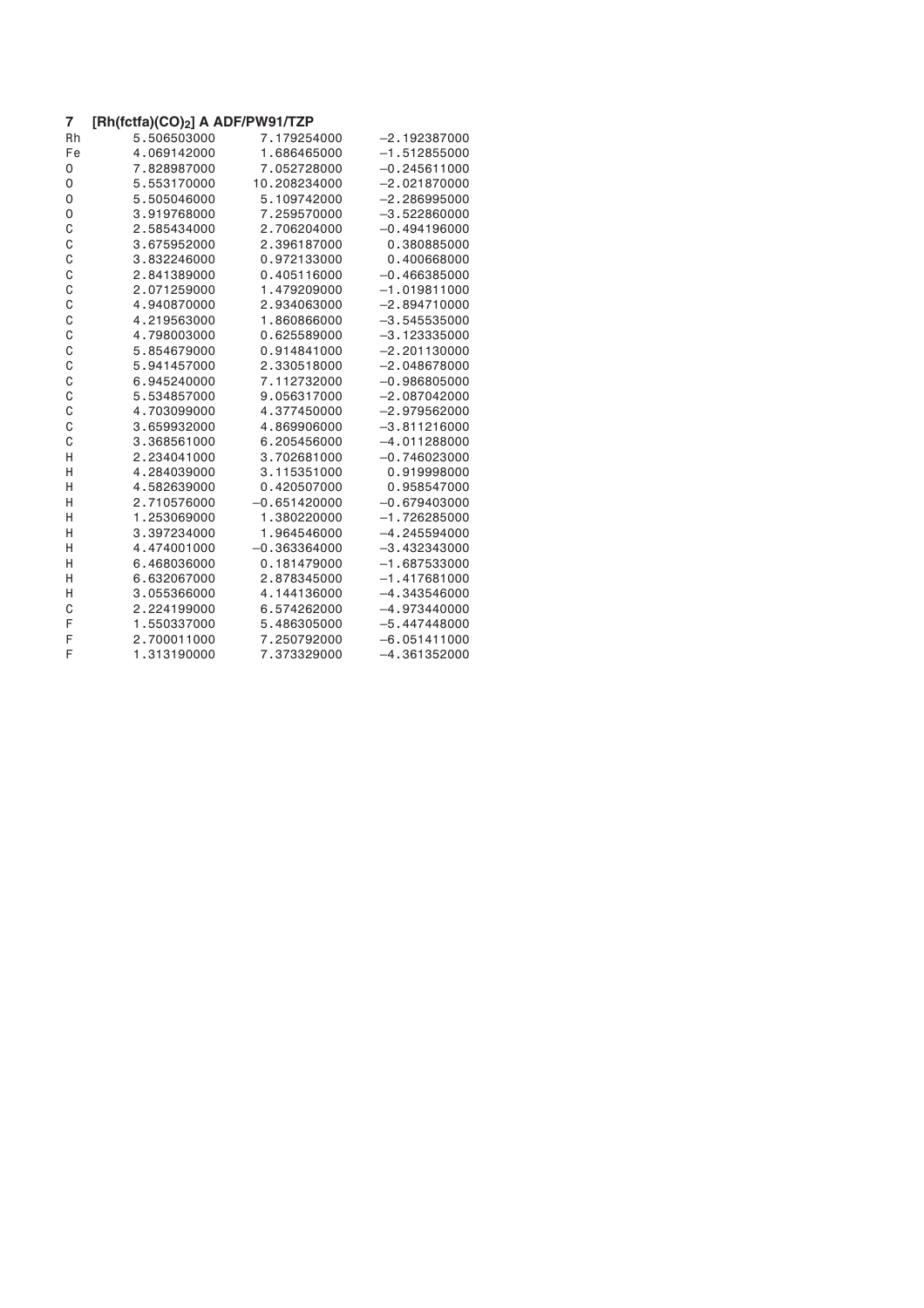| 7  | $[Rh(fctfa)(CO)_2]$ A ADF/PW91/TZP |                |                |
|----|------------------------------------|----------------|----------------|
| Rh | 5.506503000                        | 7.179254000    | $-2.192387000$ |
| Fe | 4.069142000                        | 1.686465000    | $-1.512855000$ |
| 0  | 7.828987000                        | 7.052728000    | $-0.245611000$ |
| 0  | 5.553170000                        | 10.208234000   | $-2.021870000$ |
| 0  | 5.505046000                        | 5.109742000    | $-2.286995000$ |
| 0  | 3.919768000                        | 7.259570000    | $-3.522860000$ |
| C  | 2.585434000                        | 2.706204000    | $-0.494196000$ |
| C  | 3.675952000                        | 2.396187000    | 0.380885000    |
| C  | 3.832246000                        | 0.972133000    | 0.400668000    |
| C  | 2.841389000                        | 0.405116000    | $-0.466385000$ |
| C  | 2.071259000                        | 1.479209000    | $-1.019811000$ |
| C  | 4.940870000                        | 2.934063000    | $-2.894710000$ |
| C  | 4.219563000                        | 1.860866000    | $-3.545535000$ |
| C  | 4.798003000                        | 0.625589000    | $-3.123335000$ |
| C  | 5.854679000                        | 0.914841000    | $-2.201130000$ |
| C  | 5.941457000                        | 2.330518000    | $-2.048678000$ |
| C  | 6.945240000                        | 7.112732000    | $-0.986805000$ |
| C  | 5.534857000                        | 9.056317000    | $-2.087042000$ |
| C  | 4.703099000                        | 4.377450000    | $-2.979562000$ |
| C  | 3.659932000                        | 4.869906000    | $-3.811216000$ |
| C  | 3.368561000                        | 6.205456000    | $-4.011288000$ |
| Η  | 2.234041000                        | 3.702681000    | $-0.746023000$ |
| H  | 4.284039000                        | 3.115351000    | 0.919998000    |
| H  | 4.582639000                        | 0.420507000    | 0.958547000    |
| Η  | 2.710576000                        | $-0.651420000$ | $-0.679403000$ |
| Η  | 1.253069000                        | 1.380220000    | $-1.726285000$ |
| H  | 3.397234000                        | 1.964546000    | $-4.245594000$ |
| H  | 4.474001000                        | $-0.363364000$ | $-3.432343000$ |
| Η  | 6.468036000                        | 0.181479000    | $-1.687533000$ |
| Η  | 6.632067000                        | 2.878345000    | $-1.417681000$ |
| Η  | 3.055366000                        | 4.144136000    | $-4.343546000$ |
| C  | 2.224199000                        | 6.574262000    | $-4.973440000$ |
| F  | 1.550337000                        | 5.486305000    | $-5.447448000$ |
| F  | 2.700011000                        | 7.250792000    | $-6.051411000$ |
| F  | 1.313190000                        | 7.373329000    | $-4.361352000$ |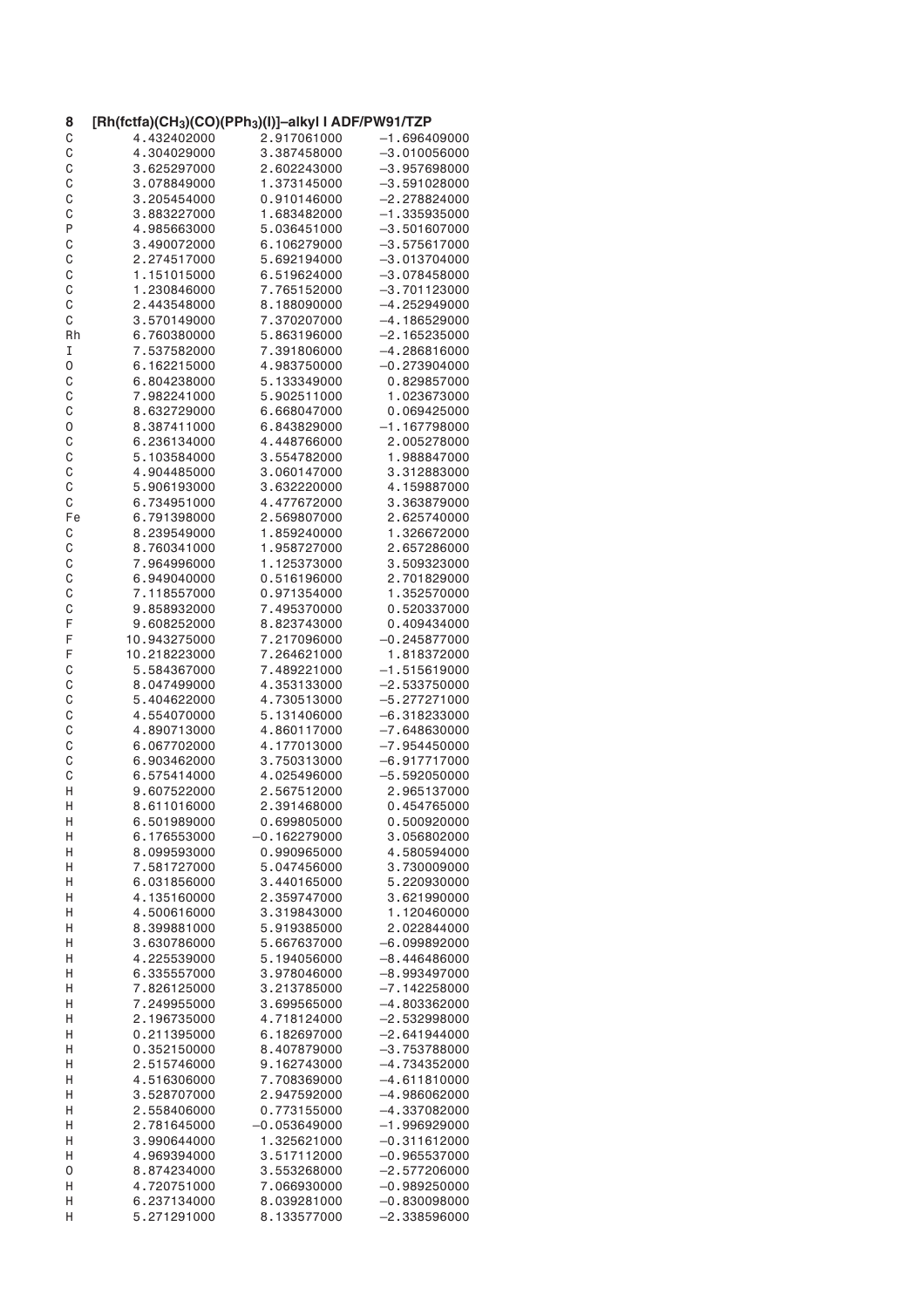| 8      | [Rh(fctfa)(CH <sub>3</sub> )(CO)(PPh <sub>3</sub> )(I)]-alkyl I ADF/PW91/TZP |                |                 |
|--------|------------------------------------------------------------------------------|----------------|-----------------|
| C      | 4.432402000                                                                  | 2.917061000    | –1.696409000    |
| C      | 4.304029000                                                                  | 3.387458000    | $-3$ .010056000 |
| C      | 3.625297000                                                                  | 2.602243000    | $-3.957698000$  |
| C      | 3.078849000                                                                  | 1.373145000    | $-3.591028000$  |
| C      | 3.205454000                                                                  | 0.910146000    | –2.278824000    |
| C      | 3.883227000                                                                  | 1.683482000    | $-1.335935000$  |
| P      | 4.985663000                                                                  | 5.036451000    | –3.501607000    |
| C      | 3.490072000                                                                  | 6.106279000    | $-3.575617000$  |
| C      | 2.274517000                                                                  | 5.692194000    | $-3.013704000$  |
| C      | 1.151015000                                                                  | 6.519624000    | $-3.078458000$  |
| C      | 1.230846000                                                                  | 7.765152000    | $-3.701123000$  |
| C      | 2.443548000                                                                  | 8.188090000    | $-4.252949000$  |
| С      | 3.570149000                                                                  | 7.370207000    | $-4.186529000$  |
| Rh     | 6.760380000                                                                  | 5.863196000    | $-2.165235000$  |
| I      | 7.537582000                                                                  | 7.391806000    | $-4.286816000$  |
| 0      | 6.162215000                                                                  | 4.983750000    | $-0.273904000$  |
| C      | 6.804238000                                                                  | 5.133349000    | 0.829857000     |
| C      | 7.982241000                                                                  | 5.902511000    | 1.023673000     |
| C      | 8.632729000                                                                  | 6.668047000    | 0.069425000     |
| 0      | 8.387411000                                                                  | 6.843829000    | $-1.167798000$  |
| C      | 6.236134000                                                                  | 4.448766000    | 2.005278000     |
|        | 5.103584000                                                                  | 3.554782000    | 1.988847000     |
| C<br>C | 4.904485000                                                                  |                |                 |
|        |                                                                              | 3.060147000    | 3.312883000     |
| C      | 5.906193000                                                                  | 3.632220000    | 4.159887000     |
| C      | 6.734951000                                                                  | 4.477672000    | 3.363879000     |
| Fe     | 6.791398000                                                                  | 2.569807000    | 2.625740000     |
| С      | 8.239549000                                                                  | 1.859240000    | 1.326672000     |
| C      | 8.760341000                                                                  | 1.958727000    | 2.657286000     |
| C      | 7.964996000                                                                  | 1.125373000    | 3.509323000     |
| C      | 6.949040000                                                                  | 0.516196000    | 2.701829000     |
| C      | 7.118557000                                                                  | 0.971354000    | 1.352570000     |
| C      | 9.858932000                                                                  | 7.495370000    | 0.520337000     |
| F      | 9.608252000                                                                  | 8.823743000    | 0.409434000     |
| F      | 10.943275000                                                                 | 7.217096000    | $-0.245877000$  |
| F      | 10.218223000                                                                 | 7.264621000    | 1.818372000     |
| С      | 5.584367000                                                                  | 7.489221000    | $-1.515619000$  |
| C      | 8.047499000                                                                  | 4.353133000    | $-2.533750000$  |
| C      | 5.404622000                                                                  | 4.730513000    | $-5.277271000$  |
| C      | 4.554070000                                                                  | 5.131406000    | $-6.318233000$  |
| C      | 4.890713000                                                                  | 4.860117000    | $-7.648630000$  |
| C      | 6.067702000                                                                  | 4.177013000    | $-7.954450000$  |
| C      | 6.903462000                                                                  | 3.750313000    | $-6.917717000$  |
| C      | 6.575414000                                                                  | 4.025496000    | $-5.592050000$  |
| Η      | 9.607522000                                                                  | 2.567512000    | 2.965137000     |
| Η      | 8.611016000                                                                  | 2.391468000    | 0.454765000     |
| Н      | 6.501989000                                                                  | 0.699805000    | 0.500920000     |
| Η      | 6.176553000                                                                  | $-0.162279000$ | 3.056802000     |
| Η      | 8.099593000                                                                  | 0.990965000    | 4.580594000     |
| Н      | 7.581727000                                                                  | 5.047456000    | 3.730009000     |
| Η      | 6.031856000                                                                  | 3.440165000    | 5.220930000     |
| н      | 4.135160000                                                                  | 2.359747000    | 3.621990000     |
| Н      | 4.500616000                                                                  | 3.319843000    | 1.120460000     |
| Н      | 8.399881000                                                                  | 5.919385000    | 2.022844000     |
| н      | 3.630786000                                                                  | 5.667637000    | $-6.099892000$  |
| Η      | 4.225539000                                                                  | 5.194056000    | $-8.446486000$  |
| Η      | 6.335557000                                                                  | 3.978046000    | $-8.993497000$  |
| Η      | 7.826125000                                                                  | 3.213785000    | $-7.142258000$  |
| Η      | 7.249955000                                                                  | 3.699565000    | $-4.803362000$  |
| н      | 2.196735000                                                                  | 4.718124000    | $-2.532998000$  |
|        | 0.211395000                                                                  | 6.182697000    | $-2.641944000$  |
| Н<br>Н | 0.352150000                                                                  | 8.407879000    | $-3.753788000$  |
|        |                                                                              |                |                 |
| Η      | 2.515746000                                                                  | 9.162743000    | -4.734352000    |
| Н      | 4.516306000                                                                  | 7.708369000    | $-4.611810000$  |
| Η      | 3.528707000                                                                  | 2.947592000    | $-4.986062000$  |
| Н      | 2.558406000                                                                  | 0.773155000    | -4.337082000    |
| Н      | 2.781645000                                                                  | $-0.053649000$ | $-1.996929000$  |
| Н      | 3.990644000                                                                  | 1.325621000    | $-0.311612000$  |
| Н      | 4.969394000                                                                  | 3.517112000    | $-0.965537000$  |
| 0      | 8.874234000                                                                  | 3.553268000    | $-2.577206000$  |
| н      | 4.720751000                                                                  | 7.066930000    | –0.989250000    |
| Н      | 6.237134000                                                                  | 8.039281000    | $-0.830098000$  |
| н      | 5.271291000                                                                  | 8.133577000    | $-2.338596000$  |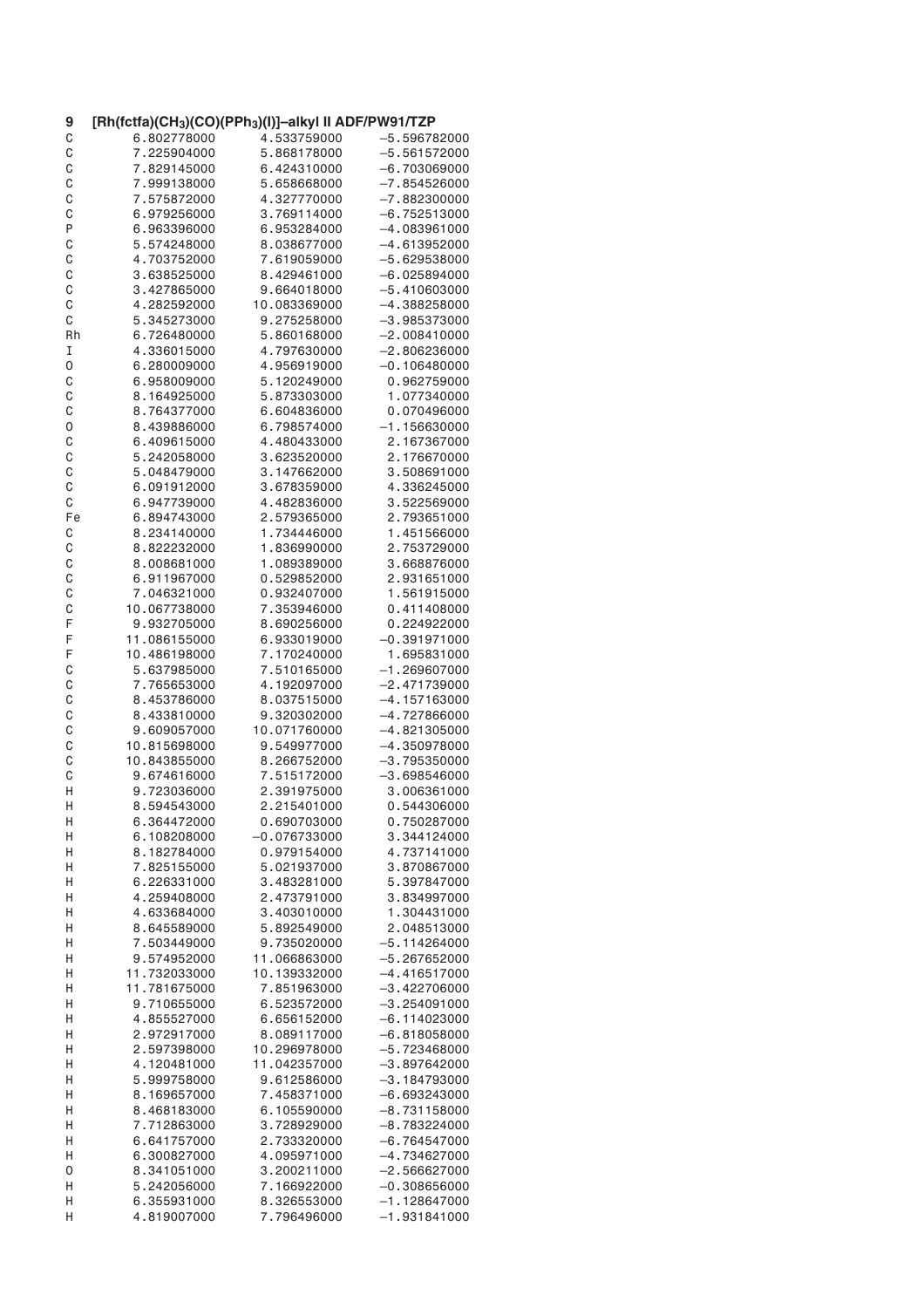| 9  | [Rh(fctfa)(CH <sub>3</sub> )(CO)(PPh <sub>3</sub> )(I)]-alkyl II ADF/PW91/TZP |                |                |
|----|-------------------------------------------------------------------------------|----------------|----------------|
| C  | 6.802778000                                                                   | 4.533759000    | $-5.596782000$ |
| C  | 7.225904000                                                                   | 5.868178000    | $-5.561572000$ |
| C  | 7.829145000                                                                   | 6.424310000    | $-6.703069000$ |
| C  | 7.999138000                                                                   | 5.658668000    | $-7.854526000$ |
| C  | 7.575872000                                                                   | 4.327770000    | $-7.882300000$ |
| C  | 6.979256000                                                                   | 3.769114000    | $-6.752513000$ |
| P  | 6.963396000                                                                   | 6.953284000    | $-4.083961000$ |
| C  | 5.574248000                                                                   | 8.038677000    | $-4.613952000$ |
| C  | 4.703752000                                                                   | 7.619059000    | $-5.629538000$ |
| C  | 3.638525000                                                                   | 8.429461000    | $-6.025894000$ |
| C  | 3.427865000                                                                   | 9.664018000    | $-5.410603000$ |
| C  | 4.282592000                                                                   | 10.083369000   | -4.388258000   |
| С  | 5.345273000                                                                   | 9.275258000    | $-3.985373000$ |
| Rh | 6.726480000                                                                   | 5.860168000    | $-2.008410000$ |
| I  | 4.336015000                                                                   | 4.797630000    | $-2.806236000$ |
| 0  | 6.280009000                                                                   | 4.956919000    | $-0.106480000$ |
| C  | 6.958009000                                                                   | 5.120249000    | 0.962759000    |
| C  | 8.164925000                                                                   | 5.873303000    | 1.077340000    |
| C  | 8.764377000                                                                   | 6.604836000    | 0.070496000    |
| 0  | 8.439886000                                                                   | 6.798574000    | $-1.156630000$ |
|    | 6.409615000                                                                   |                | 2.167367000    |
| C  |                                                                               | 4.480433000    | 2.176670000    |
| C  | 5.242058000                                                                   | 3.623520000    |                |
| C  | 5.048479000                                                                   | 3.147662000    | 3.508691000    |
| C  | 6.091912000                                                                   | 3.678359000    | 4.336245000    |
| C  | 6.947739000                                                                   | 4.482836000    | 3.522569000    |
| Fe | 6.894743000                                                                   | 2.579365000    | 2.793651000    |
| С  | 8.234140000                                                                   | 1.734446000    | 1.451566000    |
| C  | 8.822232000                                                                   | 1.836990000    | 2.753729000    |
| C  | 8.008681000                                                                   | 1.089389000    | 3.668876000    |
| C  | 6.911967000                                                                   | 0.529852000    | 2.931651000    |
| C  | 7.046321000                                                                   | 0.932407000    | 1.561915000    |
| C  | 10.067738000                                                                  | 7.353946000    | 0.411408000    |
| F  | 9.932705000                                                                   | 8.690256000    | 0.224922000    |
| F  | 11.086155000                                                                  | 6.933019000    | $-0.391971000$ |
| F  | 10.486198000                                                                  | 7.170240000    | 1.695831000    |
| С  | 5.637985000                                                                   | 7.510165000    | $-1.269607000$ |
| C  | 7.765653000                                                                   | 4.192097000    | $-2.471739000$ |
| C  | 8.453786000                                                                   | 8.037515000    | $-4.157163000$ |
| C  | 8.433810000                                                                   | 9.320302000    | $-4.727866000$ |
| C  | 9.609057000                                                                   | 10.071760000   | $-4.821305000$ |
| C  | 10.815698000                                                                  | 9.549977000    | $-4.350978000$ |
| C  | 10.843855000                                                                  | 8.266752000    | $-3.795350000$ |
| C  | 9.674616000                                                                   | 7.515172000    | $-3.698546000$ |
| Η  | 9.723036000                                                                   | 2.391975000    | 3.006361000    |
| Η  | 8.594543000                                                                   | 2.215401000    | 0.544306000    |
| Н  | 6.364472000                                                                   | 0.690703000    | 0.750287000    |
| Η  | 6.108208000                                                                   | $-0.076733000$ | 3.344124000    |
| н  | 8.182784000                                                                   | 0.979154000    | 4.737141000    |
| Н  | 7.825155000                                                                   | 5.021937000    | 3.870867000    |
| Η  | 6.226331000                                                                   | 3.483281000    | 5.397847000    |
| н  | 4.259408000                                                                   | 2.473791000    | 3.834997000    |
| Н  | 4.633684000                                                                   | 3.403010000    | 1.304431000    |
| Η  | 8.645589000                                                                   | 5.892549000    | 2.048513000    |
| н  | 7.503449000                                                                   | 9.735020000    | $-5.114264000$ |
|    |                                                                               |                | $-5.267652000$ |
| Η  | 9.574952000                                                                   | 11.066863000   |                |
| Η  | 11.732033000                                                                  | 10.139332000   | -4.416517000   |
| Η  | 11.781675000                                                                  | 7.851963000    | $-3.422706000$ |
| Η  | 9.710655000                                                                   | 6.523572000    | $-3.254091000$ |
| н  | 4.855527000                                                                   | 6.656152000    | –6.114023000   |
| Н  | 2.972917000                                                                   | 8.089117000    | $-6.818058000$ |
| Н  | 2.597398000                                                                   | 10.296978000   | $-5.723468000$ |
| Η  | 4.120481000                                                                   | 11.042357000   | $-3.897642000$ |
| Н  | 5.999758000                                                                   | 9.612586000    | $-3.184793000$ |
| Η  | 8.169657000                                                                   | 7.458371000    | $-6.693243000$ |
| Н  | 8.468183000                                                                   | 6.105590000    | $-8.731158000$ |
| Н  | 7.712863000                                                                   | 3.728929000    | $-8.783224000$ |
| Н  | 6.641757000                                                                   | 2.733320000    | $-6.764547000$ |
| Н  | 6.300827000                                                                   | 4.095971000    | -4.734627000   |
| 0  | 8.341051000                                                                   | 3.200211000    | $-2.566627000$ |
| н  | 5.242056000                                                                   | 7.166922000    | $-0.308656000$ |
| Н  | 6.355931000                                                                   | 8.326553000    | $-1.128647000$ |
| н  | 4.819007000                                                                   | 7.796496000    | $-1.931841000$ |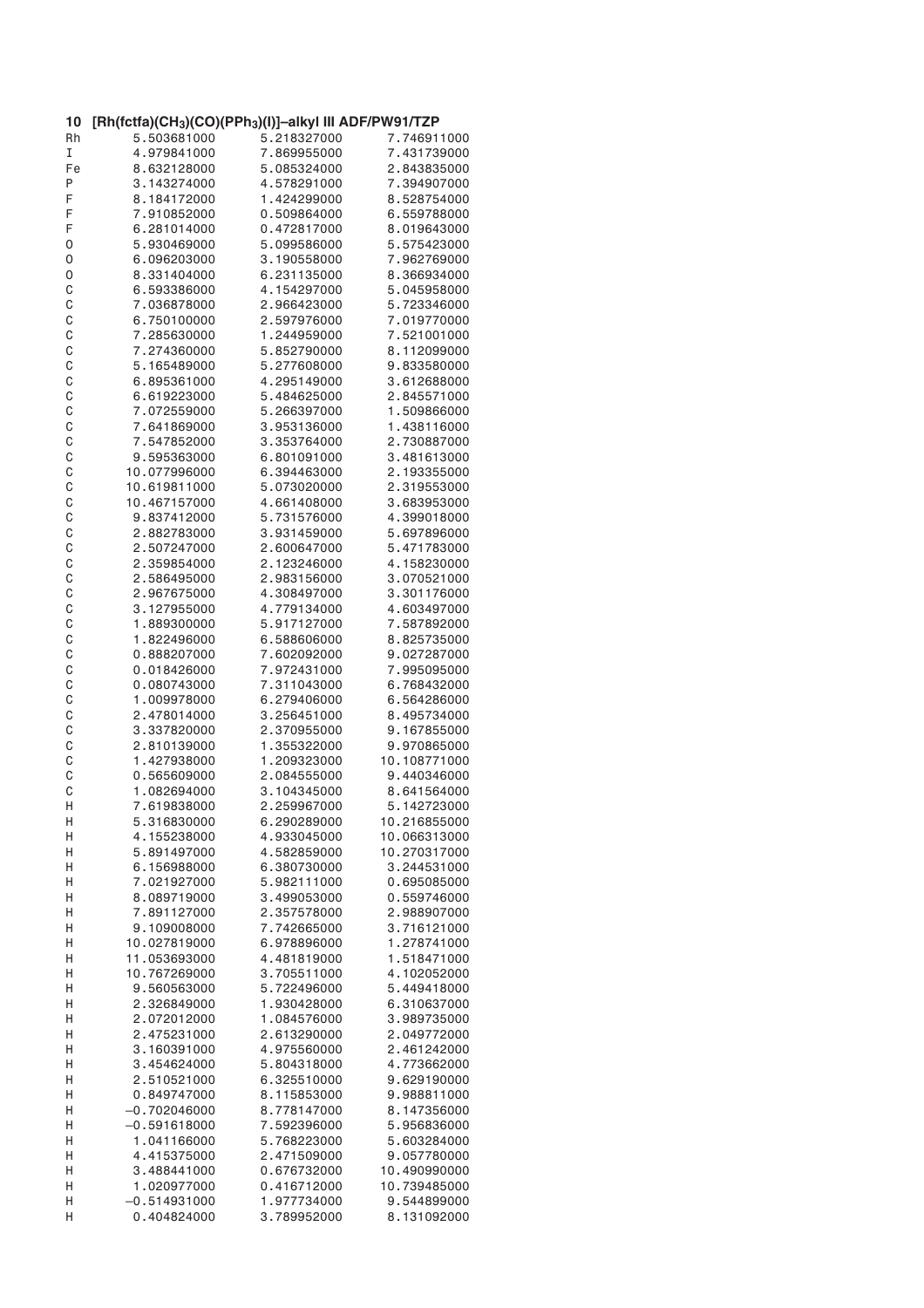| 10 | [Rh(fctfa)(CH <sub>3</sub> )(CO)(PPh <sub>3</sub> )(I)]–alkyl III ADF/PW91/TZP |             |              |
|----|--------------------------------------------------------------------------------|-------------|--------------|
| Rh | 5.503681000                                                                    | 5.218327000 | 7.746911000  |
| I  | 4.979841000                                                                    | 7.869955000 | 7.431739000  |
| Fe | 8.632128000                                                                    | 5.085324000 | 2.843835000  |
| Ρ  | 3.143274000                                                                    | 4.578291000 | 7.394907000  |
| F  | 8.184172000                                                                    | 1.424299000 | 8.528754000  |
| F  | 7.910852000                                                                    | 0.509864000 | 6.559788000  |
| F  | 6.281014000                                                                    | 0.472817000 | 8.019643000  |
| 0  | 5.930469000                                                                    | 5.099586000 | 5.575423000  |
| 0  | 6.096203000                                                                    | 3.190558000 | 7.962769000  |
| 0  | 8.331404000                                                                    | 6.231135000 | 8.366934000  |
| C  | 6.593386000                                                                    | 4.154297000 | 5.045958000  |
| C  | 7.036878000                                                                    | 2.966423000 | 5.723346000  |
| C  | 6.750100000                                                                    | 2.597976000 | 7.019770000  |
| C  | 7.285630000                                                                    | 1.244959000 | 7.521001000  |
| C  | 7.274360000                                                                    | 5.852790000 | 8.112099000  |
| C  | 5.165489000                                                                    | 5.277608000 | 9.833580000  |
| C  | 6.895361000                                                                    | 4.295149000 | 3.612688000  |
| C  | 6.619223000                                                                    | 5.484625000 | 2.845571000  |
| C  | 7.072559000                                                                    | 5.266397000 | 1.509866000  |
| C  | 7.641869000                                                                    | 3.953136000 | 1.438116000  |
| C  | 7.547852000                                                                    | 3.353764000 | 2.730887000  |
|    |                                                                                |             |              |
| C  | 9.595363000                                                                    | 6.801091000 | 3.481613000  |
| C  | 10.077996000                                                                   | 6.394463000 | 2.193355000  |
| C  | 10.619811000                                                                   | 5.073020000 | 2.319553000  |
| C  | 10.467157000                                                                   | 4.661408000 | 3.683953000  |
| C  | 9.837412000                                                                    | 5.731576000 | 4.399018000  |
| C  | 2.882783000                                                                    | 3.931459000 | 5.697896000  |
| C  | 2.507247000                                                                    | 2.600647000 | 5.471783000  |
| C  | 2.359854000                                                                    | 2.123246000 | 4.158230000  |
| C  | 2.586495000                                                                    | 2.983156000 | 3.070521000  |
| C  | 2.967675000                                                                    | 4.308497000 | 3.301176000  |
| C  | 3.127955000                                                                    | 4.779134000 | 4.603497000  |
| C  | 1.889300000                                                                    | 5.917127000 | 7.587892000  |
| C  | 1.822496000                                                                    | 6.588606000 | 8.825735000  |
| C  | 0.888207000                                                                    | 7.602092000 | 9.027287000  |
| C  | 0.018426000                                                                    | 7.972431000 | 7.995095000  |
| C  | 0.080743000                                                                    | 7.311043000 | 6.768432000  |
| C  | 1.009978000                                                                    | 6.279406000 | 6.564286000  |
| C  | 2.478014000                                                                    | 3.256451000 | 8.495734000  |
| C  | 3.337820000                                                                    | 2.370955000 | 9.167855000  |
| C  | 2.810139000                                                                    | 1.355322000 | 9.970865000  |
| C  | 1.427938000                                                                    | 1.209323000 | 10.108771000 |
| C  | 0.565609000                                                                    | 2.084555000 | 9.440346000  |
| C  | 1.082694000                                                                    | 3.104345000 | 8.641564000  |
| Η  | 7.619838000                                                                    | 2.259967000 | 5.142723000  |
| Н  | 5.316830000                                                                    | 6.290289000 | 10.216855000 |
| Η  | 4.155238000                                                                    | 4.933045000 | 10.066313000 |
| Н  | 5.891497000                                                                    | 4.582859000 | 10.270317000 |
| Н  | 6.156988000                                                                    | 6.380730000 | 3.244531000  |
| Н  | 7.021927000                                                                    | 5.982111000 | 0.695085000  |
| Н  | 8.089719000                                                                    | 3.499053000 | 0.559746000  |
| Н  | 7.891127000                                                                    | 2.357578000 | 2.988907000  |
| Η  | 9.109008000                                                                    | 7.742665000 | 3.716121000  |
| Н  | 10.027819000                                                                   | 6.978896000 | 1.278741000  |
|    |                                                                                | 4.481819000 |              |
| Η  | 11.053693000                                                                   |             | 1.518471000  |
| Η  | 10.767269000                                                                   | 3.705511000 | 4.102052000  |
| Η  | 9.560563000                                                                    | 5.722496000 | 5.449418000  |
| Н  | 2.326849000                                                                    | 1.930428000 | 6.310637000  |
| Η  | 2.072012000                                                                    | 1.084576000 | 3.989735000  |
| Н  | 2.475231000                                                                    | 2.613290000 | 2.049772000  |
| Н  | 3.160391000                                                                    | 4.975560000 | 2.461242000  |
| Η  | 3.454624000                                                                    | 5.804318000 | 4.773662000  |
| Η  | 2.510521000                                                                    | 6.325510000 | 9.629190000  |
| Η  | 0.849747000                                                                    | 8.115853000 | 9.988811000  |
| Н  | $-0.702046000$                                                                 | 8.778147000 | 8.147356000  |
| Н  | $-0.591618000$                                                                 | 7.592396000 | 5.956836000  |
| Η  | 1.041166000                                                                    | 5.768223000 | 5.603284000  |
| Н  | 4.415375000                                                                    | 2.471509000 | 9.057780000  |
| Н  | 3.488441000                                                                    | 0.676732000 | 10.490990000 |
| Η  | 1.020977000                                                                    | 0.416712000 | 10.739485000 |
| Н  | $-0.514931000$                                                                 | 1.977734000 | 9.544899000  |
| Η  | 0.404824000                                                                    | 3.789952000 | 8.131092000  |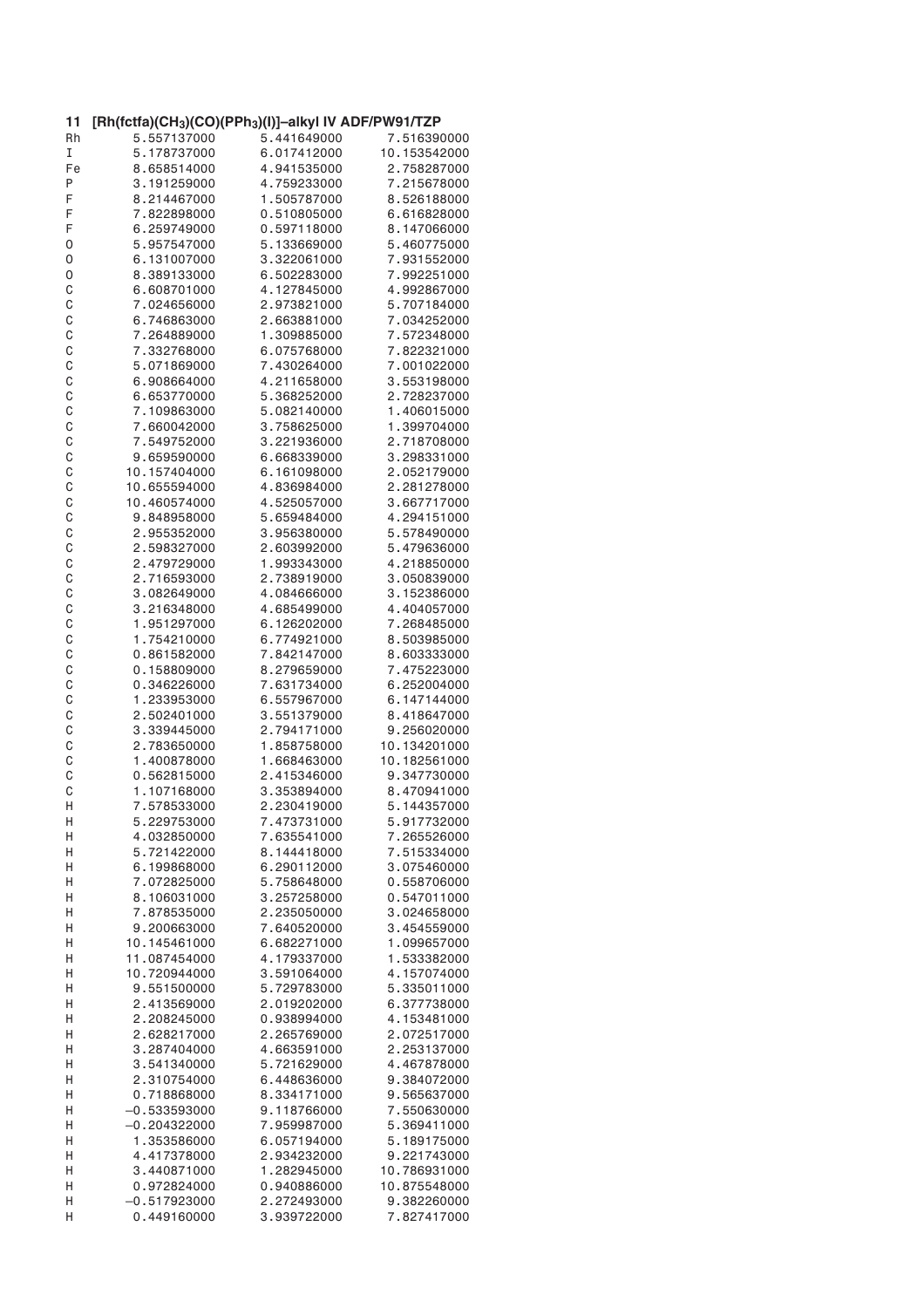| 11           | [Rh(fctfa)(CH <sub>3</sub> )(CO)(PPh <sub>3</sub> )(I)]-alkyl IV ADF/PW91/TZP |             |              |
|--------------|-------------------------------------------------------------------------------|-------------|--------------|
| Rh           | 5.557137000                                                                   | 5.441649000 | 7.516390000  |
| I            | 5.178737000                                                                   | 6.017412000 | 10.153542000 |
| Fe           | 8.658514000                                                                   | 4.941535000 | 2.758287000  |
| Ρ            | 3.191259000                                                                   | 4.759233000 | 7.215678000  |
| F            | 8.214467000                                                                   | 1.505787000 | 8.526188000  |
| F            | 7.822898000                                                                   | 0.510805000 | 6.616828000  |
| F            | 6.259749000                                                                   | 0.597118000 | 8.147066000  |
| 0            | 5.957547000                                                                   | 5.133669000 | 5.460775000  |
| 0            | 6.131007000                                                                   | 3.322061000 | 7.931552000  |
| 0            | 8.389133000                                                                   | 6.502283000 | 7.992251000  |
| C            | 6.608701000                                                                   | 4.127845000 | 4.992867000  |
| $\mathsf C$  | 7.024656000                                                                   | 2.973821000 | 5.707184000  |
| C            | 6.746863000                                                                   | 2.663881000 | 7.034252000  |
| C            | 7.264889000                                                                   | 1.309885000 | 7.572348000  |
| C            | 7.332768000                                                                   | 6.075768000 | 7.822321000  |
| C            | 5.071869000                                                                   | 7.430264000 | 7.001022000  |
| C            | 6.908664000                                                                   | 4.211658000 | 3.553198000  |
| C            | 6.653770000                                                                   | 5.368252000 | 2.728237000  |
| C            | 7.109863000                                                                   | 5.082140000 | 1.406015000  |
| C            | 7.660042000                                                                   | 3.758625000 | 1.399704000  |
| C            | 7.549752000                                                                   | 3.221936000 | 2.718708000  |
|              | 9.659590000                                                                   | 6.668339000 | 3.298331000  |
| C            |                                                                               | 6.161098000 |              |
| C            | 10.157404000                                                                  |             | 2.052179000  |
| C            | 10.655594000                                                                  | 4.836984000 | 2.281278000  |
| C            | 10.460574000                                                                  | 4.525057000 | 3.667717000  |
| C            | 9.848958000                                                                   | 5.659484000 | 4.294151000  |
| C            | 2.955352000                                                                   | 3.956380000 | 5.578490000  |
| C            | 2.598327000                                                                   | 2.603992000 | 5.479636000  |
| C            | 2.479729000                                                                   | 1.993343000 | 4.218850000  |
| C            | 2.716593000                                                                   | 2.738919000 | 3.050839000  |
| $\mathsf{C}$ | 3.082649000                                                                   | 4.084666000 | 3.152386000  |
| C            | 3.216348000                                                                   | 4.685499000 | 4.404057000  |
| C            | 1.951297000                                                                   | 6.126202000 | 7.268485000  |
| C            | 1.754210000                                                                   | 6.774921000 | 8.503985000  |
| $\mathsf{C}$ | 0.861582000                                                                   | 7.842147000 | 8.603333000  |
| C            | 0.158809000                                                                   | 8.279659000 | 7.475223000  |
| C            | 0.346226000                                                                   | 7.631734000 | 6.252004000  |
| C            | 1.233953000                                                                   | 6.557967000 | 6.147144000  |
| $\mathsf C$  | 2.502401000                                                                   | 3.551379000 | 8.418647000  |
| C            | 3.339445000                                                                   | 2.794171000 | 9.256020000  |
| C            | 2.783650000                                                                   | 1.858758000 | 10.134201000 |
| C            | 1.400878000                                                                   | 1.668463000 | 10.182561000 |
| C            | 0.562815000                                                                   | 2.415346000 | 9.347730000  |
| C            | 1.107168000                                                                   | 3.353894000 | 8.470941000  |
| Н            | 7.578533000                                                                   | 2.230419000 | 5.144357000  |
| Н            | 5.229753000                                                                   | 7.473731000 | 5.917732000  |
| Η            | 4.032850000                                                                   | 7.635541000 | 7.265526000  |
| Н            | 5.721422000                                                                   | 8.144418000 | 7.515334000  |
| Н            | 6.199868000                                                                   | 6.290112000 | 3.075460000  |
| Η            | 7.072825000                                                                   | 5.758648000 | 0.558706000  |
| Η            | 8.106031000                                                                   | 3.257258000 | 0.547011000  |
| Η            | 7.878535000                                                                   | 2.235050000 | 3.024658000  |
| Н            | 9.200663000                                                                   | 7.640520000 | 3.454559000  |
| Н            | 10.145461000                                                                  | 6.682271000 | 1.099657000  |
| Н            | 11.087454000                                                                  | 4.179337000 | 1.533382000  |
| Η            | 10.720944000                                                                  | 3.591064000 | 4.157074000  |
| Н            | 9.551500000                                                                   | 5.729783000 | 5.335011000  |
| Η            | 2.413569000                                                                   | 2.019202000 | 6.377738000  |
| Н            | 2.208245000                                                                   | 0.938994000 | 4.153481000  |
| Н            | 2.628217000                                                                   | 2.265769000 | 2.072517000  |
|              |                                                                               |             |              |
| Н            | 3.287404000                                                                   | 4.663591000 | 2.253137000  |
| Η            | 3.541340000                                                                   | 5.721629000 | 4.467878000  |
| Н            | 2.310754000                                                                   | 6.448636000 | 9.384072000  |
| Η            | 0.718868000                                                                   | 8.334171000 | 9.565637000  |
| Η            | $-0.533593000$                                                                | 9.118766000 | 7.550630000  |
| Η            | $-0.204322000$                                                                | 7.959987000 | 5.369411000  |
| Н            | 1.353586000                                                                   | 6.057194000 | 5.189175000  |
| Н            | 4.417378000                                                                   | 2.934232000 | 9.221743000  |
| Η            | 3.440871000                                                                   | 1.282945000 | 10.786931000 |
| Η            | 0.972824000                                                                   | 0.940886000 | 10.875548000 |
| Η            | $-0.517923000$                                                                | 2.272493000 | 9.382260000  |
| Η            | 0.449160000                                                                   | 3.939722000 | 7.827417000  |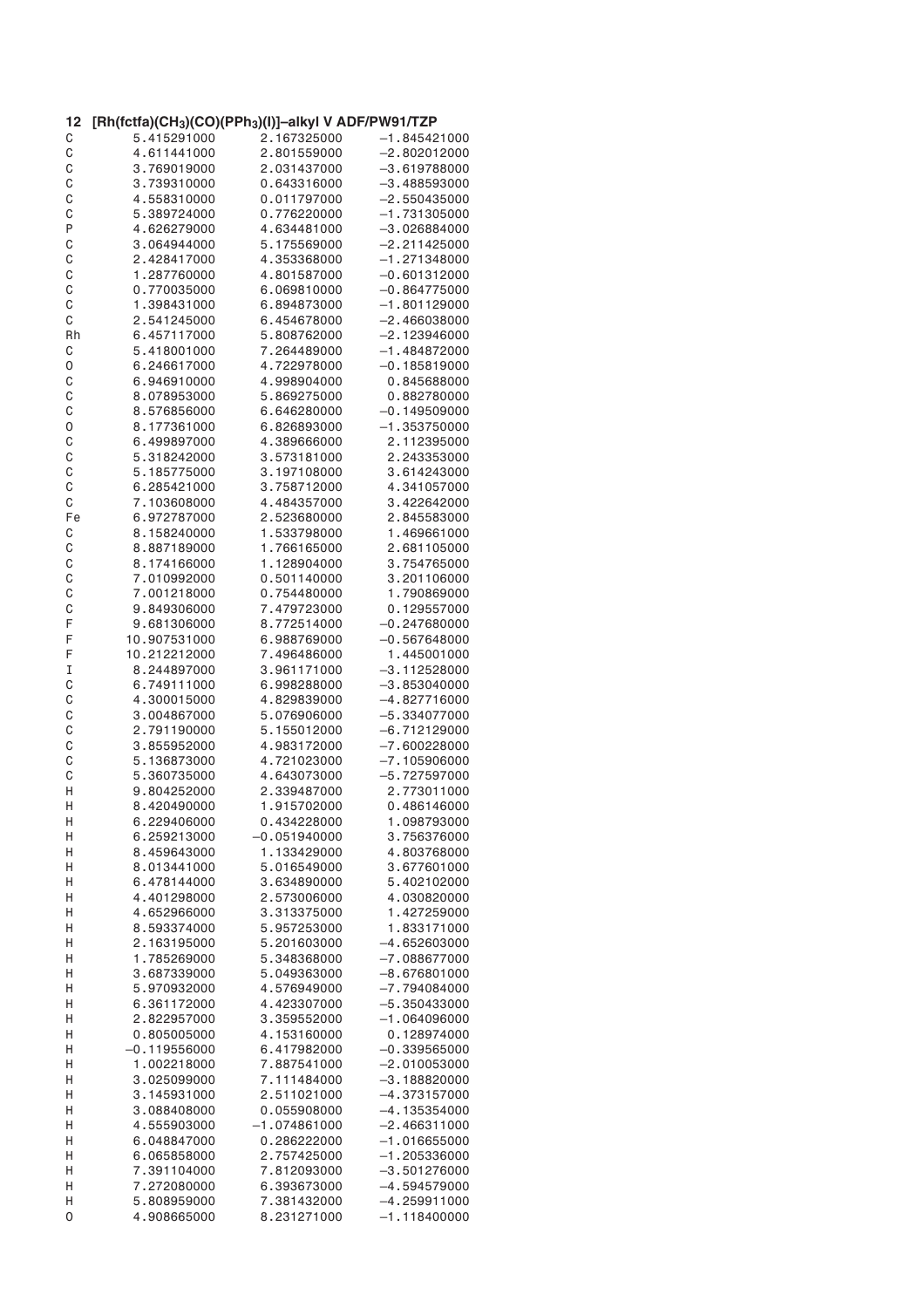| 12 | [Rh(fctfa)(CH <sub>3</sub> )(CO)(PPh <sub>3</sub> )(I)]-alkyl V ADF/PW91/TZP |                |                |
|----|------------------------------------------------------------------------------|----------------|----------------|
| С  | 5.415291000                                                                  | 2.167325000    | $-1.845421000$ |
| C  | 4.611441000                                                                  | 2.801559000    | $-2.802012000$ |
| C  | 3.769019000                                                                  | 2.031437000    | $-3.619788000$ |
| C  | 3.739310000                                                                  | 0.643316000    | $-3.488593000$ |
| C  | 4.558310000                                                                  | 0.011797000    | $-2.550435000$ |
| C  | 5.389724000                                                                  | 0.776220000    | $-1.731305000$ |
| P  | 4.626279000                                                                  | 4.634481000    | $-3.026884000$ |
| C  | 3.064944000                                                                  | 5.175569000    | $-2.211425000$ |
| C  | 2.428417000                                                                  | 4.353368000    | $-1.271348000$ |
| C  | 1.287760000                                                                  | 4.801587000    | $-0.601312000$ |
|    |                                                                              |                |                |
| C  | 0.770035000                                                                  | 6.069810000    | $-0.864775000$ |
| C  | 1.398431000                                                                  | 6.894873000    | $-1.801129000$ |
| C  | 2.541245000                                                                  | 6.454678000    | $-2.466038000$ |
| Rh | 6.457117000                                                                  | 5.808762000    | $-2.123946000$ |
| C  | 5.418001000                                                                  | 7.264489000    | $-1.484872000$ |
| 0  | 6.246617000                                                                  | 4.722978000    | $-0.185819000$ |
| С  | 6.946910000                                                                  | 4.998904000    | 0.845688000    |
| C  | 8.078953000                                                                  | 5.869275000    | 0.882780000    |
| C  | 8.576856000                                                                  | 6.646280000    | $-0.149509000$ |
| 0  | 8.177361000                                                                  | 6.826893000    | $-1.353750000$ |
| C  | 6.499897000                                                                  | 4.389666000    | 2.112395000    |
| C  | 5.318242000                                                                  | 3.573181000    | 2.243353000    |
| C  | 5.185775000                                                                  | 3.197108000    | 3.614243000    |
| C  | 6.285421000                                                                  | 3.758712000    | 4.341057000    |
|    |                                                                              |                |                |
| C  | 7.103608000                                                                  | 4.484357000    | 3.422642000    |
| Fe | 6.972787000                                                                  | 2.523680000    | 2.845583000    |
| C  | 8.158240000                                                                  | 1.533798000    | 1.469661000    |
| C  | 8.887189000                                                                  | 1.766165000    | 2.681105000    |
| C  | 8.174166000                                                                  | 1.128904000    | 3.754765000    |
| C  | 7.010992000                                                                  | 0.501140000    | 3.201106000    |
| C  | 7.001218000                                                                  | 0.754480000    | 1.790869000    |
| C  | 9.849306000                                                                  | 7.479723000    | 0.129557000    |
| F  | 9.681306000                                                                  | 8.772514000    | $-0.247680000$ |
| F  | 10.907531000                                                                 | 6.988769000    | $-0.567648000$ |
| F  | 10.212212000                                                                 | 7.496486000    | 1.445001000    |
| I  | 8.244897000                                                                  | 3.961171000    | $-3.112528000$ |
|    | 6.749111000                                                                  | 6.998288000    | $-3.853040000$ |
| C  |                                                                              |                |                |
| C  | 4.300015000                                                                  | 4.829839000    | $-4.827716000$ |
| C  | 3.004867000                                                                  | 5.076906000    | $-5.334077000$ |
| C  | 2.791190000                                                                  | 5.155012000    | $-6.712129000$ |
| C  | 3.855952000                                                                  | 4.983172000    | $-7.600228000$ |
| C  | 5.136873000                                                                  | 4.721023000    | $-7.105906000$ |
| C  | 5.360735000                                                                  | 4.643073000    | $-5.727597000$ |
| Н  | 9.804252000                                                                  | 2.339487000    | 2.773011000    |
| Н  | 8.420490000                                                                  | 1.915702000    | 0.486146000    |
| Н  | 6.229406000                                                                  | 0.434228000    | 1.098793000    |
| Н  | 6.259213000                                                                  | $-0.051940000$ | 3.756376000    |
| Н  | 8.459643000                                                                  | 1.133429000    | 4.803768000    |
| Н  | 8.013441000                                                                  | 5.016549000    | 3.677601000    |
| Н  | 6.478144000                                                                  | 3.634890000    | 5.402102000    |
| Н  | 4.401298000                                                                  | 2.573006000    | 4.030820000    |
|    | 4.652966000                                                                  | 3.313375000    | 1.427259000    |
| Н  |                                                                              |                |                |
| Н  | 8.593374000                                                                  | 5.957253000    | 1.833171000    |
| Н  | 2.163195000                                                                  | 5.201603000    | $-4.652603000$ |
| Н  | 1.785269000                                                                  | 5.348368000    | $-7.088677000$ |
| Н  | 3.687339000                                                                  | 5.049363000    | $-8.676801000$ |
| Н  | 5.970932000                                                                  | 4.576949000    | $-7.794084000$ |
| Н  | 6.361172000                                                                  | 4.423307000    | $-5.350433000$ |
| Η  | 2.822957000                                                                  | 3.359552000    | $-1.064096000$ |
| Η  | 0.805005000                                                                  | 4.153160000    | 0.128974000    |
| Η  | $-0.119556000$                                                               | 6.417982000    | $-0.339565000$ |
| Η  | 1.002218000                                                                  | 7.887541000    | $-2.010053000$ |
| Н  | 3.025099000                                                                  | 7.111484000    | $-3.188820000$ |
| Η  | 3.145931000                                                                  | 2.511021000    | $-4.373157000$ |
|    |                                                                              |                |                |
| Η  | 3.088408000                                                                  | 0.055908000    | $-4.135354000$ |
| Η  | 4.555903000                                                                  | $-1.074861000$ | $-2.466311000$ |
| Η  | 6.048847000                                                                  | 0.286222000    | $-1.016655000$ |
| Н  | 6.065858000                                                                  | 2.757425000    | $-1.205336000$ |
| Η  | 7.391104000                                                                  | 7.812093000    | $-3.501276000$ |
| Η  | 7.272080000                                                                  | 6.393673000    | $-4.594579000$ |
| Н  | 5.808959000                                                                  | 7.381432000    | $-4.259911000$ |
| 0  | 4.908665000                                                                  | 8.231271000    | $-1.118400000$ |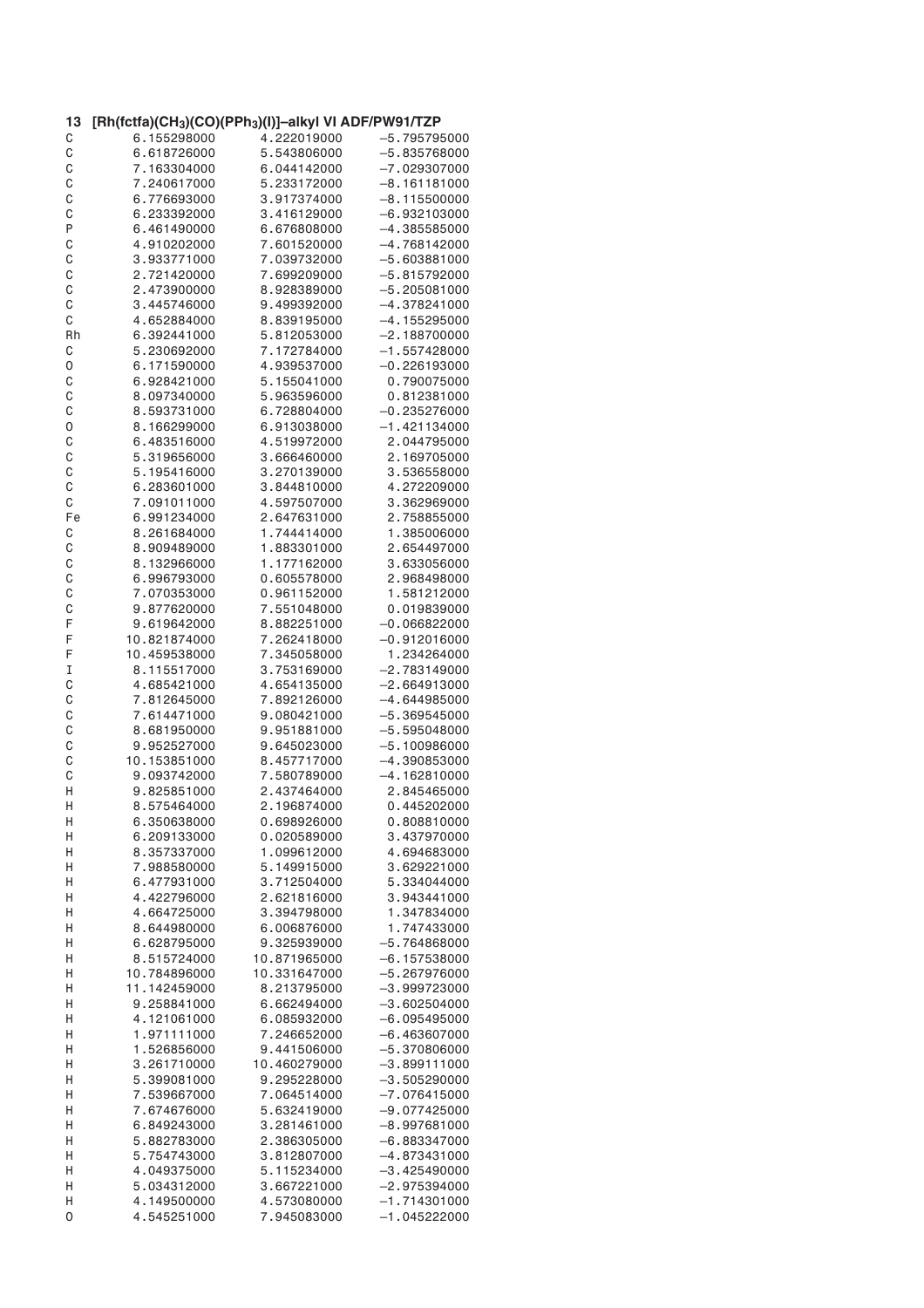| 13 | [Rh(fctfa)(CH <sub>3</sub> )(CO)(PPh <sub>3</sub> )(I)]–alkyl VI ADF/PW91/TZP |              |                |
|----|-------------------------------------------------------------------------------|--------------|----------------|
| C  | 6.155298000                                                                   | 4.222019000  | $-5.795795000$ |
| C  | 6.618726000                                                                   | 5.543806000  | $-5.835768000$ |
| C  | 7.163304000                                                                   | 6.044142000  | $-7.029307000$ |
| C  | 7.240617000                                                                   | 5.233172000  | -8.161181000   |
| C  | 6.776693000                                                                   | 3.917374000  | $-8.115500000$ |
| C  | 6.233392000                                                                   | 3.416129000  | $-6.932103000$ |
| P  | 6.461490000                                                                   | 6,676808000  | $-4.385585000$ |
| C  | 4.910202000                                                                   | 7.601520000  | $-4.768142000$ |
| C  | 3.933771000                                                                   | 7.039732000  | $-5.603881000$ |
| C  | 2.721420000                                                                   | 7.699209000  | $-5.815792000$ |
| C  | 2.473900000                                                                   | 8.928389000  | $-5.205081000$ |
| C  | 3.445746000                                                                   | 9.499392000  | $-4.378241000$ |
| С  | 4.652884000                                                                   | 8.839195000  | $-4.155295000$ |
| Rh | 6.392441000                                                                   | 5.812053000  | $-2.188700000$ |
| C  | 5.230692000                                                                   | 7.172784000  | $-1.557428000$ |
| 0  | 6.171590000                                                                   | 4.939537000  | $-0.226193000$ |
| C  | 6.928421000                                                                   | 5.155041000  | 0.790075000    |
| C  | 8.097340000                                                                   | 5.963596000  | 0.812381000    |
| C  | 8.593731000                                                                   | 6.728804000  | $-0.235276000$ |
| 0  | 8.166299000                                                                   | 6.913038000  | $-1.421134000$ |
| C  | 6.483516000                                                                   | 4.519972000  | 2.044795000    |
| C  | 5.319656000                                                                   | 3.666460000  | 2.169705000    |
| C  | 5.195416000                                                                   | 3.270139000  | 3.536558000    |
| C  | 6.283601000                                                                   | 3.844810000  | 4.272209000    |
|    |                                                                               |              |                |
| C  | 7.091011000                                                                   | 4.597507000  | 3.362969000    |
| Fe | 6.991234000                                                                   | 2.647631000  | 2.758855000    |
| С  | 8.261684000                                                                   | 1.744414000  | 1.385006000    |
| C  | 8.909489000                                                                   | 1.883301000  | 2.654497000    |
| C  | 8.132966000                                                                   | 1.177162000  | 3.633056000    |
| C  | 6.996793000                                                                   | 0.605578000  | 2.968498000    |
| C  | 7.070353000                                                                   | 0.961152000  | 1.581212000    |
| C  | 9.877620000                                                                   | 7.551048000  | 0.019839000    |
| F  | 9.619642000                                                                   | 8.882251000  | $-0.066822000$ |
| F  | 10.821874000                                                                  | 7.262418000  | $-0.912016000$ |
| F  | 10.459538000                                                                  | 7.345058000  | 1.234264000    |
| I  | 8.115517000                                                                   | 3.753169000  | $-2.783149000$ |
| C  | 4.685421000                                                                   | 4.654135000  | $-2.664913000$ |
| C  | 7.812645000                                                                   | 7.892126000  | $-4.644985000$ |
| C  | 7.614471000                                                                   | 9.080421000  | $-5.369545000$ |
| C  | 8.681950000                                                                   | 9.951881000  | $-5.595048000$ |
| C  | 9.952527000                                                                   | 9.645023000  | $-5.100986000$ |
| C  | 10.153851000                                                                  | 8.457717000  | $-4.390853000$ |
| C  | 9.093742000                                                                   | 7.580789000  | $-4.162810000$ |
| Η  | 9.825851000                                                                   | 2.437464000  | 2.845465000    |
| Η  | 8.575464000                                                                   | 2.196874000  | 0.445202000    |
| Н  | 6.350638000                                                                   | 0.698926000  | 0.808810000    |
| Н  | 6.209133000                                                                   | 0.020589000  | 3.437970000    |
| Η  | 8.357337000                                                                   | 1.099612000  | 4.694683000    |
| Η  | 7.988580000                                                                   | 5.149915000  | 3.629221000    |
| Η  | 6.477931000                                                                   | 3.712504000  | 5.334044000    |
| Η  | 4.422796000                                                                   | 2.621816000  | 3.943441000    |
| Н  | 4.664725000                                                                   | 3.394798000  | 1.347834000    |
| Η  | 8.644980000                                                                   | 6.006876000  | 1.747433000    |
| Η  | 6.628795000                                                                   | 9.325939000  | $-5.764868000$ |
| Η  | 8.515724000                                                                   | 10.871965000 | $-6.157538000$ |
| Η  | 10.784896000                                                                  | 10.331647000 | $-5.267976000$ |
| Η  | 11.142459000                                                                  | 8.213795000  | $-3.999723000$ |
| Η  | 9.258841000                                                                   | 6.662494000  | $-3.602504000$ |
| Η  | 4.121061000                                                                   | 6.085932000  | $-6.095495000$ |
| Η  | 1.971111000                                                                   | 7.246652000  | $-6.463607000$ |
| Н  | 1.526856000                                                                   | 9.441506000  | $-5.370806000$ |
| Н  | 3.261710000                                                                   | 10.460279000 | $-3.899111000$ |
| Н  | 5.399081000                                                                   | 9.295228000  | $-3.505290000$ |
| Н  | 7.539667000                                                                   | 7.064514000  | $-7.076415000$ |
| Н  | 7.674676000                                                                   | 5.632419000  | $-9.077425000$ |
| Н  | 6.849243000                                                                   | 3.281461000  | $-8.997681000$ |
| Η  | 5.882783000                                                                   | 2.386305000  | $-6.883347000$ |
|    |                                                                               |              |                |
| Н  | 5.754743000                                                                   | 3.812807000  | -4.873431000   |
| Н  | 4.049375000                                                                   | 5.115234000  | $-3.425490000$ |
| Н  | 5.034312000                                                                   | 3.667221000  | $-2.975394000$ |
| Н  | 4.149500000                                                                   | 4.573080000  | $-1.714301000$ |
| 0  | 4.545251000                                                                   | 7.945083000  | $-1.045222000$ |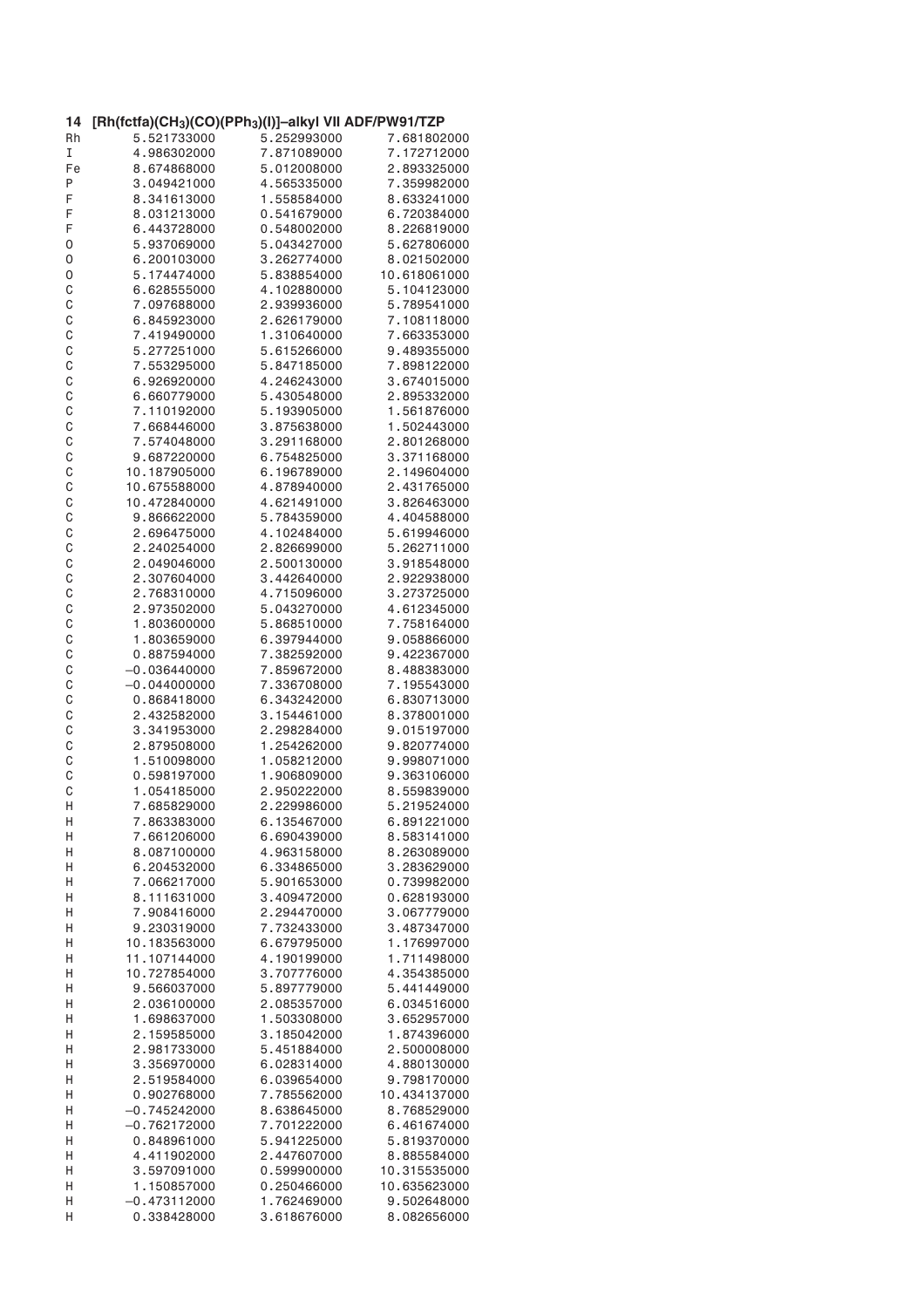| 14           | [Rh(fctfa)(CH <sub>3</sub> )(CO)(PPh <sub>3</sub> )(I)]-alkyl VII ADF/PW91/TZP |             |              |
|--------------|--------------------------------------------------------------------------------|-------------|--------------|
| Rh           | 5.521733000                                                                    | 5.252993000 | 7.681802000  |
| I            | 4.986302000                                                                    | 7.871089000 | 7.172712000  |
| Fe           | 8.674868000                                                                    | 5.012008000 | 2.893325000  |
| P            | 3.049421000                                                                    | 4.565335000 | 7.359982000  |
|              |                                                                                |             |              |
| F            | 8.341613000                                                                    | 1.558584000 | 8.633241000  |
| F            | 8.031213000                                                                    | 0.541679000 | 6.720384000  |
| F            | 6.443728000                                                                    | 0.548002000 | 8.226819000  |
| 0            | 5.937069000                                                                    | 5.043427000 | 5.627806000  |
| 0            | 6.200103000                                                                    | 3.262774000 | 8.021502000  |
| 0            | 5.174474000                                                                    | 5.838854000 | 10.618061000 |
| C            | 6.628555000                                                                    | 4.102880000 | 5.104123000  |
| C            | 7.097688000                                                                    | 2.939936000 | 5.789541000  |
|              |                                                                                |             |              |
| C            | 6.845923000                                                                    | 2.626179000 | 7.108118000  |
| C            | 7.419490000                                                                    | 1.310640000 | 7.663353000  |
| $\mathsf{C}$ | 5.277251000                                                                    | 5.615266000 | 9.489355000  |
| C            | 7.553295000                                                                    | 5.847185000 | 7.898122000  |
| C            | 6.926920000                                                                    | 4.246243000 | 3.674015000  |
| C            | 6.660779000                                                                    | 5.430548000 | 2.895332000  |
| C            | 7.110192000                                                                    | 5.193905000 | 1.561876000  |
| C            | 7.668446000                                                                    | 3.875638000 | 1.502443000  |
|              |                                                                                |             |              |
| C            | 7.574048000                                                                    | 3.291168000 | 2.801268000  |
| C            | 9.687220000                                                                    | 6.754825000 | 3.371168000  |
| $\mathsf C$  | 10.187905000                                                                   | 6.196789000 | 2.149604000  |
| C            | 10.675588000                                                                   | 4.878940000 | 2.431765000  |
| C            | 10.472840000                                                                   | 4.621491000 | 3.826463000  |
| C            | 9.866622000                                                                    | 5.784359000 | 4.404588000  |
| C            | 2.696475000                                                                    | 4.102484000 | 5.619946000  |
|              | 2.240254000                                                                    |             | 5.262711000  |
| C            |                                                                                | 2.826699000 |              |
| C            | 2.049046000                                                                    | 2.500130000 | 3.918548000  |
| C            | 2.307604000                                                                    | 3.442640000 | 2.922938000  |
| C            | 2.768310000                                                                    | 4.715096000 | 3.273725000  |
| C            | 2.973502000                                                                    | 5.043270000 | 4.612345000  |
| C            | 1.803600000                                                                    | 5.868510000 | 7.758164000  |
| C            | 1.803659000                                                                    | 6.397944000 | 9.058866000  |
| C            | 0.887594000                                                                    | 7.382592000 | 9.422367000  |
| C            | $-0.036440000$                                                                 | 7.859672000 | 8.488383000  |
|              |                                                                                |             |              |
| C            | $-0.044000000$                                                                 | 7.336708000 | 7.195543000  |
| C            | 0.868418000                                                                    | 6.343242000 | 6.830713000  |
| C            | 2.432582000                                                                    | 3.154461000 | 8.378001000  |
| C            | 3.341953000                                                                    | 2.298284000 | 9.015197000  |
| C            | 2.879508000                                                                    | 1.254262000 | 9.820774000  |
| C            | 1.510098000                                                                    | 1.058212000 | 9.998071000  |
| C            | 0.598197000                                                                    | 1.906809000 | 9.363106000  |
| C            | 1.054185000                                                                    | 2.950222000 | 8.559839000  |
| Η            | 7.685829000                                                                    | 2.229986000 | 5.219524000  |
|              |                                                                                |             |              |
| Н            | 7.863383000                                                                    | 6.135467000 | 6.891221000  |
| Н            | 7.661206000                                                                    | 6.690439000 | 8.583141000  |
| Н            | 8.087100000                                                                    | 4.963158000 | 8.263089000  |
| Η            | 6.204532000                                                                    | 6.334865000 | 3.283629000  |
| Н            | 7.066217000                                                                    | 5.901653000 | 0.739982000  |
| Н            | 8.111631000                                                                    | 3.409472000 | 0.628193000  |
| Н            | 7.908416000                                                                    | 2.294470000 | 3.067779000  |
| Η            | 9.230319000                                                                    | 7.732433000 | 3.487347000  |
| Η            | 10.183563000                                                                   | 6.679795000 | 1.176997000  |
|              |                                                                                |             |              |
| Н            | 11.107144000                                                                   | 4.190199000 | 1.711498000  |
| Η            | 10.727854000                                                                   | 3.707776000 | 4.354385000  |
| Η            | 9.566037000                                                                    | 5.897779000 | 5.441449000  |
| Η            | 2.036100000                                                                    | 2.085357000 | 6.034516000  |
| Н            | 1.698637000                                                                    | 1.503308000 | 3.652957000  |
| Н            | 2.159585000                                                                    | 3.185042000 | 1.874396000  |
| Н            | 2.981733000                                                                    | 5.451884000 | 2.500008000  |
| Н            | 3.356970000                                                                    | 6.028314000 | 4.880130000  |
|              |                                                                                |             |              |
| Н            | 2.519584000                                                                    | 6.039654000 | 9.798170000  |
| Н            | 0.902768000                                                                    | 7.785562000 | 10.434137000 |
| Н            | $-0.745242000$                                                                 | 8.638645000 | 8.768529000  |
| Н            | $-0.762172000$                                                                 | 7.701222000 | 6.461674000  |
| Н            | 0.848961000                                                                    | 5.941225000 | 5.819370000  |
| Н            | 4.411902000                                                                    | 2.447607000 | 8.885584000  |
| Н            | 3.597091000                                                                    | 0.599900000 | 10.315535000 |
| Н            | 1.150857000                                                                    | 0.250466000 | 10.635623000 |
| Η            | $-0.473112000$                                                                 | 1.762469000 | 9.502648000  |
|              |                                                                                |             |              |
| Η            | 0.338428000                                                                    | 3.618676000 | 8.082656000  |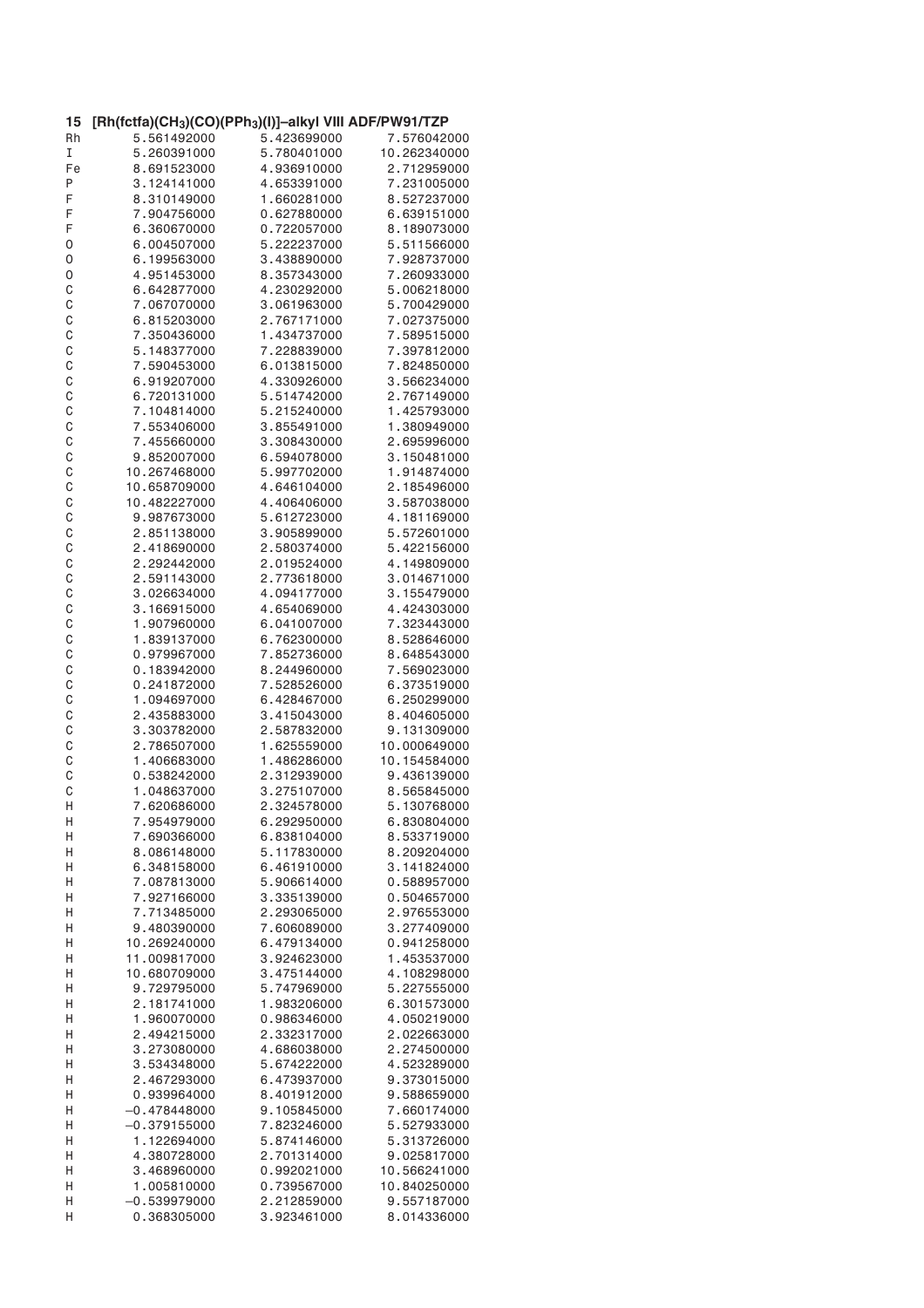| 15           | [Rh(fctfa)(CH <sub>3</sub> )(CO)(PPh <sub>3</sub> )(I)]-alkyl VIII ADF/PW91/TZP |             |              |
|--------------|---------------------------------------------------------------------------------|-------------|--------------|
| Rh           | 5.561492000                                                                     | 5.423699000 | 7.576042000  |
| I            | 5.260391000                                                                     | 5.780401000 | 10.262340000 |
| Fe           | 8.691523000                                                                     | 4.936910000 | 2.712959000  |
| Ρ            | 3.124141000                                                                     | 4.653391000 | 7.231005000  |
| F            | 8.310149000                                                                     | 1.660281000 | 8.527237000  |
| F            | 7.904756000                                                                     | 0.627880000 | 6.639151000  |
| F            | 6.360670000                                                                     | 0.722057000 | 8.189073000  |
| 0            | 6.004507000                                                                     | 5.222237000 | 5.511566000  |
| 0            | 6.199563000                                                                     | 3.438890000 | 7.928737000  |
| 0            | 4.951453000                                                                     | 8.357343000 | 7.260933000  |
| C            | 6.642877000                                                                     | 4.230292000 | 5.006218000  |
| $\mathsf C$  | 7.067070000                                                                     | 3.061963000 | 5.700429000  |
| C            | 6.815203000                                                                     | 2.767171000 | 7.027375000  |
| C            | 7.350436000                                                                     | 1.434737000 | 7.589515000  |
| C            | 5.148377000                                                                     | 7.228839000 | 7.397812000  |
| C            | 7.590453000                                                                     | 6.013815000 | 7.824850000  |
| C            | 6.919207000                                                                     | 4.330926000 | 3.566234000  |
| C            | 6.720131000                                                                     | 5.514742000 | 2.767149000  |
| C            | 7.104814000                                                                     | 5.215240000 | 1.425793000  |
| C            | 7.553406000                                                                     | 3.855491000 | 1.380949000  |
| C            | 7.455660000                                                                     | 3.308430000 | 2.695996000  |
| C            | 9.852007000                                                                     | 6.594078000 | 3.150481000  |
| C            | 10.267468000                                                                    | 5.997702000 | 1.914874000  |
| C            | 10.658709000                                                                    | 4.646104000 | 2.185496000  |
|              |                                                                                 |             |              |
| C            | 10.482227000                                                                    | 4.406406000 | 3.587038000  |
| C            | 9.987673000                                                                     | 5.612723000 | 4.181169000  |
| C            | 2.851138000                                                                     | 3.905899000 | 5.572601000  |
| C            | 2.418690000                                                                     | 2.580374000 | 5.422156000  |
| C            | 2.292442000                                                                     | 2.019524000 | 4.149809000  |
| C            | 2.591143000                                                                     | 2.773618000 | 3.014671000  |
| $\mathsf{C}$ | 3.026634000                                                                     | 4.094177000 | 3.155479000  |
| C            | 3.166915000                                                                     | 4.654069000 | 4.424303000  |
| C            | 1.907960000                                                                     | 6.041007000 | 7.323443000  |
| C            | 1.839137000                                                                     | 6.762300000 | 8.528646000  |
| $\mathsf{C}$ | 0.979967000                                                                     | 7.852736000 | 8.648543000  |
| C            | 0.183942000                                                                     | 8.244960000 | 7.569023000  |
| C            | 0.241872000                                                                     | 7.528526000 | 6.373519000  |
| C            | 1.094697000                                                                     | 6.428467000 | 6.250299000  |
| $\mathsf C$  | 2.435883000                                                                     | 3.415043000 | 8.404605000  |
| C            | 3.303782000                                                                     | 2.587832000 | 9.131309000  |
| C            | 2.786507000                                                                     | 1.625559000 | 10.000649000 |
| C            | 1.406683000                                                                     | 1.486286000 | 10.154584000 |
| C            | 0.538242000                                                                     | 2.312939000 | 9.436139000  |
| C            | 1.048637000                                                                     | 3.275107000 | 8.565845000  |
| Н            | 7.620686000                                                                     | 2.324578000 | 5.130768000  |
| Н            | 7.954979000                                                                     | 6.292950000 | 6.830804000  |
| Η            | 7.690366000                                                                     | 6.838104000 | 8.533719000  |
| Н            | 8.086148000                                                                     | 5.117830000 | 8.209204000  |
| Н            | 6.348158000                                                                     | 6.461910000 | 3.141824000  |
| Н            | 7.087813000                                                                     | 5.906614000 | 0.588957000  |
| Н            | 7.927166000                                                                     | 3.335139000 | 0.504657000  |
| Н            | 7.713485000                                                                     | 2.293065000 | 2.976553000  |
| Н            | 9.480390000                                                                     | 7.606089000 | 3.277409000  |
| Н            | 10.269240000                                                                    | 6.479134000 | 0.941258000  |
| Н            | 11.009817000                                                                    | 3.924623000 | 1.453537000  |
| Η            | 10.680709000                                                                    | 3.475144000 | 4.108298000  |
| Н            | 9.729795000                                                                     | 5.747969000 | 5.227555000  |
| Η            | 2.181741000                                                                     | 1.983206000 | 6.301573000  |
| Н            | 1.960070000                                                                     | 0.986346000 | 4.050219000  |
| Н            | 2.494215000                                                                     | 2.332317000 | 2.022663000  |
| Н            | 3.273080000                                                                     | 4.686038000 | 2.274500000  |
| Η            | 3.534348000                                                                     | 5.674222000 | 4.523289000  |
| Н            | 2.467293000                                                                     | 6.473937000 | 9.373015000  |
| Н            | 0.939964000                                                                     | 8.401912000 | 9.588659000  |
| Η            | $-0.478448000$                                                                  | 9.105845000 | 7.660174000  |
| Н            | $-0.379155000$                                                                  | 7.823246000 | 5.527933000  |
| Н            | 1.122694000                                                                     | 5.874146000 | 5.313726000  |
| Н            | 4.380728000                                                                     | 2.701314000 | 9.025817000  |
| Н            | 3.468960000                                                                     | 0.992021000 | 10.566241000 |
| Η            | 1.005810000                                                                     | 0.739567000 | 10.840250000 |
| Η            | $-0.539979000$                                                                  | 2.212859000 | 9.557187000  |
| Η            | 0.368305000                                                                     | 3.923461000 | 8.014336000  |
|              |                                                                                 |             |              |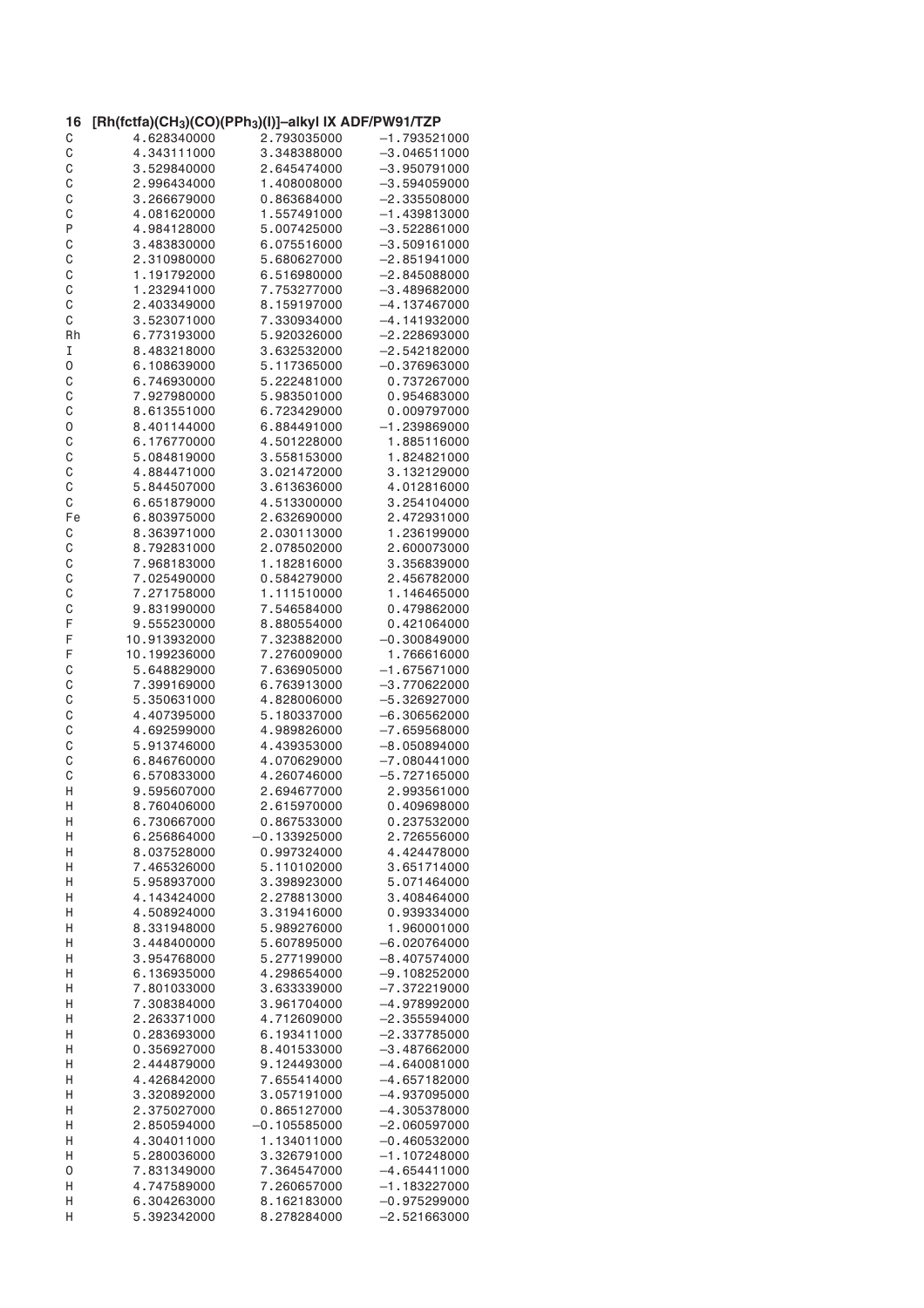| 16 | [Rh(fctfa)(CH <sub>3</sub> )(CO)(PPh <sub>3</sub> )(I)]-alkyl IX ADF/PW91/TZP |                |                |
|----|-------------------------------------------------------------------------------|----------------|----------------|
| С  | 4.628340000                                                                   | 2.793035000    | $-1.793521000$ |
| C  | 4.343111000                                                                   | 3.348388000    | $-3.046511000$ |
| C  | 3.529840000                                                                   | 2.645474000    | $-3.950791000$ |
| C  | 2.996434000                                                                   | 1.408008000    | $-3.594059000$ |
| C  | 3.266679000                                                                   | 0.863684000    | $-2.335508000$ |
| C  | 4.081620000                                                                   | 1.557491000    | $-1.439813000$ |
| P  | 4.984128000                                                                   | 5.007425000    | $-3.522861000$ |
| C  | 3.483830000                                                                   | 6.075516000    | $-3.509161000$ |
| C  | 2.310980000                                                                   | 5.680627000    | $-2.851941000$ |
| C  | 1.191792000                                                                   | 6.516980000    | $-2.845088000$ |
| C  | 1.232941000                                                                   | 7.753277000    | $-3.489682000$ |
| C  | 2.403349000                                                                   | 8.159197000    | $-4.137467000$ |
| С  | 3.523071000                                                                   | 7.330934000    | $-4.141932000$ |
| Rh | 6.773193000                                                                   | 5.920326000    | $-2.228693000$ |
| I  | 8.483218000                                                                   | 3.632532000    | $-2.542182000$ |
| 0  | 6.108639000                                                                   | 5.117365000    | $-0.376963000$ |
| C  | 6.746930000                                                                   | 5.222481000    | 0.737267000    |
| C  | 7.927980000                                                                   | 5.983501000    | 0.954683000    |
| C  | 8.613551000                                                                   | 6.723429000    | 0.009797000    |
| 0  | 8.401144000                                                                   | 6.884491000    | $-1.239869000$ |
|    |                                                                               |                |                |
| C  | 6.176770000                                                                   | 4.501228000    | 1.885116000    |
| C  | 5.084819000                                                                   | 3.558153000    | 1.824821000    |
| C  | 4.884471000                                                                   | 3.021472000    | 3.132129000    |
| C  | 5.844507000                                                                   | 3.613636000    | 4.012816000    |
| C  | 6.651879000                                                                   | 4.513300000    | 3.254104000    |
| Fe | 6.803975000                                                                   | 2.632690000    | 2.472931000    |
| С  | 8.363971000                                                                   | 2.030113000    | 1.236199000    |
| C  | 8.792831000                                                                   | 2.078502000    | 2.600073000    |
| C  | 7.968183000                                                                   | 1.182816000    | 3.356839000    |
| C  | 7.025490000                                                                   | 0.584279000    | 2.456782000    |
| C  | 7.271758000                                                                   | 1.111510000    | 1.146465000    |
| C  | 9.831990000                                                                   | 7.546584000    | 0.479862000    |
| F  | 9.555230000                                                                   | 8.880554000    | 0.421064000    |
| F  | 10.913932000                                                                  | 7.323882000    | $-0.300849000$ |
| F  | 10.199236000                                                                  | 7.276009000    | 1.766616000    |
| C  | 5.648829000                                                                   | 7.636905000    | $-1.675671000$ |
| C  | 7.399169000                                                                   | 6.763913000    | $-3.770622000$ |
| C  | 5.350631000                                                                   | 4.828006000    | $-5.326927000$ |
| C  | 4.407395000                                                                   | 5.180337000    | $-6.306562000$ |
| C  | 4.692599000                                                                   | 4.989826000    | $-7.659568000$ |
| C  | 5.913746000                                                                   | 4.439353000    | $-8,050894000$ |
| C  | 6.846760000                                                                   | 4.070629000    | $-7.080441000$ |
| C  | 6.570833000                                                                   | 4.260746000    | $-5.727165000$ |
| Η  | 9.595607000                                                                   | 2.694677000    | 2.993561000    |
| Η  | 8.760406000                                                                   | 2.615970000    | 0.409698000    |
| Н  | 6.730667000                                                                   | 0.867533000    | 0.237532000    |
| Н  | 6.256864000                                                                   | $-0.133925000$ | 2.726556000    |
| Η  | 8.037528000                                                                   | 0.997324000    | 4.424478000    |
| Η  | 7.465326000                                                                   | 5.110102000    | 3.651714000    |
| Η  | 5.958937000                                                                   | 3.398923000    | 5.071464000    |
| Η  | 4.143424000                                                                   | 2.278813000    | 3.408464000    |
| Н  | 4.508924000                                                                   | 3.319416000    | 0.939334000    |
| Η  | 8.331948000                                                                   | 5.989276000    | 1.960001000    |
|    |                                                                               |                |                |
| Η  | 3.448400000                                                                   | 5.607895000    | $-6.020764000$ |
| Η  | 3.954768000                                                                   | 5.277199000    | $-8.407574000$ |
| Η  | 6.136935000                                                                   | 4.298654000    | $-9.108252000$ |
| Η  | 7.801033000                                                                   | 3.633339000    | $-7.372219000$ |
| Η  | 7.308384000                                                                   | 3.961704000    | $-4.978992000$ |
| Η  | 2.263371000                                                                   | 4.712609000    | $-2.355594000$ |
| Н  | 0.283693000                                                                   | 6.193411000    | $-2.337785000$ |
| Н  | 0.356927000                                                                   | 8.401533000    | $-3.487662000$ |
| Н  | 2.444879000                                                                   | 9.124493000    | $-4.640081000$ |
| Н  | 4.426842000                                                                   | 7.655414000    | $-4.657182000$ |
| Н  | 3.320892000                                                                   | 3.057191000    | -4.937095000   |
| Н  | 2.375027000                                                                   | 0.865127000    | $-4.305378000$ |
| Н  | 2.850594000                                                                   | $-0.105585000$ | $-2.060597000$ |
| Н  | 4.304011000                                                                   | 1.134011000    | $-0.460532000$ |
| Н  | 5.280036000                                                                   | 3.326791000    | $-1.107248000$ |
| 0  | 7.831349000                                                                   | 7.364547000    | $-4.654411000$ |
| Н  | 4.747589000                                                                   | 7.260657000    | $-1.183227000$ |
| Н  | 6.304263000                                                                   | 8.162183000    | $-0.975299000$ |
| Η  | 5.392342000                                                                   | 8.278284000    | $-2.521663000$ |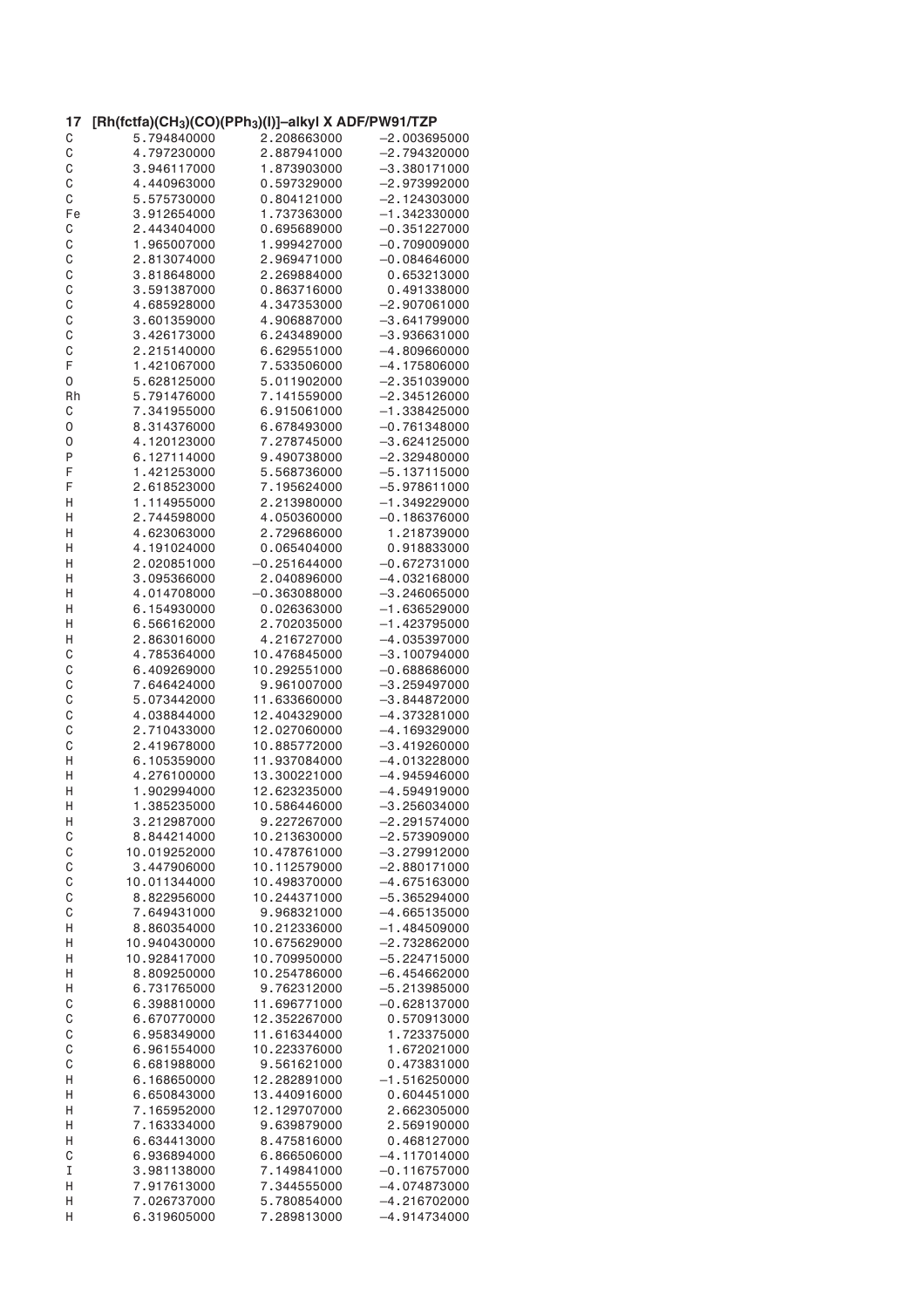| 17 | $[Rh(fctfa)(CH_3)(CO)(PPh_3)(I)]$ –alkyl X ADF/PW91/TZP |                |                |
|----|---------------------------------------------------------|----------------|----------------|
| С  | 5.794840000                                             | 2.208663000    | $-2.003695000$ |
| C  | 4.797230000                                             | 2.887941000    | $-2.794320000$ |
| C  | 3.946117000                                             | 1.873903000    | $-3.380171000$ |
| C  | 4.440963000                                             | 0.597329000    | -2.973992000   |
| C  | 5.575730000                                             | 0.804121000    | $-2.124303000$ |
| Fe | 3.912654000                                             | 1.737363000    | $-1.342330000$ |
|    | 2.443404000                                             | 0.695689000    |                |
| C  |                                                         |                | $-0.351227000$ |
| C  | 1.965007000                                             | 1.999427000    | $-0.709009000$ |
| C  | 2.813074000                                             | 2.969471000    | $-0.084646000$ |
| C  | 3.818648000                                             | 2.269884000    | 0.653213000    |
| C  | 3.591387000                                             | 0.863716000    | 0.491338000    |
| C  | 4.685928000                                             | 4.347353000    | $-2.907061000$ |
| C  | 3.601359000                                             | 4.906887000    | $-3.641799000$ |
| C  | 3.426173000                                             | 6.243489000    | $-3.936631000$ |
| C  | 2.215140000                                             | 6.629551000    | $-4.809660000$ |
| F  | 1.421067000                                             | 7.533506000    | $-4.175806000$ |
|    |                                                         |                |                |
| 0  | 5.628125000                                             | 5.011902000    | $-2.351039000$ |
| Rh | 5.791476000                                             | 7.141559000    | $-2.345126000$ |
| С  | 7.341955000                                             | 6.915061000    | $-1.338425000$ |
| 0  | 8.314376000                                             | 6.678493000    | $-0.761348000$ |
| 0  | 4.120123000                                             | 7.278745000    | $-3.624125000$ |
| P  | 6.127114000                                             | 9.490738000    | $-2.329480000$ |
| F  | 1.421253000                                             | 5.568736000    | $-5.137115000$ |
| F  | 2.618523000                                             | 7.195624000    | -5.978611000   |
| Н  | 1.114955000                                             | 2.213980000    | $-1.349229000$ |
|    |                                                         | 4.050360000    | $-0.186376000$ |
| Η  | 2.744598000                                             |                |                |
| Н  | 4.623063000                                             | 2.729686000    | 1.218739000    |
| Н  | 4.191024000                                             | 0.065404000    | 0.918833000    |
| Η  | 2.020851000                                             | $-0.251644000$ | $-0.672731000$ |
| Η  | 3.095366000                                             | 2.040896000    | $-4.032168000$ |
| Н  | 4.014708000                                             | $-0.363088000$ | $-3.246065000$ |
| Н  | 6.154930000                                             | 0.026363000    | $-1.636529000$ |
| Н  | 6.566162000                                             | 2.702035000    | $-1.423795000$ |
| Н  | 2.863016000                                             | 4.216727000    | $-4.035397000$ |
| C  | 4.785364000                                             | 10.476845000   | $-3.100794000$ |
|    |                                                         |                |                |
| C  | 6.409269000                                             | 10.292551000   | $-0.688686000$ |
| C  | 7.646424000                                             | 9.961007000    | $-3.259497000$ |
| C  | 5.073442000                                             | 11.633660000   | $-3.844872000$ |
| C  | 4.038844000                                             | 12.404329000   | $-4.373281000$ |
| C  | 2.710433000                                             | 12.027060000   | $-4.169329000$ |
| C  | 2.419678000                                             | 10.885772000   | $-3.419260000$ |
| Η  | 6.105359000                                             | 11.937084000   | $-4.013228000$ |
| Η  | 4.276100000                                             | 13.300221000   | $-4.945946000$ |
| Η  | 1.902994000                                             | 12.623235000   | $-4.594919000$ |
| Η  | 1.385235000                                             | 10.586446000   | $-3.256034000$ |
| H  | 3.212987000                                             | 9.227267000    | $-2.291574000$ |
| C  | 8.844214000                                             |                |                |
|    |                                                         | 10.213630000   | $-2.573909000$ |
| C  | 10.019252000                                            | 10.478761000   | $-3.279912000$ |
| C  | 3.447906000                                             | 10.112579000   | $-2.880171000$ |
| C  | 10.011344000                                            | 10.498370000   | $-4.675163000$ |
| C  | 8.822956000                                             | 10.244371000   | $-5.365294000$ |
| C  | 7.649431000                                             | 9.968321000    | $-4.665135000$ |
| Н  | 8.860354000                                             | 10.212336000   | $-1.484509000$ |
| Н  | 10.940430000                                            | 10.675629000   | $-2.732862000$ |
| Н  | 10.928417000                                            | 10.709950000   | $-5.224715000$ |
| Н  | 8.809250000                                             | 10.254786000   | $-6.454662000$ |
| Н  | 6.731765000                                             | 9.762312000    | $-5.213985000$ |
| C  | 6.398810000                                             | 11.696771000   | $-0.628137000$ |
| C  | 6.670770000                                             | 12.352267000   |                |
|    |                                                         |                | 0.570913000    |
| C  | 6.958349000                                             | 11.616344000   | 1.723375000    |
| C  | 6.961554000                                             | 10.223376000   | 1.672021000    |
| C  | 6.681988000                                             | 9.561621000    | 0.473831000    |
| Η  | 6.168650000                                             | 12.282891000   | $-1.516250000$ |
| Н  | 6.650843000                                             | 13.440916000   | 0.604451000    |
| Н  | 7.165952000                                             | 12.129707000   | 2.662305000    |
| Н  | 7.163334000                                             | 9.639879000    | 2.569190000    |
| Η  | 6.634413000                                             | 8.475816000    | 0.468127000    |
| C  | 6.936894000                                             | 6.866506000    | $-4.117014000$ |
| I  | 3.981138000                                             | 7.149841000    | $-0.116757000$ |
|    |                                                         |                |                |
| Н  | 7.917613000                                             | 7.344555000    | -4.074873000   |
| Н  | 7.026737000                                             | 5.780854000    | $-4.216702000$ |
| Η  | 6.319605000                                             | 7.289813000    | $-4.914734000$ |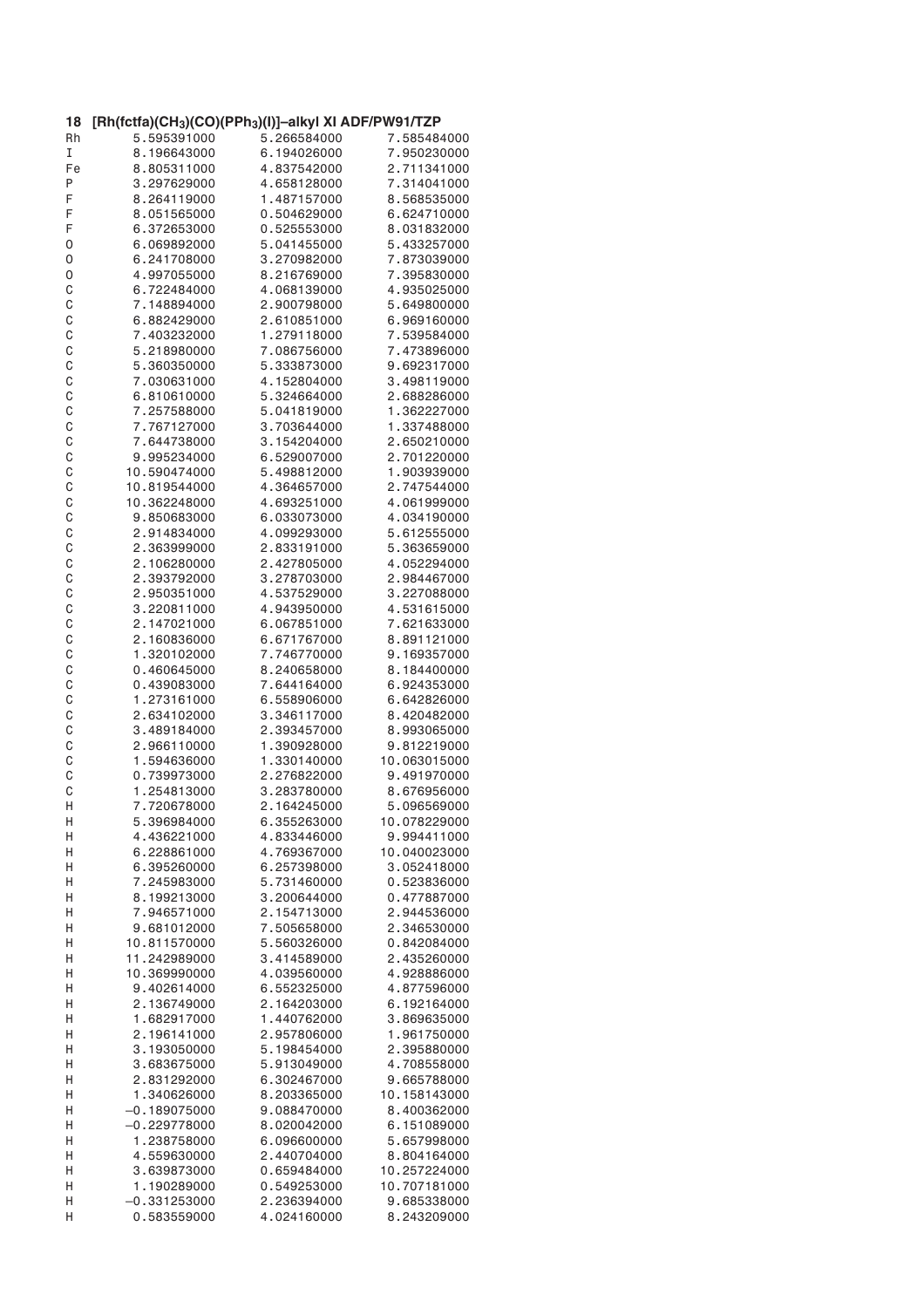| 18           | [Rh(fctfa)(CH <sub>3</sub> )(CO)(PPh <sub>3</sub> )(I)]-alkyl XI ADF/PW91/TZP |             |              |
|--------------|-------------------------------------------------------------------------------|-------------|--------------|
| Rh           | 5.595391000                                                                   | 5.266584000 | 7.585484000  |
| I            | 8.196643000                                                                   | 6.194026000 | 7.950230000  |
| Fe           | 8.805311000                                                                   | 4.837542000 | 2.711341000  |
| Ρ            | 3.297629000                                                                   | 4.658128000 | 7.314041000  |
| F            | 8.264119000                                                                   | 1.487157000 | 8.568535000  |
| F            | 8.051565000                                                                   | 0.504629000 | 6.624710000  |
| F            | 6.372653000                                                                   | 0.525553000 | 8.031832000  |
| 0            | 6.069892000                                                                   | 5.041455000 | 5.433257000  |
| 0            | 6.241708000                                                                   | 3.270982000 | 7.873039000  |
| 0            | 4.997055000                                                                   | 8.216769000 | 7.395830000  |
| C            | 6.722484000                                                                   | 4.068139000 | 4.935025000  |
| $\mathsf C$  | 7.148894000                                                                   | 2.900798000 | 5.649800000  |
| C            | 6.882429000                                                                   | 2.610851000 | 6.969160000  |
| C            | 7.403232000                                                                   | 1.279118000 | 7.539584000  |
| C            | 5.218980000                                                                   | 7.086756000 | 7.473896000  |
| C            | 5.360350000                                                                   | 5.333873000 | 9.692317000  |
| C            | 7.030631000                                                                   | 4.152804000 | 3.498119000  |
| C            | 6.810610000                                                                   | 5.324664000 | 2.688286000  |
| C            | 7.257588000                                                                   | 5.041819000 | 1.362227000  |
| C            | 7.767127000                                                                   | 3.703644000 | 1.337488000  |
| C            | 7.644738000                                                                   | 3.154204000 | 2.650210000  |
| C            | 9.995234000                                                                   | 6.529007000 | 2.701220000  |
| C            | 10.590474000                                                                  | 5.498812000 | 1.903939000  |
| C            | 10.819544000                                                                  | 4.364657000 | 2.747544000  |
| C            | 10.362248000                                                                  | 4.693251000 | 4.061999000  |
| C            | 9.850683000                                                                   | 6.033073000 | 4.034190000  |
| C            | 2.914834000                                                                   | 4.099293000 | 5.612555000  |
|              |                                                                               |             |              |
| C            | 2.363999000                                                                   | 2.833191000 | 5.363659000  |
| C            | 2.106280000                                                                   | 2.427805000 | 4.052294000  |
| C            | 2.393792000                                                                   | 3.278703000 | 2.984467000  |
| $\mathsf{C}$ | 2.950351000                                                                   | 4.537529000 | 3.227088000  |
| C            | 3.220811000                                                                   | 4.943950000 | 4.531615000  |
| C            | 2.147021000                                                                   | 6.067851000 | 7.621633000  |
| C            | 2.160836000                                                                   | 6.671767000 | 8.891121000  |
| C            | 1.320102000                                                                   | 7.746770000 | 9.169357000  |
| C            | 0.460645000                                                                   | 8.240658000 | 8.184400000  |
| C            | 0.439083000                                                                   | 7.644164000 | 6.924353000  |
| C            | 1.273161000                                                                   | 6.558906000 | 6.642826000  |
| $\mathsf C$  | 2.634102000                                                                   | 3.346117000 | 8.420482000  |
| C            | 3.489184000                                                                   | 2.393457000 | 8.993065000  |
| C            | 2.966110000                                                                   | 1.390928000 | 9.812219000  |
| C            | 1.594636000                                                                   | 1.330140000 | 10.063015000 |
| C            | 0.739973000                                                                   | 2.276822000 | 9.491970000  |
| C            | 1.254813000                                                                   | 3.283780000 | 8.676956000  |
| Н            | 7.720678000                                                                   | 2.164245000 | 5.096569000  |
| Н            | 5.396984000                                                                   | 6.355263000 | 10.078229000 |
| Η            | 4.436221000                                                                   | 4.833446000 | 9.994411000  |
| Η            | 6.228861000                                                                   | 4.769367000 | 10.040023000 |
| Н            | 6.395260000                                                                   | 6.257398000 | 3.052418000  |
| Η            | 7.245983000                                                                   | 5.731460000 | 0.523836000  |
| Η            | 8.199213000                                                                   | 3.200644000 | 0.477887000  |
| Η            | 7.946571000                                                                   | 2.154713000 | 2.944536000  |
| Н            | 9.681012000                                                                   | 7.505658000 | 2.346530000  |
| Н            | 10.811570000                                                                  | 5.560326000 | 0.842084000  |
| Н            | 11.242989000                                                                  | 3.414589000 | 2.435260000  |
| Η            | 10.369990000                                                                  | 4.039560000 | 4.928886000  |
| Н            | 9.402614000                                                                   | 6.552325000 | 4.877596000  |
| Η            | 2.136749000                                                                   | 2.164203000 | 6.192164000  |
| Н            | 1.682917000                                                                   | 1.440762000 | 3.869635000  |
| Η            | 2.196141000                                                                   | 2.957806000 | 1.961750000  |
| Η            | 3.193050000                                                                   | 5.198454000 | 2.395880000  |
| Η            | 3.683675000                                                                   | 5.913049000 | 4.708558000  |
| Η            | 2.831292000                                                                   | 6.302467000 | 9.665788000  |
| Η            | 1.340626000                                                                   | 8.203365000 | 10.158143000 |
| Η            | $-0.189075000$                                                                | 9.088470000 | 8.400362000  |
| Η            | $-0.229778000$                                                                | 8.020042000 | 6.151089000  |
| Η            | 1.238758000                                                                   | 6.096600000 | 5.657998000  |
| Η            | 4.559630000                                                                   | 2.440704000 | 8.804164000  |
| Η            | 3.639873000                                                                   | 0.659484000 | 10.257224000 |
| Η            | 1.190289000                                                                   | 0.549253000 | 10.707181000 |
| Η            | $-0.331253000$                                                                | 2.236394000 | 9.685338000  |
| Η            | 0.583559000                                                                   | 4.024160000 | 8.243209000  |
|              |                                                                               |             |              |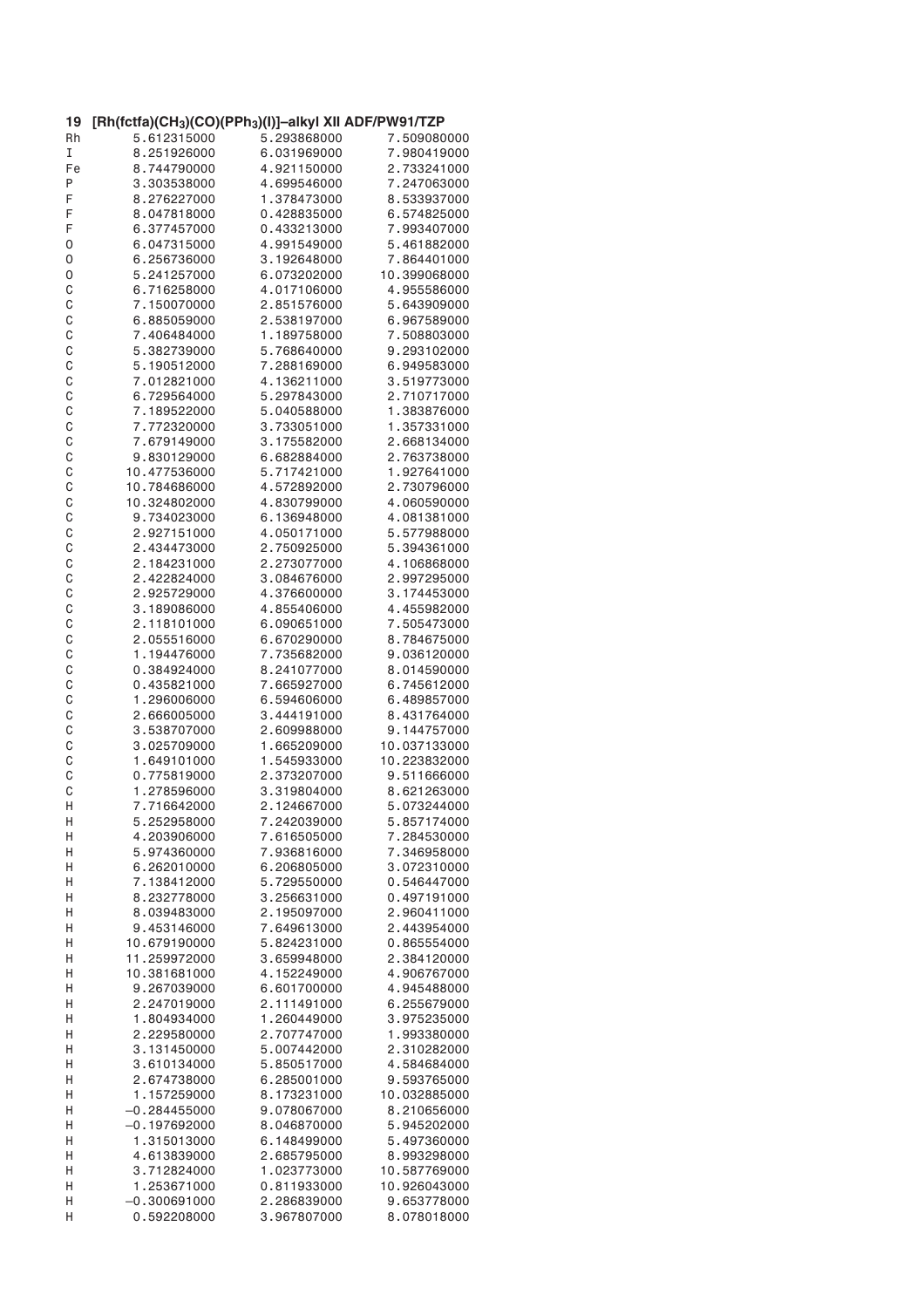| 19          | [Rh(fctfa)(CH <sub>3</sub> )(CO)(PPh <sub>3</sub> )(I)]-alkyl XII ADF/PW91/TZP |             |                             |
|-------------|--------------------------------------------------------------------------------|-------------|-----------------------------|
| Rh          | 5.612315000                                                                    | 5.293868000 | 7.509080000                 |
| I           | 8.251926000                                                                    | 6.031969000 | 7.980419000                 |
| Fe          | 8.744790000                                                                    | 4.921150000 | 2.733241000                 |
| P           | 3.303538000                                                                    | 4.699546000 | 7.247063000                 |
| F           | 8.276227000                                                                    | 1.378473000 | 8.533937000                 |
| F           | 8.047818000                                                                    | 0.428835000 | 6.574825000                 |
| F           | 6.377457000                                                                    | 0.433213000 | 7.993407000                 |
|             | 6.047315000                                                                    | 4.991549000 | 5.461882000                 |
| 0           | 6.256736000                                                                    |             |                             |
| 0           | 5.241257000                                                                    | 3.192648000 | 7.864401000<br>10.399068000 |
| 0           |                                                                                | 6.073202000 |                             |
| C           | 6.716258000                                                                    | 4.017106000 | 4.955586000                 |
| C           | 7.150070000                                                                    | 2.851576000 | 5.643909000                 |
| C           | 6.885059000                                                                    | 2.538197000 | 6.967589000                 |
| C           | 7.406484000                                                                    | 1.189758000 | 7.508803000                 |
| $\mathsf C$ | 5.382739000                                                                    | 5.768640000 | 9.293102000                 |
| C           | 5.190512000                                                                    | 7.288169000 | 6.949583000                 |
| C           | 7.012821000                                                                    | 4.136211000 | 3.519773000                 |
| C           | 6.729564000                                                                    | 5.297843000 | 2.710717000                 |
| C           | 7.189522000                                                                    | 5.040588000 | 1.383876000                 |
| C           | 7.772320000                                                                    | 3.733051000 | 1.357331000                 |
| C           | 7.679149000                                                                    | 3.175582000 | 2.668134000                 |
| C           | 9.830129000                                                                    | 6.682884000 | 2.763738000                 |
| C           | 10.477536000                                                                   | 5.717421000 | 1.927641000                 |
| C           | 10.784686000                                                                   | 4.572892000 | 2.730796000                 |
| C           | 10.324802000                                                                   | 4.830799000 | 4.060590000                 |
| C           | 9.734023000                                                                    | 6.136948000 | 4.081381000                 |
| C           | 2.927151000                                                                    | 4.050171000 | 5.577988000                 |
| C           | 2.434473000                                                                    | 2.750925000 | 5.394361000                 |
| C           | 2.184231000                                                                    | 2.273077000 | 4.106868000                 |
| C           | 2.422824000                                                                    | 3.084676000 | 2.997295000                 |
| C           | 2.925729000                                                                    | 4.376600000 | 3.174453000                 |
| C           | 3.189086000                                                                    | 4.855406000 | 4.455982000                 |
| C           | 2.118101000                                                                    | 6.090651000 | 7.505473000                 |
| C           | 2.055516000                                                                    | 6.670290000 | 8.784675000                 |
| C           | 1.194476000                                                                    | 7.735682000 | 9.036120000                 |
|             |                                                                                |             |                             |
| C           | 0.384924000                                                                    | 8.241077000 | 8.014590000                 |
| C           | 0.435821000                                                                    | 7.665927000 | 6.745612000                 |
| C           | 1.296006000                                                                    | 6.594606000 | 6.489857000                 |
| C           | 2.666005000                                                                    | 3.444191000 | 8.431764000                 |
| C           | 3.538707000                                                                    | 2.609988000 | 9.144757000                 |
| C           | 3.025709000                                                                    | 1.665209000 | 10.037133000                |
| C           | 1.649101000                                                                    | 1.545933000 | 10.223832000                |
| C           | 0.775819000                                                                    | 2.373207000 | 9.511666000                 |
| C           | 1.278596000                                                                    | 3.319804000 | 8.621263000                 |
| Η           | 7.716642000                                                                    | 2.124667000 | 5.073244000                 |
| Н           | 5.252958000                                                                    | 7.242039000 | 5.857174000                 |
| Н           | 4.203906000                                                                    | 7.616505000 | 7.284530000                 |
| Н           | 5.974360000                                                                    | 7.936816000 | 7.346958000                 |
| Η           | 6.262010000                                                                    | 6.206805000 | 3.072310000                 |
| Н           | 7.138412000                                                                    | 5.729550000 | 0.546447000                 |
| Н           | 8.232778000                                                                    | 3.256631000 | 0.497191000                 |
| Н           | 8.039483000                                                                    | 2.195097000 | 2.960411000                 |
| Η           | 9.453146000                                                                    | 7.649613000 | 2.443954000                 |
| Η           | 10.679190000                                                                   | 5.824231000 | 0.865554000                 |
| Н           | 11.259972000                                                                   | 3.659948000 | 2.384120000                 |
| Н           | 10.381681000                                                                   | 4.152249000 | 4.906767000                 |
| Η           | 9.267039000                                                                    | 6.601700000 | 4.945488000                 |
| Η           | 2.247019000                                                                    | 2.111491000 | 6.255679000                 |
| Н           | 1.804934000                                                                    | 1.260449000 | 3.975235000                 |
| Н           | 2.229580000                                                                    | 2.707747000 | 1.993380000                 |
| Н           | 3.131450000                                                                    | 5.007442000 | 2.310282000                 |
| Н           | 3.610134000                                                                    | 5.850517000 | 4.584684000                 |
| Н           | 2.674738000                                                                    | 6.285001000 | 9.593765000                 |
| Н           | 1.157259000                                                                    | 8.173231000 | 10.032885000                |
|             | $-0.284455000$                                                                 | 9.078067000 | 8.210656000                 |
| Η           |                                                                                |             |                             |
| Н           | $-0.197692000$                                                                 | 8.046870000 | 5.945202000                 |
| Н           | 1.315013000                                                                    | 6.148499000 | 5.497360000                 |
| Н           | 4.613839000                                                                    | 2.685795000 | 8.993298000                 |
| Н           | 3.712824000                                                                    | 1.023773000 | 10.587769000                |
| Н           | 1.253671000                                                                    | 0.811933000 | 10.926043000                |
| Η           | $-0.300691000$                                                                 | 2.286839000 | 9.653778000                 |
| Η           | 0.592208000                                                                    | 3.967807000 | 8.078018000                 |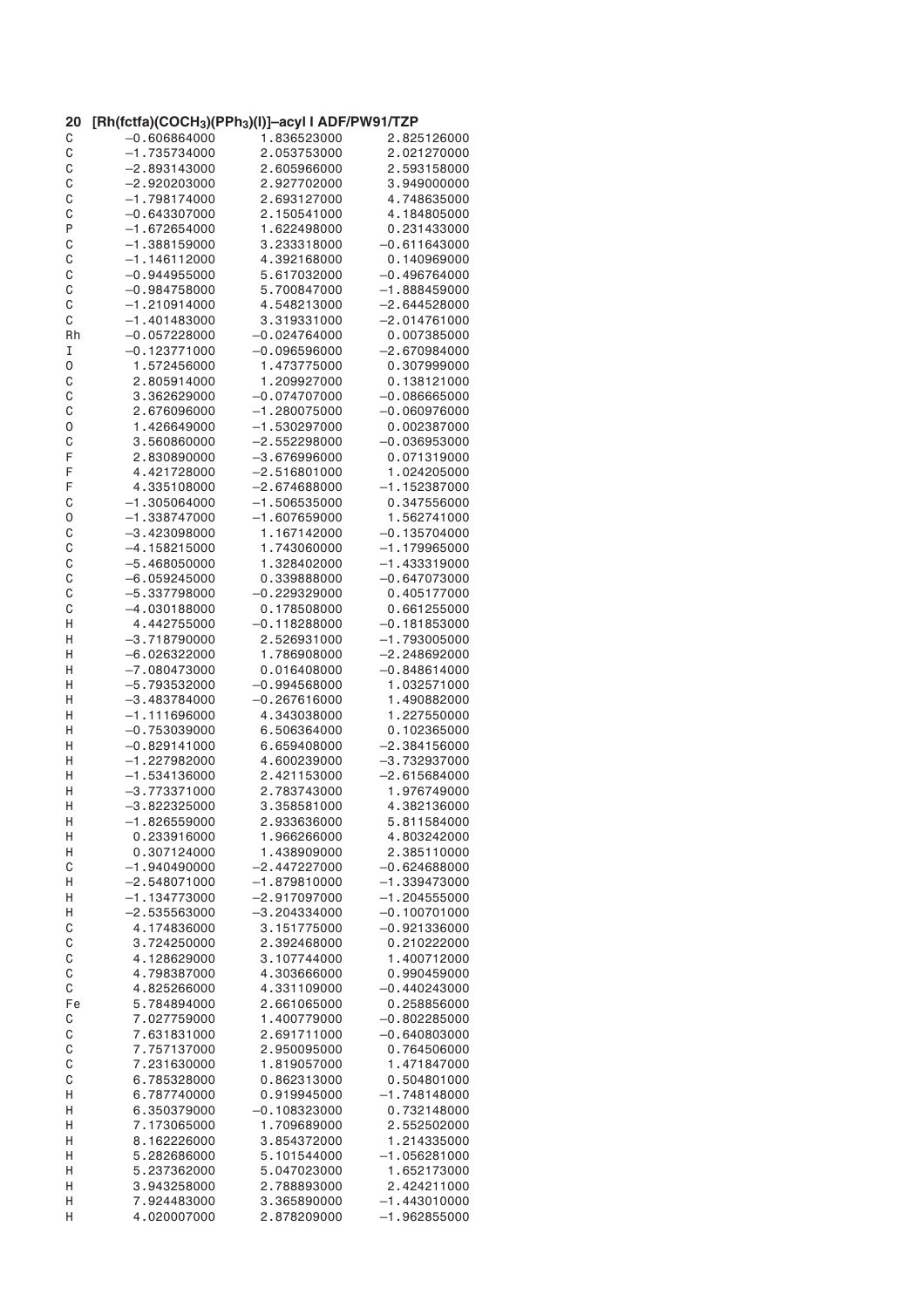| 20 | [Rh(fctfa)(COCH <sub>3</sub> )(PPh <sub>3</sub> )(I)]-acyl I ADF/PW91/TZP |                |                |
|----|---------------------------------------------------------------------------|----------------|----------------|
| С  | $-0.606864000$                                                            | 1.836523000    | 2.825126000    |
| C  | $-1.735734000$                                                            | 2.053753000    | 2.021270000    |
| C  | $-2.893143000$                                                            | 2.605966000    | 2.593158000    |
| C  | $-2.920203000$                                                            | 2.927702000    | 3.949000000    |
| C  | $-1.798174000$                                                            | 2.693127000    | 4.748635000    |
| C  | $-0.643307000$                                                            | 2.150541000    | 4.184805000    |
| P  | $-1.672654000$                                                            | 1.622498000    | 0.231433000    |
| C  | $-1.388159000$                                                            | 3.233318000    | $-0.611643000$ |
| C  | $-1.146112000$                                                            | 4.392168000    | 0.140969000    |
| C  | $-0.944955000$                                                            | 5.617032000    | $-0.496764000$ |
| C  | $-0.984758000$                                                            | 5.700847000    | $-1.888459000$ |
| С  | $-1.210914000$                                                            | 4.548213000    | $-2.644528000$ |
|    |                                                                           |                |                |
| С  | $-1.401483000$                                                            | 3.319331000    | $-2.014761000$ |
| Rh | $-0.057228000$                                                            | $-0.024764000$ | 0.007385000    |
| I  | $-0.123771000$                                                            | $-0.096596000$ | $-2.670984000$ |
| 0  | 1.572456000                                                               | 1.473775000    | 0.307999000    |
| C  | 2.805914000                                                               | 1.209927000    | 0.138121000    |
| C  | 3.362629000                                                               | $-0.074707000$ | $-0.086665000$ |
| C  | 2.676096000                                                               | $-1.280075000$ | $-0.060976000$ |
| 0  | 1.426649000                                                               | $-1.530297000$ | 0.002387000    |
| C  | 3.560860000                                                               | $-2.552298000$ | $-0.036953000$ |
| F  | 2.830890000                                                               | $-3.676996000$ | 0.071319000    |
| F  | 4.421728000                                                               | $-2.516801000$ | 1.024205000    |
| F  | 4.335108000                                                               | $-2.674688000$ | $-1.152387000$ |
| C  | $-1.305064000$                                                            | $-1.506535000$ | 0.347556000    |
|    | $-1.338747000$                                                            | $-1.607659000$ | 1.562741000    |
| 0  |                                                                           |                |                |
| C  | $-3.423098000$                                                            | 1.167142000    | $-0.135704000$ |
| C  | $-4.158215000$                                                            | 1.743060000    | $-1.179965000$ |
| C  | $-5.468050000$                                                            | 1.328402000    | $-1.433319000$ |
| C  | $-6.059245000$                                                            | 0.339888000    | $-0.647073000$ |
| C  | $-5.337798000$                                                            | $-0.229329000$ | 0.405177000    |
| C  | $-4.030188000$                                                            | 0.178508000    | 0.661255000    |
| Н  | 4.442755000                                                               | $-0.118288000$ | $-0.181853000$ |
| Η  | $-3.718790000$                                                            | 2.526931000    | $-1.793005000$ |
| Η  | $-6.026322000$                                                            | 1.786908000    | $-2.248692000$ |
| Η  | $-7.080473000$                                                            | 0.016408000    | $-0.848614000$ |
| Н  | $-5.793532000$                                                            | $-0.994568000$ | 1.032571000    |
| Н  | $-3.483784000$                                                            | $-0.267616000$ | 1.490882000    |
| Н  | $-1.111696000$                                                            | 4.343038000    | 1.227550000    |
|    |                                                                           |                | 0.102365000    |
| Η  | $-0.753039000$                                                            | 6.506364000    |                |
| Н  | $-0.829141000$                                                            | 6.659408000    | $-2.384156000$ |
| Н  | $-1.227982000$                                                            | 4.600239000    | $-3.732937000$ |
| Н  | $-1.534136000$                                                            | 2.421153000    | $-2.615684000$ |
| Η  | $-3.773371000$                                                            | 2.783743000    | 1.976749000    |
| Η  | $-3.822325000$                                                            | 3.358581000    | 4.382136000    |
| Н  | $-1.826559000$                                                            | 2.933636000    | 5.811584000    |
| Н  | 0.233916000                                                               | 1.966266000    | 4.803242000    |
| Н  | 0.307124000                                                               | 1.438909000    | 2.385110000    |
| С  | $-1.940490000$                                                            | $-2.447227000$ | $-0.624688000$ |
| Н  | $-2.548071000$                                                            | $-1.879810000$ | $-1.339473000$ |
| Η  | $-1.134773000$                                                            | $-2.917097000$ | $-1.204555000$ |
| Н  | $-2.535563000$                                                            | $-3.204334000$ | $-0.100701000$ |
| С  | 4.174836000                                                               | 3.151775000    | $-0.921336000$ |
| C  | 3.724250000                                                               | 2.392468000    | 0.210222000    |
|    |                                                                           |                |                |
| C  | 4.128629000                                                               | 3.107744000    | 1.400712000    |
| C  | 4.798387000                                                               | 4.303666000    | 0.990459000    |
| C  | 4.825266000                                                               | 4.331109000    | $-0.440243000$ |
| Fe | 5.784894000                                                               | 2.661065000    | 0.258856000    |
| С  | 7.027759000                                                               | 1.400779000    | $-0.802285000$ |
| C  | 7.631831000                                                               | 2.691711000    | $-0.640803000$ |
| C  | 7.757137000                                                               | 2.950095000    | 0.764506000    |
| C  | 7.231630000                                                               | 1.819057000    | 1.471847000    |
| C  | 6.785328000                                                               | 0.862313000    | 0.504801000    |
| Н  | 6.787740000                                                               | 0.919945000    | $-1.748148000$ |
| Н  | 6.350379000                                                               | $-0.108323000$ | 0.732148000    |
| Н  | 7.173065000                                                               | 1.709689000    | 2.552502000    |
| Н  | 8.162226000                                                               | 3.854372000    | 1.214335000    |
|    |                                                                           |                |                |
| Н  | 5.282686000                                                               | 5.101544000    | $-1.056281000$ |
| Н  | 5.237362000                                                               | 5.047023000    | 1.652173000    |
| Н  | 3.943258000                                                               | 2.788893000    | 2.424211000    |
| Н  | 7.924483000                                                               | 3.365890000    | $-1.443010000$ |
| Η  | 4.020007000                                                               | 2.878209000    | $-1.962855000$ |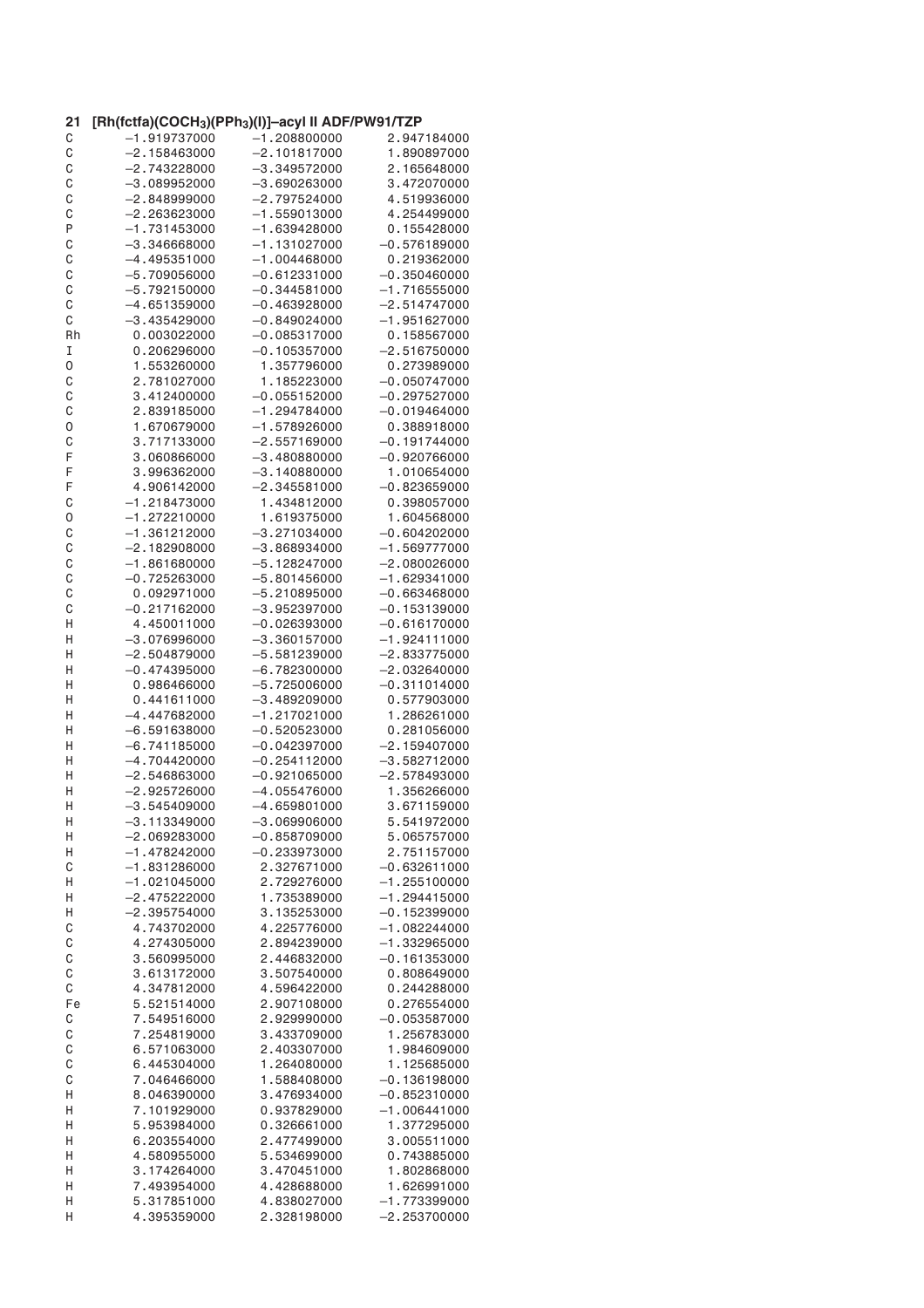| 21 | [Rh(fctfa)(COCH <sub>3</sub> )(PPh <sub>3</sub> )(I)]-acyl II ADF/PW91/TZP |                |                |
|----|----------------------------------------------------------------------------|----------------|----------------|
| C  | $-1.919737000$                                                             | $-1.208800000$ | 2.947184000    |
| C  | $-2.158463000$                                                             | $-2.101817000$ | 1.890897000    |
| C  | $-2,743228000$                                                             | $-3.349572000$ | 2.165648000    |
| C  | $-3.089952000$                                                             | $-3.690263000$ | 3.472070000    |
| C  | $-2.848999000$                                                             | $-2.797524000$ | 4.519936000    |
| C  | $-2.263623000$                                                             | $-1.559013000$ | 4.254499000    |
| P  | $-1.731453000$                                                             | $-1.639428000$ | 0.155428000    |
| C  | $-3$ .346668000                                                            | $-1.131027000$ | $-0.576189000$ |
| C  | $-4.495351000$                                                             | $-1.004468000$ | 0.219362000    |
| C  | $-5.709056000$                                                             | $-0.612331000$ | $-0.350460000$ |
| C  | $-5.792150000$                                                             | $-0.344581000$ | $-1.716555000$ |
| C  | $-4.651359000$                                                             | $-0.463928000$ | $-2.514747000$ |
| C  | $-3.435429000$                                                             | $-0.849024000$ | $-1.951627000$ |
| Rh | 0.003022000                                                                | $-0.085317000$ | 0.158567000    |
| I  | 0.206296000                                                                | $-0.105357000$ | $-2.516750000$ |
| 0  | 1.553260000                                                                | 1.357796000    | 0.273989000    |
| C  | 2.781027000                                                                | 1.185223000    | $-0.050747000$ |
| C  | 3.412400000                                                                | $-0.055152000$ | $-0.297527000$ |
| C  | 2.839185000                                                                | $-1.294784000$ | $-0.019464000$ |
| 0  | 1.670679000                                                                | $-1.578926000$ | 0.388918000    |
| C  | 3.717133000                                                                | $-2.557169000$ | $-0.191744000$ |
| F  | 3.060866000                                                                | $-3.480880000$ | $-0.920766000$ |
| F  | 3.996362000                                                                | $-3.140880000$ | 1.010654000    |
| F  | 4.906142000                                                                | $-2.345581000$ | $-0.823659000$ |
| C  | $-1.218473000$                                                             | 1.434812000    | 0.398057000    |
|    | $-1.272210000$                                                             |                | 1.604568000    |
| 0  |                                                                            | 1.619375000    |                |
| C  | $-1.361212000$                                                             | $-3.271034000$ | $-0.604202000$ |
| C  | $-2.182908000$                                                             | $-3.868934000$ | $-1.569777000$ |
| C  | $-1.861680000$                                                             | $-5.128247000$ | $-2.080026000$ |
| C  | $-0.725263000$                                                             | $-5.801456000$ | $-1.629341000$ |
| C  | 0.092971000                                                                | $-5.210895000$ | $-0.663468000$ |
| C  | $-0.217162000$                                                             | $-3.952397000$ | $-0.153139000$ |
| Н  | 4.450011000                                                                | $-0.026393000$ | $-0.616170000$ |
| Н  | $-3.076996000$                                                             | $-3.360157000$ | $-1.924111000$ |
| Н  | –2.504879000                                                               | $-5.581239000$ | $-2.833775000$ |
| Η  | $-0.474395000$                                                             | $-6.782300000$ | $-2.032640000$ |
| Η  | 0.986466000                                                                | $-5.725006000$ | $-0.311014000$ |
| Н  | 0.441611000                                                                | $-3.489209000$ | 0.577903000    |
| Н  | $-4.447682000$                                                             | $-1.217021000$ | 1.286261000    |
| Η  | $-6.591638000$                                                             | $-0.520523000$ | 0.281056000    |
| Η  | $-6.741185000$                                                             | $-0.042397000$ | $-2.159407000$ |
| Н  | $-4.704420000$                                                             | $-0.254112000$ | $-3.582712000$ |
| Н  | $-2.546863000$                                                             | $-0.921065000$ | $-2.578493000$ |
| Η  | $-2.925726000$                                                             | $-4.055476000$ | 1.356266000    |
| Н  | $-3.545409000$                                                             | $-4.659801000$ | 3.671159000    |
| Н  | $-3.113349000$                                                             | $-3.069906000$ | 5.541972000    |
| Н  | $-2.069283000$                                                             | $-0.858709000$ | 5.065757000    |
| Н  | $-1.478242000$                                                             | $-0.233973000$ | 2.751157000    |
| C  | $-1.831286000$                                                             | 2.327671000    | $-0.632611000$ |
| Н  | $-1.021045000$                                                             | 2.729276000    | $-1.255100000$ |
| Н  | $-2.475222000$                                                             | 1.735389000    | $-1.294415000$ |
| Н  | $-2.395754000$                                                             | 3.135253000    | $-0.152399000$ |
| C  | 4.743702000                                                                | 4.225776000    | $-1.082244000$ |
| C  | 4.274305000                                                                | 2.894239000    | $-1.332965000$ |
| C  | 3.560995000                                                                | 2.446832000    | $-0.161353000$ |
| C  | 3.613172000                                                                | 3.507540000    | 0.808649000    |
| C  | 4.347812000                                                                | 4.596422000    | 0.244288000    |
| Fe | 5.521514000                                                                | 2.907108000    | 0.276554000    |
| C  | 7.549516000                                                                | 2.929990000    | $-0.053587000$ |
| C  | 7.254819000                                                                | 3.433709000    | 1.256783000    |
| C  | 6.571063000                                                                | 2.403307000    | 1.984609000    |
| C  | 6.445304000                                                                | 1.264080000    | 1.125685000    |
| C  | 7.046466000                                                                | 1.588408000    | $-0.136198000$ |
| Н  | 8.046390000                                                                | 3.476934000    | $-0.852310000$ |
| Η  | 7.101929000                                                                | 0.937829000    | $-1.006441000$ |
| Η  | 5.953984000                                                                | 0.326661000    | 1.377295000    |
| Н  | 6.203554000                                                                | 2.477499000    | 3.005511000    |
| Н  | 4.580955000                                                                | 5.534699000    | 0.743885000    |
| Н  | 3.174264000                                                                | 3.470451000    | 1.802868000    |
| Η  | 7.493954000                                                                | 4.428688000    | 1.626991000    |
| Н  | 5.317851000                                                                | 4.838027000    | $-1.773399000$ |
| Η  | 4.395359000                                                                | 2.328198000    | $-2.253700000$ |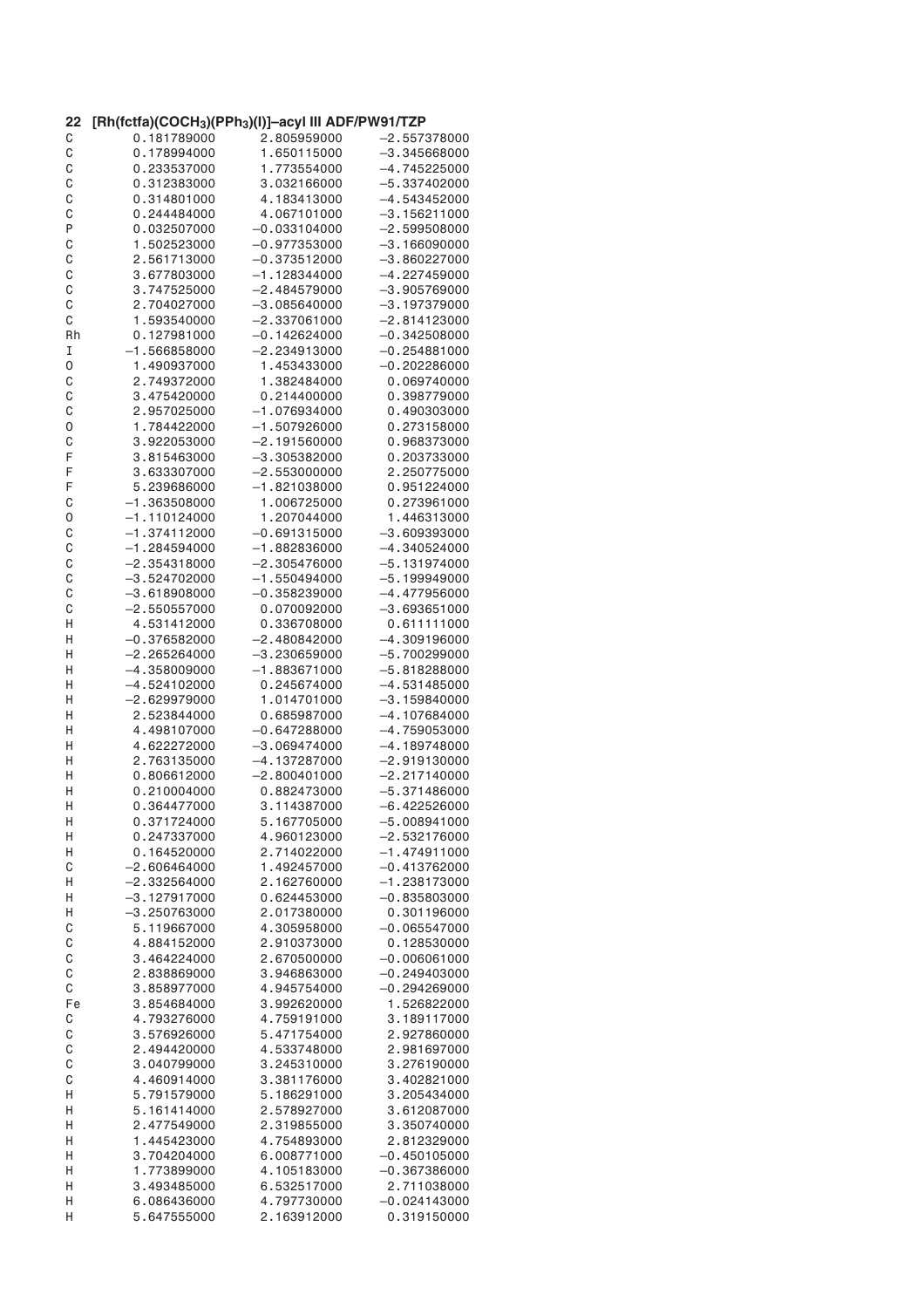| 22 | [Rh(fctfa)(COCH <sub>3</sub> )(PPh <sub>3</sub> )(I)]-acyl III ADF/PW91/TZP |                |                |
|----|-----------------------------------------------------------------------------|----------------|----------------|
| C  | 0.181789000                                                                 | 2.805959000    | $-2.557378000$ |
| C  | 0.178994000                                                                 | 1.650115000    | $-3.345668000$ |
| C  | 0.233537000                                                                 | 1.773554000    | $-4.745225000$ |
| C  | 0.312383000                                                                 | 3.032166000    | $-5.337402000$ |
| C  | 0.314801000                                                                 | 4.183413000    | $-4.543452000$ |
| C  | 0.244484000                                                                 | 4.067101000    | $-3.156211000$ |
| P  | 0.032507000                                                                 | $-0.033104000$ | $-2.599508000$ |
| C  | 1.502523000                                                                 | $-0.977353000$ | $-3.166090000$ |
| C  | 2.561713000                                                                 | $-0.373512000$ | $-3.860227000$ |
| C  | 3.677803000                                                                 | $-1.128344000$ | $-4.227459000$ |
|    |                                                                             |                |                |
| C  | 3.747525000                                                                 | $-2.484579000$ | $-3.905769000$ |
| C  | 2.704027000                                                                 | $-3.085640000$ | $-3.197379000$ |
| С  | 1.593540000                                                                 | $-2.337061000$ | $-2.814123000$ |
| Rh | 0.127981000                                                                 | $-0.142624000$ | $-0.342508000$ |
| I  | $-1.566858000$                                                              | $-2.234913000$ | $-0.254881000$ |
| 0  | 1.490937000                                                                 | 1.453433000    | $-0.202286000$ |
| C  | 2.749372000                                                                 | 1.382484000    | 0.069740000    |
| C  | 3.475420000                                                                 | 0.214400000    | 0.398779000    |
| C  | 2.957025000                                                                 | $-1.076934000$ | 0.490303000    |
| 0  | 1.784422000                                                                 | $-1.507926000$ | 0.273158000    |
| C  | 3.922053000                                                                 | -2.191560000   | 0.968373000    |
| F  | 3.815463000                                                                 | $-3.305382000$ | 0.203733000    |
| F  | 3.633307000                                                                 | $-2.553000000$ | 2.250775000    |
| F  | 5.239686000                                                                 | $-1.821038000$ | 0.951224000    |
|    |                                                                             |                |                |
| C  | $-1.363508000$                                                              | 1.006725000    | 0.273961000    |
| 0  | $-1.110124000$                                                              | 1.207044000    | 1.446313000    |
| C  | $-1.374112000$                                                              | $-0.691315000$ | $-3.609393000$ |
| C  | $-1.284594000$                                                              | $-1.882836000$ | $-4.340524000$ |
| C  | $-2.354318000$                                                              | $-2.305476000$ | $-5.131974000$ |
| C  | $-3.524702000$                                                              | $-1.550494000$ | $-5.199949000$ |
| C  | $-3.618908000$                                                              | $-0.358239000$ | $-4.477956000$ |
| C  | $-2.550557000$                                                              | 0.070092000    | $-3.693651000$ |
| Н  | 4.531412000                                                                 | 0.336708000    | 0.611111000    |
| Η  | $-0.376582000$                                                              | $-2.480842000$ | $-4.309196000$ |
| Н  | –2.265264000                                                                | $-3.230659000$ | $-5.700299000$ |
| Η  | $-4.358009000$                                                              | $-1.883671000$ | $-5.818288000$ |
| Η  | $-4.524102000$                                                              | 0.245674000    | $-4.531485000$ |
|    |                                                                             |                |                |
| Η  | $-2.629979000$                                                              | 1.014701000    | $-3.159840000$ |
| Η  | 2.523844000                                                                 | 0.685987000    | $-4.107684000$ |
| Η  | 4.498107000                                                                 | $-0.647288000$ | $-4.759053000$ |
| Η  | 4.622272000                                                                 | $-3.069474000$ | $-4.189748000$ |
| Н  | 2.763135000                                                                 | $-4.137287000$ | $-2.919130000$ |
| Н  | 0.806612000                                                                 | $-2.800401000$ | $-2.217140000$ |
| Η  | 0.210004000                                                                 | 0.882473000    | $-5.371486000$ |
| н  | 0.364477000                                                                 | 3.114387000    | –6.422526000   |
| Н  | 0.371724000                                                                 | 5.167705000    | $-5.008941000$ |
| Н  | 0.247337000                                                                 | 4.960123000    | $-2.532176000$ |
| Н  | 0.164520000                                                                 | 2.714022000    | $-1.474911000$ |
| C  | $-2.606464000$                                                              | 1.492457000    | $-0.413762000$ |
|    | $-2,332564000$                                                              | 2.162760000    | $-1.238173000$ |
| Н  |                                                                             |                |                |
| Н  | $-3.127917000$                                                              | 0.624453000    | $-0.835803000$ |
| Н  | $-3.250763000$                                                              | 2.017380000    | 0.301196000    |
| C  | 5.119667000                                                                 | 4.305958000    | $-0.065547000$ |
| C  | 4.884152000                                                                 | 2.910373000    | 0.128530000    |
| C  | 3.464224000                                                                 | 2.670500000    | $-0.006061000$ |
| C  | 2.838869000                                                                 | 3.946863000    | $-0.249403000$ |
| C  | 3.858977000                                                                 | 4.945754000    | $-0.294269000$ |
| Fe | 3.854684000                                                                 | 3.992620000    | 1.526822000    |
| C  | 4.793276000                                                                 | 4.759191000    | 3.189117000    |
| C  | 3.576926000                                                                 | 5.471754000    | 2.927860000    |
| C  | 2.494420000                                                                 | 4.533748000    | 2.981697000    |
| C  | 3.040799000                                                                 | 3.245310000    | 3.276190000    |
| C  | 4.460914000                                                                 | 3.381176000    | 3.402821000    |
| Н  | 5.791579000                                                                 | 5.186291000    | 3.205434000    |
|    |                                                                             |                |                |
| Η  | 5.161414000                                                                 | 2.578927000    | 3.612087000    |
| Η  | 2.477549000                                                                 | 2.319855000    | 3.350740000    |
| Н  | 1.445423000                                                                 | 4.754893000    | 2.812329000    |
| Н  | 3.704204000                                                                 | 6.008771000    | $-0.450105000$ |
| Н  | 1.773899000                                                                 | 4.105183000    | $-0.367386000$ |
| Η  | 3.493485000                                                                 | 6.532517000    | 2.711038000    |
| Н  | 6.086436000                                                                 | 4.797730000    | $-0.024143000$ |
| Η  | 5.647555000                                                                 | 2.163912000    | 0.319150000    |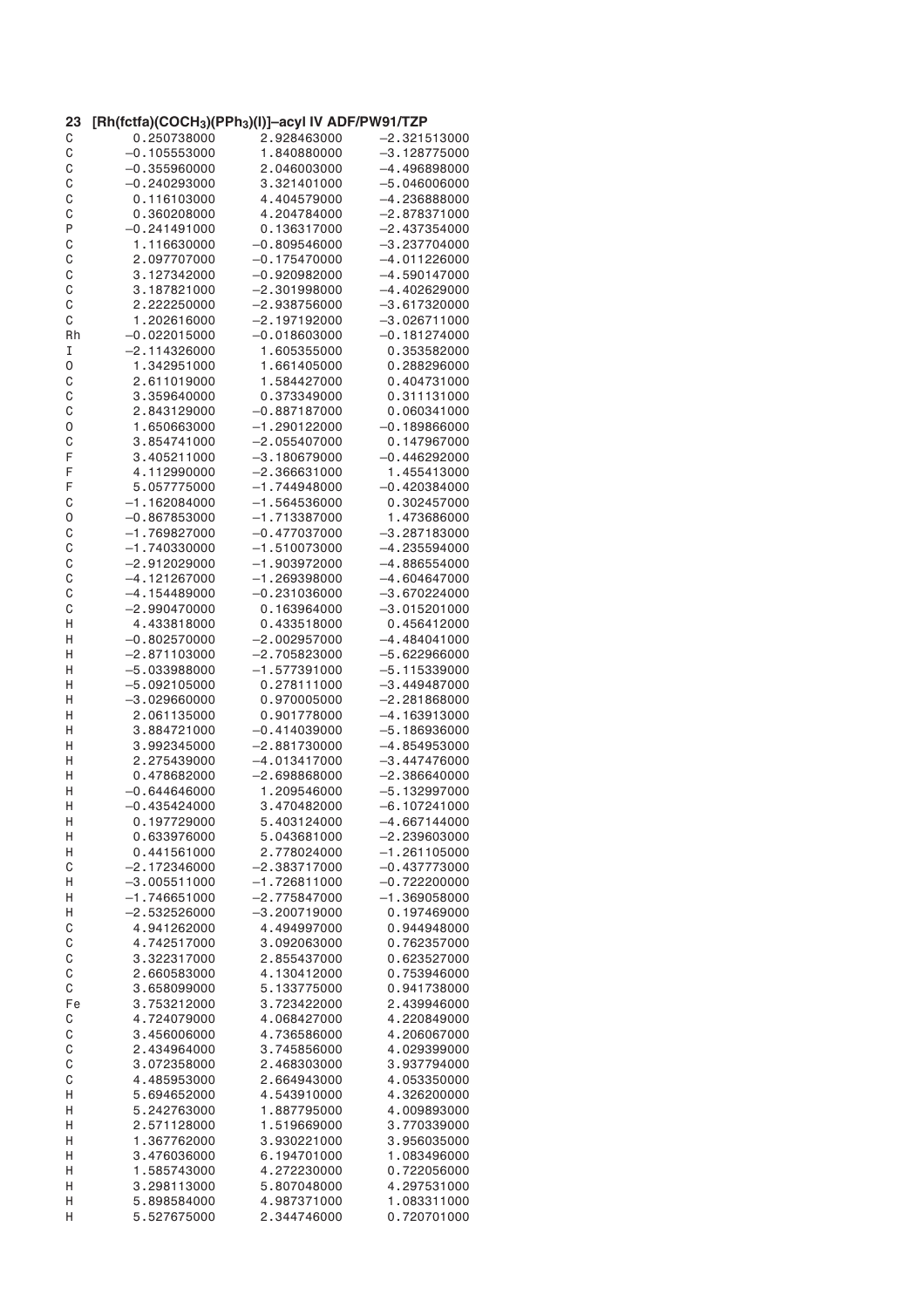| 23     | [Rh(fctfa)(COCH <sub>3</sub> )(PPh <sub>3</sub> )(I)]-acyl IV ADF/PW91/TZP |                 |                            |
|--------|----------------------------------------------------------------------------|-----------------|----------------------------|
| C      | 0.250738000                                                                | 2.928463000     | -2.321513000               |
| C      | $-0.105553000$                                                             | 1.840880000     | $-3.128775000$             |
| C      | $-0.355960000$                                                             | 2.046003000     | $-4.496898000$             |
| C      | $-0.240293000$                                                             | 3.321401000     | $-5.046006000$             |
| C      | 0.116103000                                                                | 4.404579000     | $-4.236888000$             |
| C      | 0.360208000                                                                | 4.204784000     | $-2.878371000$             |
| P      | $-0.241491000$                                                             | 0.136317000     | $-2.437354000$             |
| C      | 1.116630000                                                                | $-0.809546000$  | $-3.237704000$             |
| C      | 2.097707000                                                                | $-0.175470000$  | $-4.011226000$             |
| C      | 3.127342000                                                                | $-0.920982000$  | $-4.590147000$             |
| C      | 3.187821000                                                                | $-2,301998000$  | $-4.402629000$             |
| C      | 2.222250000                                                                | $-2.938756000$  | $-3.617320000$             |
| C      | 1.202616000                                                                | $-2.197192000$  | $-3.026711000$             |
| Rh     | $-0.022015000$                                                             | $-0.018603000$  | $-0.181274000$             |
| I      | $-2.114326000$                                                             | 1.605355000     | 0.353582000                |
| 0      | 1.342951000                                                                | 1.661405000     | 0.288296000                |
| C      | 2.611019000                                                                | 1.584427000     | 0.404731000                |
| C      | 3.359640000                                                                | 0.373349000     | 0.311131000                |
| C      | 2.843129000                                                                | $-0.887187000$  | 0.060341000                |
| 0      | 1.650663000                                                                | $-1.290122000$  | $-0.189866000$             |
| C      | 3.854741000                                                                | $-2.055407000$  | 0.147967000                |
| F      | 3.405211000                                                                | $-3.180679000$  | $-0.446292000$             |
| F      | 4.112990000                                                                | $-2.366631000$  | 1.455413000                |
|        |                                                                            |                 |                            |
| F      | 5.057775000                                                                | $-1.744948000$  | $-0.420384000$             |
| C      | $-1.162084000$                                                             | $-1.564536000$  | 0.302457000                |
| 0      | $-0.867853000$                                                             | $-1.713387000$  | 1.473686000                |
| C      | $-1.769827000$                                                             | $-0.477037000$  | $-3.287183000$             |
| C      | $-1.740330000$                                                             | $-1.510073000$  | $-4.235594000$             |
| C      | $-2.912029000$                                                             | $-1.903972000$  | $-4.886554000$             |
| C      | $-4.121267000$                                                             | $-1.269398000$  | $-4.604647000$             |
| C      | $-4.154489000$                                                             | $-0.231036000$  | $-3.670224000$             |
| C      | $-2.990470000$                                                             | 0.163964000     | $-3.015201000$             |
| Н      | 4.433818000                                                                | 0.433518000     | 0.456412000                |
| Η      | $-0.802570000$                                                             | $-2.002957000$  | $-4.484041000$             |
| Н      | –2.871103000                                                               | $-2.705823000$  | $-5.622966000$             |
| Η      | $-5.033988000$                                                             | $-1.577391000$  | $-5.115339000$             |
| Η      | $-5.092105000$                                                             | 0.278111000     | $-3.449487000$             |
| Η      | $-3.029660000$                                                             | 0.970005000     | $-2.281868000$             |
| Η      | 2.061135000                                                                | 0.901778000     | $-4.163913000$             |
| Η      | 3.884721000                                                                | $-0.414039000$  | $-5.186936000$             |
| Η      | 3.992345000                                                                | $-2.881730000$  | $-4.854953000$             |
| Н      | 2.275439000                                                                | $-4.013417000$  | $-3.447476000$             |
| Н      | 0.478682000                                                                | $-2.698868000$  | $-2.386640000$             |
| Η      | $-0.644646000$                                                             | 1.209546000     | $-5.132997000$             |
| Н      | $-0.435424000$                                                             | 3.470482000     | $-6.107241000$             |
| Н      | 0.197729000                                                                | 5.403124000     | -4.667144000               |
| Н      | 0.633976000                                                                | 5.043681000     | $-2.239603000$             |
| Н      | 0.441561000                                                                | 2.778024000     | $-1.261105000$             |
| C      | $-2.172346000$                                                             | $-2.383717000$  | $-0.437773000$             |
| Н      | $-3.005511000$                                                             | $-1.726811000$  | $-0.722200000$             |
| Н      | $-1.746651000$                                                             | $-2.775847000$  | $-1.369058000$             |
| Н      | $-2.532526000$                                                             | $-3, 200719000$ | 0.197469000                |
| C      | 4.941262000                                                                | 4.494997000     | 0.944948000                |
| C      | 4.742517000                                                                | 3.092063000     | 0.762357000                |
| C      | 3.322317000                                                                | 2.855437000     | 0.623527000                |
| C      | 2.660583000                                                                | 4.130412000     | 0.753946000                |
| C      | 3.658099000                                                                | 5.133775000     | 0.941738000                |
| Fe     | 3.753212000                                                                | 3.723422000     | 2.439946000                |
| C      | 4.724079000                                                                | 4.068427000     | 4.220849000                |
| C      | 3.456006000                                                                | 4.736586000     | 4.206067000                |
| C      | 2.434964000                                                                | 3.745856000     | 4.029399000                |
| C      | 3.072358000                                                                | 2.468303000     | 3.937794000                |
| C      | 4.485953000                                                                | 2.664943000     | 4.053350000                |
| Н      | 5.694652000                                                                | 4.543910000     | 4.326200000                |
| Η      | 5.242763000                                                                | 1.887795000     | 4.009893000                |
| Η      | 2.571128000                                                                | 1.519669000     | 3.770339000                |
| Η      | 1.367762000                                                                | 3.930221000     | 3.956035000                |
| Н      | 3.476036000                                                                | 6.194701000     | 1.083496000                |
|        |                                                                            |                 |                            |
| Н<br>Η | 1.585743000                                                                | 4.272230000     | 0.722056000<br>4.297531000 |
|        | 3.298113000                                                                | 5.807048000     |                            |
| Н      | 5.898584000                                                                | 4.987371000     | 1.083311000                |
| Η      | 5.527675000                                                                | 2.344746000     | 0.720701000                |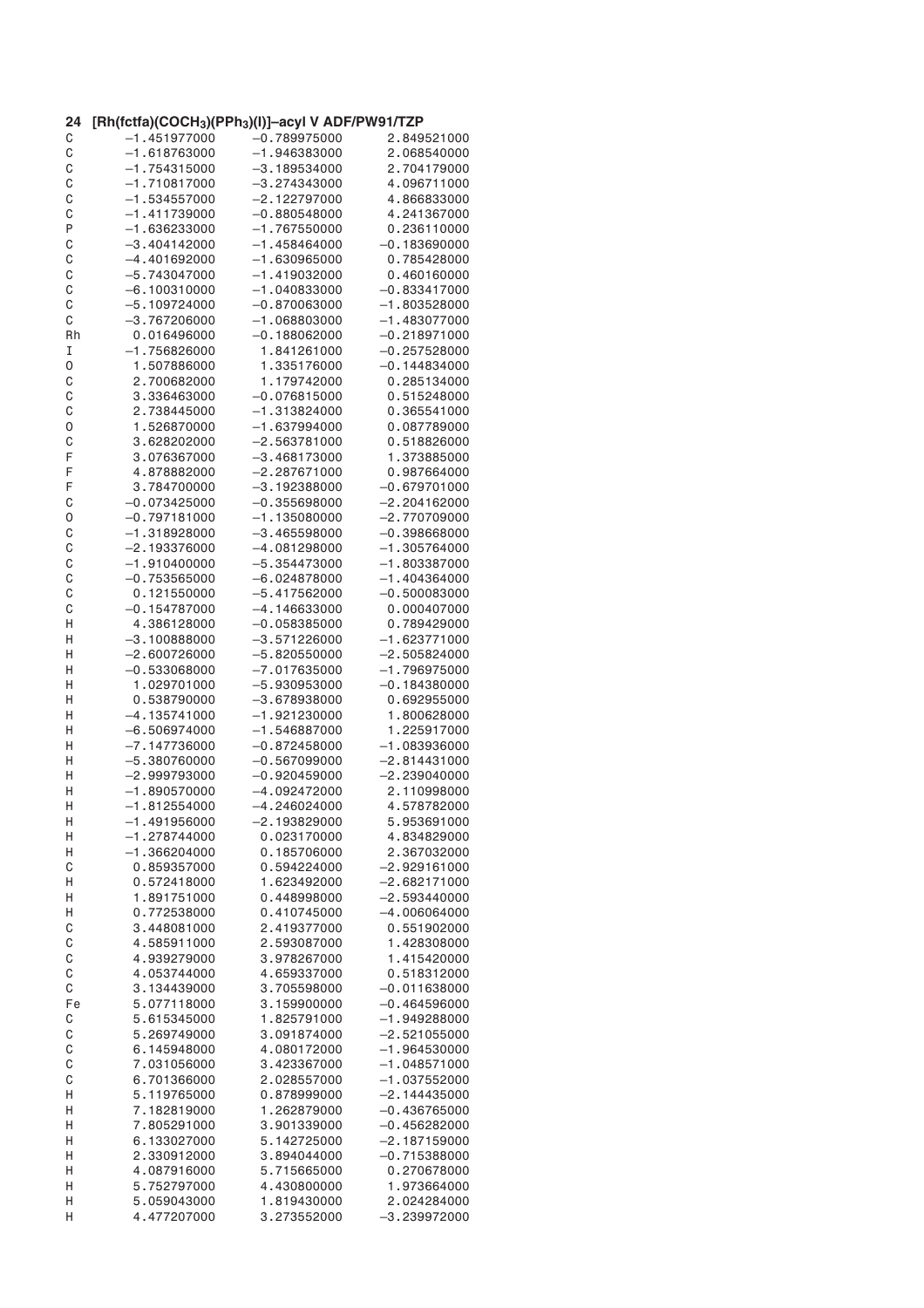| 24 | [Rh(fctfa)(COCH <sub>3</sub> )(PPh <sub>3</sub> )(I)]–acyl V ADF/PW91/TZP |                |                |
|----|---------------------------------------------------------------------------|----------------|----------------|
| C  | $-1.451977000$                                                            | $-0.789975000$ | 2.849521000    |
| C  | $-1.618763000$                                                            | $-1.946383000$ | 2.068540000    |
| C  | $-1.754315000$                                                            | $-3.189534000$ | 2.704179000    |
| C  | $-1.710817000$                                                            | $-3.274343000$ | 4.096711000    |
| C  | $-1.534557000$                                                            | $-2.122797000$ | 4.866833000    |
| C  | $-1.411739000$                                                            | $-0.880548000$ | 4.241367000    |
| P  | $-1.636233000$                                                            | $-1.767550000$ | 0.236110000    |
| C  | $-3.404142000$                                                            | $-1.458464000$ | $-0.183690000$ |
| C  | $-4.401692000$                                                            | $-1.630965000$ | 0.785428000    |
|    | $-5.743047000$                                                            | $-1.419032000$ |                |
| C  |                                                                           |                | 0.460160000    |
| C  | $-6.100310000$                                                            | $-1.040833000$ | $-0.833417000$ |
| C  | $-5.109724000$                                                            | $-0.870063000$ | $-1.803528000$ |
| С  | $-3.767206000$                                                            | $-1.068803000$ | $-1.483077000$ |
| Rh | 0.016496000                                                               | $-0.188062000$ | $-0.218971000$ |
| I  | $-1.756826000$                                                            | 1.841261000    | $-0.257528000$ |
| 0  | 1.507886000                                                               | 1.335176000    | $-0.144834000$ |
| C  | 2.700682000                                                               | 1.179742000    | 0.285134000    |
| C  | 3.336463000                                                               | $-0.076815000$ | 0.515248000    |
| C  | 2.738445000                                                               | $-1.313824000$ | 0.365541000    |
| 0  | 1.526870000                                                               | $-1.637994000$ | 0.087789000    |
|    |                                                                           |                |                |
| C  | 3.628202000                                                               | $-2.563781000$ | 0.518826000    |
| F  | 3.076367000                                                               | $-3.468173000$ | 1.373885000    |
| F  | 4.878882000                                                               | $-2.287671000$ | 0.987664000    |
| F  | 3.784700000                                                               | $-3.192388000$ | $-0.679701000$ |
| C  | $-0.073425000$                                                            | $-0.355698000$ | $-2.204162000$ |
| 0  | $-0.797181000$                                                            | $-1.135080000$ | $-2.770709000$ |
| C  | $-1.318928000$                                                            | $-3.465598000$ | $-0.398668000$ |
| C  | $-2.193376000$                                                            | $-4.081298000$ | $-1.305764000$ |
| C  | $-1.910400000$                                                            | $-5.354473000$ | $-1.803387000$ |
|    |                                                                           |                |                |
| C  | $-0.753565000$                                                            | $-6.024878000$ | $-1.404364000$ |
| C  | 0.121550000                                                               | $-5.417562000$ | $-0.500083000$ |
| С  | $-0.154787000$                                                            | $-4.146633000$ | 0.000407000    |
| Н  | 4.386128000                                                               | $-0.058385000$ | 0.789429000    |
| Н  | $-3.100888000$                                                            | $-3.571226000$ | $-1.623771000$ |
| Н  | $-2.600726000$                                                            | $-5.820550000$ | $-2.505824000$ |
| Η  | $-0.533068000$                                                            | $-7.017635000$ | $-1.796975000$ |
| Η  | 1.029701000                                                               | $-5.930953000$ | $-0.184380000$ |
| н  | 0.538790000                                                               | $-3.678938000$ | 0.692955000    |
| Н  | $-4.135741000$                                                            | $-1.921230000$ | 1.800628000    |
| Η  | $-6.506974000$                                                            | $-1.546887000$ | 1.225917000    |
|    |                                                                           |                |                |
| Н  | $-7.147736000$                                                            | $-0.872458000$ | $-1.083936000$ |
| Н  | $-5.380760000$                                                            | $-0.567099000$ | $-2.814431000$ |
| н  | $-2.999793000$                                                            | $-0.920459000$ | $-2.239040000$ |
| Η  | $-1.890570000$                                                            | $-4.092472000$ | 2.110998000    |
| Н  | $-1.812554000$                                                            | $-4.246024000$ | 4.578782000    |
| Н  | $-1.491956000$                                                            | $-2.193829000$ | 5.953691000    |
| Н  | $-1.278744000$                                                            | 0.023170000    | 4.834829000    |
| Н  | $-1.366204000$                                                            | 0.185706000    | 2.367032000    |
| C  | 0.859357000                                                               | 0.594224000    | $-2.929161000$ |
| Н  | 0.572418000                                                               | 1.623492000    | $-2.682171000$ |
| Н  | 1.891751000                                                               | 0.448998000    | $-2.593440000$ |
|    |                                                                           |                |                |
| Н  | 0.772538000                                                               | 0.410745000    | $-4.006064000$ |
| C  | 3.448081000                                                               | 2.419377000    | 0.551902000    |
| C  | 4.585911000                                                               | 2.593087000    | 1.428308000    |
| C  | 4.939279000                                                               | 3.978267000    | 1.415420000    |
| C  | 4.053744000                                                               | 4.659337000    | 0.518312000    |
| C  | 3.134439000                                                               | 3.705598000    | $-0.011638000$ |
| Fe | 5.077118000                                                               | 3.159900000    | $-0.464596000$ |
| C  | 5.615345000                                                               | 1.825791000    | $-1.949288000$ |
| C  | 5.269749000                                                               | 3.091874000    | $-2.521055000$ |
| C  | 6.145948000                                                               | 4.080172000    | $-1.964530000$ |
|    |                                                                           |                |                |
| C  | 7.031056000                                                               | 3.423367000    | $-1.048571000$ |
| C  | 6.701366000                                                               | 2.028557000    | $-1.037552000$ |
| Н  | 5.119765000                                                               | 0.878999000    | $-2.144435000$ |
| Η  | 7.182819000                                                               | 1.262879000    | $-0.436765000$ |
| Η  | 7.805291000                                                               | 3.901339000    | $-0.456282000$ |
| Η  | 6.133027000                                                               | 5.142725000    | $-2.187159000$ |
| Н  | 2.330912000                                                               | 3.894044000    | $-0.715388000$ |
| Н  | 4.087916000                                                               | 5.715665000    | 0.270678000    |
| Η  | 5.752797000                                                               | 4.430800000    | 1.973664000    |
| Н  | 5.059043000                                                               | 1.819430000    | 2.024284000    |
|    |                                                                           |                |                |
| Η  | 4.477207000                                                               | 3.273552000    | $-3.239972000$ |